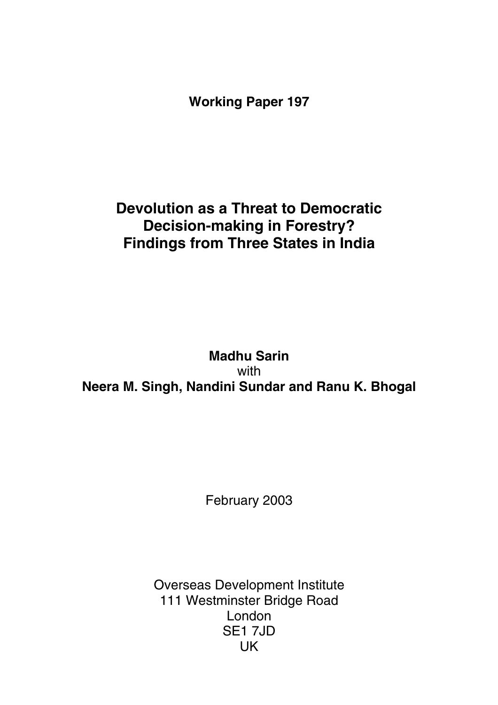**Working Paper 197** 

# **Devolution as a Threat to Democratic Decision-making in Forestry? Findings from Three States in India**

**Madhu Sarin**  with **Neera M. Singh, Nandini Sundar and Ranu K. Bhogal** 

February 2003

Overseas Development Institute 111 Westminster Bridge Road London SE1 7JD UK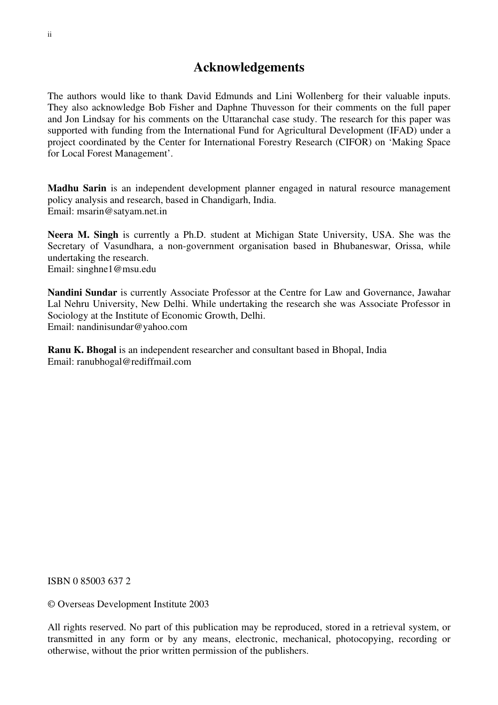The authors would like to thank David Edmunds and Lini Wollenberg for their valuable inputs. They also acknowledge Bob Fisher and Daphne Thuvesson for their comments on the full paper and Jon Lindsay for his comments on the Uttaranchal case study. The research for this paper was supported with funding from the International Fund for Agricultural Development (IFAD) under a project coordinated by the Center for International Forestry Research (CIFOR) on 'Making Space for Local Forest Management'.

**Madhu Sarin** is an independent development planner engaged in natural resource management policy analysis and research, based in Chandigarh, India. Email: msarin@satyam.net.in

**Neera M. Singh** is currently a Ph.D. student at Michigan State University, USA. She was the Secretary of Vasundhara, a non-government organisation based in Bhubaneswar, Orissa, while undertaking the research. Email: singhne1@msu.edu

**Nandini Sundar** is currently Associate Professor at the Centre for Law and Governance, Jawahar Lal Nehru University, New Delhi. While undertaking the research she was Associate Professor in Sociology at the Institute of Economic Growth, Delhi. Email: nandinisundar@yahoo.com

**Ranu K. Bhogal** is an independent researcher and consultant based in Bhopal, India Email: ranubhogal@rediffmail.com

ISBN 0 85003 637 2

© Overseas Development Institute 2003

All rights reserved. No part of this publication may be reproduced, stored in a retrieval system, or transmitted in any form or by any means, electronic, mechanical, photocopying, recording or otherwise, without the prior written permission of the publishers.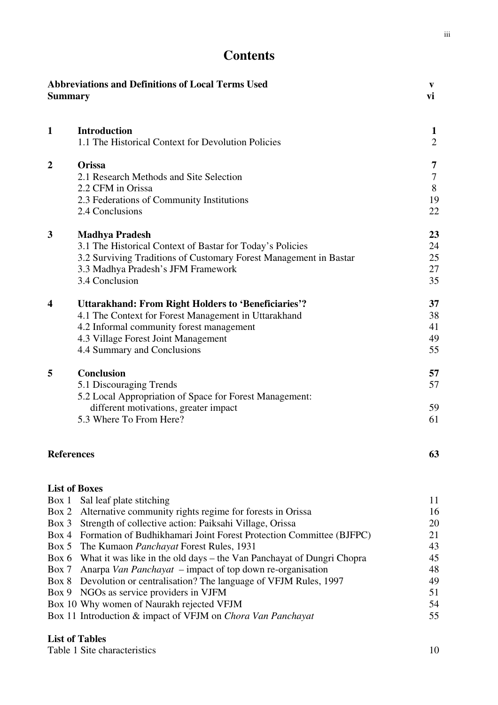# **Contents**

| <b>Abbreviations and Definitions of Local Terms Used</b><br><b>Summary</b> |                                                                                       |                               |
|----------------------------------------------------------------------------|---------------------------------------------------------------------------------------|-------------------------------|
| $\mathbf{1}$                                                               | <b>Introduction</b><br>1.1 The Historical Context for Devolution Policies             | $\mathbf 1$<br>$\overline{2}$ |
| $\boldsymbol{2}$                                                           | Orissa                                                                                | 7                             |
|                                                                            | 2.1 Research Methods and Site Selection                                               | $\tau$                        |
|                                                                            | 2.2 CFM in Orissa                                                                     | 8                             |
|                                                                            | 2.3 Federations of Community Institutions                                             | 19                            |
|                                                                            | 2.4 Conclusions                                                                       | 22                            |
| 3                                                                          | <b>Madhya Pradesh</b>                                                                 | 23                            |
|                                                                            | 3.1 The Historical Context of Bastar for Today's Policies                             | 24                            |
|                                                                            | 3.2 Surviving Traditions of Customary Forest Management in Bastar                     | 25                            |
|                                                                            | 3.3 Madhya Pradesh's JFM Framework                                                    | 27                            |
|                                                                            | 3.4 Conclusion                                                                        | 35                            |
| $\overline{\mathbf{4}}$                                                    | Uttarakhand: From Right Holders to 'Beneficiaries'?                                   | 37                            |
|                                                                            | 4.1 The Context for Forest Management in Uttarakhand                                  | 38                            |
|                                                                            | 4.2 Informal community forest management                                              | 41                            |
|                                                                            | 4.3 Village Forest Joint Management                                                   | 49                            |
|                                                                            | 4.4 Summary and Conclusions                                                           | 55                            |
| 5                                                                          | Conclusion                                                                            | 57                            |
|                                                                            | 5.1 Discouraging Trends                                                               | 57                            |
|                                                                            | 5.2 Local Appropriation of Space for Forest Management:                               |                               |
|                                                                            | different motivations, greater impact                                                 | 59                            |
|                                                                            | 5.3 Where To From Here?                                                               | 61                            |
| <b>References</b>                                                          |                                                                                       | 63                            |
|                                                                            |                                                                                       |                               |
| <b>List of Boxes</b>                                                       |                                                                                       |                               |
| Box 1<br>Box 2                                                             | Sal leaf plate stitching<br>Alternative community rights regime for forests in Orissa | 11<br>16                      |
| Box 3                                                                      | Strength of collective action: Paiksahi Village, Orissa                               | 20                            |
|                                                                            | Box 4 Formation of Budhikhamari Joint Forest Protection Committee (BJFPC)             | 21                            |
| Box 5                                                                      | The Kumaon Panchayat Forest Rules, 1931                                               | 43                            |
| Box 6                                                                      | What it was like in the old days – the Van Panchayat of Dungri Chopra                 | 45                            |
| Box 7                                                                      | Anarpa Van Panchayat – impact of top down re-organisation                             | 48                            |
| Box 8                                                                      | Devolution or centralisation? The language of VFJM Rules, 1997                        | 49                            |
|                                                                            | Box 9 NGOs as service providers in VJFM                                               | 51                            |
|                                                                            | Box 10 Why women of Naurakh rejected VFJM                                             | 54                            |
|                                                                            | Box 11 Introduction & impact of VFJM on Chora Van Panchayat                           | 55                            |

# **List of Tables**

Table 1 Site characteristics 10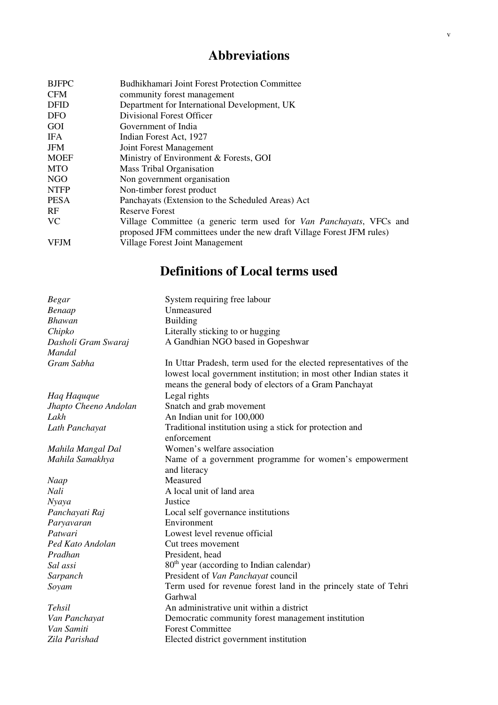# **Abbreviations**

| <b>BJFPC</b><br><b>CFM</b> | <b>Budhikhamari Joint Forest Protection Committee</b><br>community forest management                                                         |
|----------------------------|----------------------------------------------------------------------------------------------------------------------------------------------|
| <b>DFID</b>                | Department for International Development, UK                                                                                                 |
| <b>DFO</b>                 | <b>Divisional Forest Officer</b>                                                                                                             |
| GOI                        | Government of India                                                                                                                          |
| IFA.                       | Indian Forest Act, 1927                                                                                                                      |
| JFM                        | Joint Forest Management                                                                                                                      |
| <b>MOEF</b>                | Ministry of Environment & Forests, GOI                                                                                                       |
| <b>MTO</b>                 | <b>Mass Tribal Organisation</b>                                                                                                              |
| NGO                        | Non government organisation                                                                                                                  |
| <b>NTFP</b>                | Non-timber forest product                                                                                                                    |
| <b>PESA</b>                | Panchayats (Extension to the Scheduled Areas) Act                                                                                            |
| RF                         | Reserve Forest                                                                                                                               |
| <b>VC</b>                  | Village Committee (a generic term used for Van Panchayats, VFCs and<br>proposed JFM committees under the new draft Village Forest JFM rules) |
| <b>VFJM</b>                | Village Forest Joint Management                                                                                                              |

# **Definitions of Local terms used**

| <b>Begar</b>          | System requiring free labour                                                                                                                                                                        |
|-----------------------|-----------------------------------------------------------------------------------------------------------------------------------------------------------------------------------------------------|
| Benaap                | Unmeasured                                                                                                                                                                                          |
| <b>Bhawan</b>         | <b>Building</b>                                                                                                                                                                                     |
| Chipko                | Literally sticking to or hugging                                                                                                                                                                    |
| Dasholi Gram Swaraj   | A Gandhian NGO based in Gopeshwar                                                                                                                                                                   |
| Mandal                |                                                                                                                                                                                                     |
| Gram Sabha            | In Uttar Pradesh, term used for the elected representatives of the<br>lowest local government institution; in most other Indian states it<br>means the general body of electors of a Gram Panchayat |
| Haq Haquque           | Legal rights                                                                                                                                                                                        |
| Jhapto Cheeno Andolan | Snatch and grab movement                                                                                                                                                                            |
| Lakh                  | An Indian unit for 100,000                                                                                                                                                                          |
| Lath Panchayat        | Traditional institution using a stick for protection and<br>enforcement                                                                                                                             |
| Mahila Mangal Dal     | Women's welfare association                                                                                                                                                                         |
| Mahila Samakhya       | Name of a government programme for women's empowerment<br>and literacy                                                                                                                              |
| Naap                  | Measured                                                                                                                                                                                            |
| Nali                  | A local unit of land area                                                                                                                                                                           |
| Nyaya                 | Justice                                                                                                                                                                                             |
| Panchayati Raj        | Local self governance institutions                                                                                                                                                                  |
| Paryavaran            | Environment                                                                                                                                                                                         |
| Patwari               | Lowest level revenue official                                                                                                                                                                       |
| Ped Kato Andolan      | Cut trees movement                                                                                                                                                                                  |
| Pradhan               | President, head                                                                                                                                                                                     |
| Sal assi              | 80 <sup>th</sup> year (according to Indian calendar)                                                                                                                                                |
| Sarpanch              | President of Van Panchayat council                                                                                                                                                                  |
| Soyam                 | Term used for revenue forest land in the princely state of Tehri<br>Garhwal                                                                                                                         |
| Tehsil                | An administrative unit within a district                                                                                                                                                            |
| Van Panchayat         | Democratic community forest management institution                                                                                                                                                  |
| Van Samiti            | <b>Forest Committee</b>                                                                                                                                                                             |
| Zila Parishad         | Elected district government institution                                                                                                                                                             |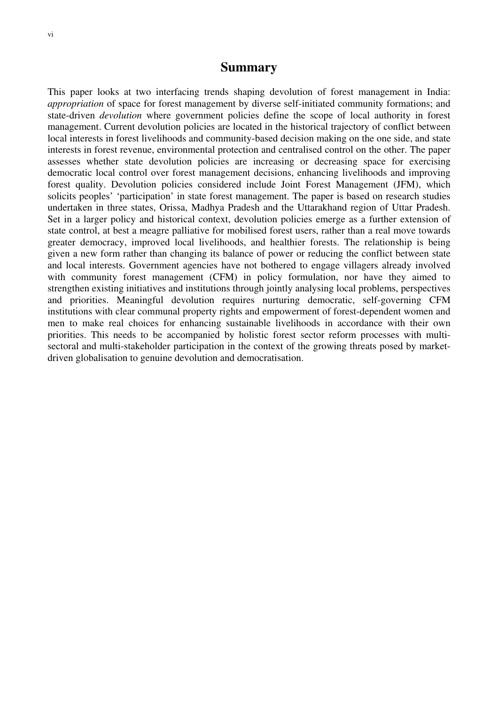#### **Summary**

This paper looks at two interfacing trends shaping devolution of forest management in India: *appropriation* of space for forest management by diverse self-initiated community formations; and state-driven *devolution* where government policies define the scope of local authority in forest management. Current devolution policies are located in the historical trajectory of conflict between local interests in forest livelihoods and community-based decision making on the one side, and state interests in forest revenue, environmental protection and centralised control on the other. The paper assesses whether state devolution policies are increasing or decreasing space for exercising democratic local control over forest management decisions, enhancing livelihoods and improving forest quality. Devolution policies considered include Joint Forest Management (JFM), which solicits peoples' 'participation' in state forest management. The paper is based on research studies undertaken in three states, Orissa, Madhya Pradesh and the Uttarakhand region of Uttar Pradesh. Set in a larger policy and historical context, devolution policies emerge as a further extension of state control, at best a meagre palliative for mobilised forest users, rather than a real move towards greater democracy, improved local livelihoods, and healthier forests. The relationship is being given a new form rather than changing its balance of power or reducing the conflict between state and local interests. Government agencies have not bothered to engage villagers already involved with community forest management (CFM) in policy formulation, nor have they aimed to strengthen existing initiatives and institutions through jointly analysing local problems, perspectives and priorities. Meaningful devolution requires nurturing democratic, self-governing CFM institutions with clear communal property rights and empowerment of forest-dependent women and men to make real choices for enhancing sustainable livelihoods in accordance with their own priorities. This needs to be accompanied by holistic forest sector reform processes with multisectoral and multi-stakeholder participation in the context of the growing threats posed by marketdriven globalisation to genuine devolution and democratisation.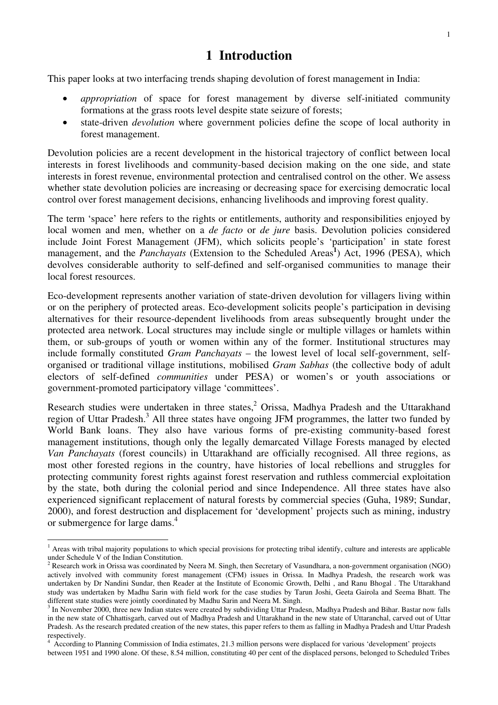# **1 Introduction**

This paper looks at two interfacing trends shaping devolution of forest management in India:

- *appropriation* of space for forest management by diverse self-initiated community formations at the grass roots level despite state seizure of forests;
- state-driven *devolution* where government policies define the scope of local authority in forest management.

Devolution policies are a recent development in the historical trajectory of conflict between local interests in forest livelihoods and community-based decision making on the one side, and state interests in forest revenue, environmental protection and centralised control on the other. We assess whether state devolution policies are increasing or decreasing space for exercising democratic local control over forest management decisions, enhancing livelihoods and improving forest quality.

The term 'space' here refers to the rights or entitlements, authority and responsibilities enjoyed by local women and men, whether on a *de facto* or *de jure* basis. Devolution policies considered include Joint Forest Management (JFM), which solicits people's 'participation' in state forest management, and the *Panchayats* (Extension to the Scheduled Areas<sup>1</sup>) Act, 1996 (PESA), which devolves considerable authority to self-defined and self-organised communities to manage their local forest resources.

Eco-development represents another variation of state-driven devolution for villagers living within or on the periphery of protected areas. Eco-development solicits people's participation in devising alternatives for their resource-dependent livelihoods from areas subsequently brought under the protected area network. Local structures may include single or multiple villages or hamlets within them, or sub-groups of youth or women within any of the former. Institutional structures may include formally constituted *Gram Panchayats* – the lowest level of local self-government, selforganised or traditional village institutions, mobilised *Gram Sabhas* (the collective body of adult electors of self-defined *communities* under PESA) or women's or youth associations or government-promoted participatory village 'committees'.

Research studies were undertaken in three states,<sup>2</sup> Orissa, Madhya Pradesh and the Uttarakhand region of Uttar Pradesh.<sup>3</sup> All three states have ongoing JFM programmes, the latter two funded by World Bank loans. They also have various forms of pre-existing community-based forest management institutions, though only the legally demarcated Village Forests managed by elected *Van Panchayats* (forest councils) in Uttarakhand are officially recognised. All three regions, as most other forested regions in the country, have histories of local rebellions and struggles for protecting community forest rights against forest reservation and ruthless commercial exploitation by the state, both during the colonial period and since Independence. All three states have also experienced significant replacement of natural forests by commercial species (Guha, 1989; Sundar, 2000), and forest destruction and displacement for 'development' projects such as mining, industry or submergence for large dams.<sup>4</sup>

<sup>&</sup>lt;sup>1</sup> Areas with tribal majority populations to which special provisions for protecting tribal identify, culture and interests are applicable under Schedule V of the Indian Constitution.

<sup>&</sup>lt;sup>2</sup> Research work in Orissa was coordinated by Neera M. Singh, then Secretary of Vasundhara, a non-government organisation (NGO) actively involved with community forest management (CFM) issues in Orissa. In Madhya Pradesh, the research work was undertaken by Dr Nandini Sundar, then Reader at the Institute of Economic Growth, Delhi , and Ranu Bhogal . The Uttarakhand study was undertaken by Madhu Sarin with field work for the case studies by Tarun Joshi, Geeta Gairola and Seema Bhatt. The different state studies were jointly coordinated by Madhu Sarin and Neera M. Singh.

<sup>&</sup>lt;sup>3</sup> In November 2000, three new Indian states were created by subdividing Uttar Pradesn, Madhya Pradesh and Bihar. Bastar now falls in the new state of Chhattisgarh, carved out of Madhya Pradesh and Uttarakhand in the new state of Uttaranchal, carved out of Uttar Pradesh. As the research predated creation of the new states, this paper refers to them as falling in Madhya Pradesh and Uttar Pradesh respectively.

 $4$  According to Planning Commission of India estimates, 21.3 million persons were displaced for various 'development' projects between 1951 and 1990 alone. Of these, 8.54 million, constituting 40 per cent of the displaced persons, belonged to Scheduled Tribes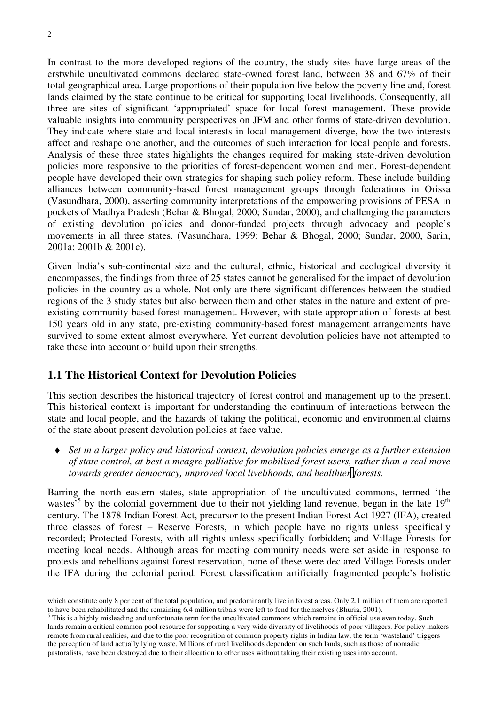In contrast to the more developed regions of the country, the study sites have large areas of the erstwhile uncultivated commons declared state-owned forest land, between 38 and 67% of their total geographical area. Large proportions of their population live below the poverty line and, forest lands claimed by the state continue to be critical for supporting local livelihoods. Consequently, all three are sites of significant 'appropriated' space for local forest management. These provide valuable insights into community perspectives on JFM and other forms of state-driven devolution. They indicate where state and local interests in local management diverge, how the two interests affect and reshape one another, and the outcomes of such interaction for local people and forests. Analysis of these three states highlights the changes required for making state-driven devolution policies more responsive to the priorities of forest-dependent women and men. Forest-dependent people have developed their own strategies for shaping such policy reform. These include building alliances between community-based forest management groups through federations in Orissa (Vasundhara, 2000), asserting community interpretations of the empowering provisions of PESA in pockets of Madhya Pradesh (Behar & Bhogal, 2000; Sundar, 2000), and challenging the parameters of existing devolution policies and donor-funded projects through advocacy and people's movements in all three states. (Vasundhara, 1999; Behar & Bhogal, 2000; Sundar, 2000, Sarin, 2001a; 2001b & 2001c).

Given India's sub-continental size and the cultural, ethnic, historical and ecological diversity it encompasses, the findings from three of 25 states cannot be generalised for the impact of devolution policies in the country as a whole. Not only are there significant differences between the studied regions of the 3 study states but also between them and other states in the nature and extent of preexisting community-based forest management. However, with state appropriation of forests at best 150 years old in any state, pre-existing community-based forest management arrangements have survived to some extent almost everywhere. Yet current devolution policies have not attempted to take these into account or build upon their strengths.

# **1.1 The Historical Context for Devolution Policies**

This section describes the historical trajectory of forest control and management up to the present. This historical context is important for understanding the continuum of interactions between the state and local people, and the hazards of taking the political, economic and environmental claims of the state about present devolution policies at face value.

♦ *Set in a larger policy and historical context, devolution policies emerge as a further extension of state control, at best a meagre palliative for mobilised forest users, rather than a real move towards greater democracy, improved local livelihoods, and healthier forests.*

Barring the north eastern states, state appropriation of the uncultivated commons, termed 'the wastes<sup>55</sup> by the colonial government due to their not yielding land revenue, began in the late  $19<sup>th</sup>$ century. The 1878 Indian Forest Act, precursor to the present Indian Forest Act 1927 (IFA), created three classes of forest – Reserve Forests, in which people have no rights unless specifically recorded; Protected Forests, with all rights unless specifically forbidden; and Village Forests for meeting local needs. Although areas for meeting community needs were set aside in response to protests and rebellions against forest reservation, none of these were declared Village Forests under the IFA during the colonial period. Forest classification artificially fragmented people's holistic

which constitute only 8 per cent of the total population, and predominantly live in forest areas. Only 2.1 million of them are reported to have been rehabilitated and the remaining 6.4 million tribals were left to fend for themselves (Bhuria, 2001).

 $<sup>5</sup>$  This is a highly misleading and unfortunate term for the uncultivated commons which remains in official use even today. Such</sup> lands remain a critical common pool resource for supporting a very wide diversity of livelihoods of poor villagers. For policy makers remote from rural realities, and due to the poor recognition of common property rights in Indian law, the term 'wasteland' triggers the perception of land actually lying waste. Millions of rural livelihoods dependent on such lands, such as those of nomadic pastoralists, have been destroyed due to their allocation to other uses without taking their existing uses into account.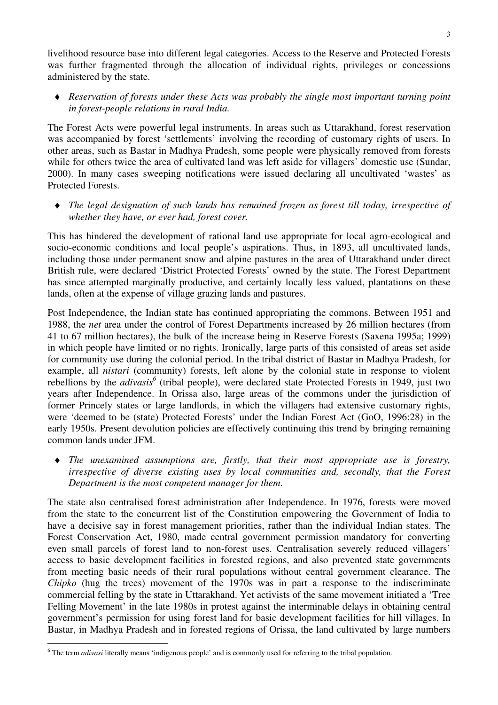livelihood resource base into different legal categories. Access to the Reserve and Protected Forests was further fragmented through the allocation of individual rights, privileges or concessions administered by the state.

♦ *Reservation of forests under these Acts was probably the single most important turning point in forest-people relations in rural India.*

The Forest Acts were powerful legal instruments. In areas such as Uttarakhand, forest reservation was accompanied by forest 'settlements' involving the recording of customary rights of users. In other areas, such as Bastar in Madhya Pradesh, some people were physically removed from forests while for others twice the area of cultivated land was left aside for villagers' domestic use (Sundar, 2000). In many cases sweeping notifications were issued declaring all uncultivated 'wastes' as Protected Forests.

♦ *The legal designation of such lands has remained frozen as forest till today, irrespective of whether they have, or ever had, forest cover.*

This has hindered the development of rational land use appropriate for local agro-ecological and socio-economic conditions and local people's aspirations. Thus, in 1893, all uncultivated lands, including those under permanent snow and alpine pastures in the area of Uttarakhand under direct British rule, were declared 'District Protected Forests' owned by the state. The Forest Department has since attempted marginally productive, and certainly locally less valued, plantations on these lands, often at the expense of village grazing lands and pastures.

Post Independence, the Indian state has continued appropriating the commons. Between 1951 and 1988, the *net* area under the control of Forest Departments increased by 26 million hectares (from 41 to 67 million hectares), the bulk of the increase being in Reserve Forests (Saxena 1995a; 1999) in which people have limited or no rights. Ironically, large parts of this consisted of areas set aside for community use during the colonial period. In the tribal district of Bastar in Madhya Pradesh, for example, all *nistari* (community) forests, left alone by the colonial state in response to violent rebellions by the *adivasis*<sup>6</sup> (tribal people), were declared state Protected Forests in 1949, just two years after Independence. In Orissa also, large areas of the commons under the jurisdiction of former Princely states or large landlords, in which the villagers had extensive customary rights, were 'deemed to be (state) Protected Forests' under the Indian Forest Act (GoO, 1996:28) in the early 1950s. Present devolution policies are effectively continuing this trend by bringing remaining common lands under JFM.

♦ *The unexamined assumptions are, firstly, that their most appropriate use is forestry, irrespective of diverse existing uses by local communities and, secondly, that the Forest Department is the most competent manager for them*.

The state also centralised forest administration after Independence. In 1976, forests were moved from the state to the concurrent list of the Constitution empowering the Government of India to have a decisive say in forest management priorities, rather than the individual Indian states. The Forest Conservation Act, 1980, made central government permission mandatory for converting even small parcels of forest land to non-forest uses. Centralisation severely reduced villagers' access to basic development facilities in forested regions, and also prevented state governments from meeting basic needs of their rural populations without central government clearance. The *Chipko* (hug the trees) movement of the 1970s was in part a response to the indiscriminate commercial felling by the state in Uttarakhand. Yet activists of the same movement initiated a 'Tree Felling Movement' in the late 1980s in protest against the interminable delays in obtaining central government's permission for using forest land for basic development facilities for hill villages. In Bastar, in Madhya Pradesh and in forested regions of Orissa, the land cultivated by large numbers

<sup>&</sup>lt;sup>6</sup> The term *adivasi* literally means 'indigenous people' and is commonly used for referring to the tribal population.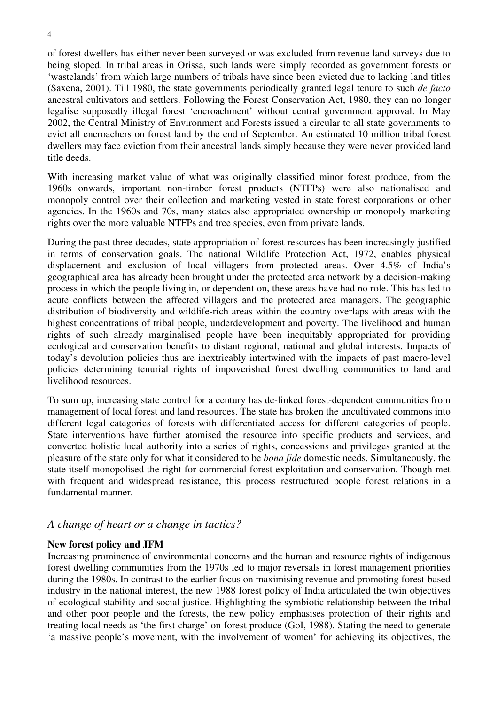of forest dwellers has either never been surveyed or was excluded from revenue land surveys due to being sloped. In tribal areas in Orissa, such lands were simply recorded as government forests or 'wastelands' from which large numbers of tribals have since been evicted due to lacking land titles (Saxena, 2001). Till 1980, the state governments periodically granted legal tenure to such *de facto* ancestral cultivators and settlers. Following the Forest Conservation Act, 1980, they can no longer legalise supposedly illegal forest 'encroachment' without central government approval. In May 2002, the Central Ministry of Environment and Forests issued a circular to all state governments to evict all encroachers on forest land by the end of September. An estimated 10 million tribal forest dwellers may face eviction from their ancestral lands simply because they were never provided land title deeds.

With increasing market value of what was originally classified minor forest produce, from the 1960s onwards, important non-timber forest products (NTFPs) were also nationalised and monopoly control over their collection and marketing vested in state forest corporations or other agencies. In the 1960s and 70s, many states also appropriated ownership or monopoly marketing rights over the more valuable NTFPs and tree species, even from private lands.

During the past three decades, state appropriation of forest resources has been increasingly justified in terms of conservation goals. The national Wildlife Protection Act, 1972, enables physical displacement and exclusion of local villagers from protected areas. Over 4.5% of India's geographical area has already been brought under the protected area network by a decision-making process in which the people living in, or dependent on, these areas have had no role. This has led to acute conflicts between the affected villagers and the protected area managers. The geographic distribution of biodiversity and wildlife-rich areas within the country overlaps with areas with the highest concentrations of tribal people, underdevelopment and poverty. The livelihood and human rights of such already marginalised people have been inequitably appropriated for providing ecological and conservation benefits to distant regional, national and global interests. Impacts of today's devolution policies thus are inextricably intertwined with the impacts of past macro-level policies determining tenurial rights of impoverished forest dwelling communities to land and livelihood resources.

To sum up, increasing state control for a century has de-linked forest-dependent communities from management of local forest and land resources. The state has broken the uncultivated commons into different legal categories of forests with differentiated access for different categories of people. State interventions have further atomised the resource into specific products and services, and converted holistic local authority into a series of rights, concessions and privileges granted at the pleasure of the state only for what it considered to be *bona fide* domestic needs. Simultaneously, the state itself monopolised the right for commercial forest exploitation and conservation. Though met with frequent and widespread resistance, this process restructured people forest relations in a fundamental manner.

### *A change of heart or a change in tactics?*

#### **New forest policy and JFM**

Increasing prominence of environmental concerns and the human and resource rights of indigenous forest dwelling communities from the 1970s led to major reversals in forest management priorities during the 1980s. In contrast to the earlier focus on maximising revenue and promoting forest-based industry in the national interest, the new 1988 forest policy of India articulated the twin objectives of ecological stability and social justice. Highlighting the symbiotic relationship between the tribal and other poor people and the forests, the new policy emphasises protection of their rights and treating local needs as 'the first charge' on forest produce (GoI, 1988). Stating the need to generate 'a massive people's movement, with the involvement of women' for achieving its objectives, the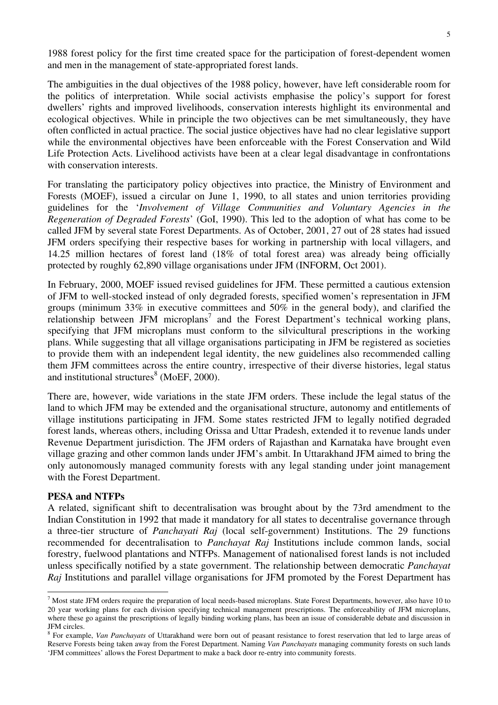1988 forest policy for the first time created space for the participation of forest-dependent women and men in the management of state-appropriated forest lands.

The ambiguities in the dual objectives of the 1988 policy, however, have left considerable room for the politics of interpretation. While social activists emphasise the policy's support for forest dwellers' rights and improved livelihoods, conservation interests highlight its environmental and ecological objectives. While in principle the two objectives can be met simultaneously, they have often conflicted in actual practice. The social justice objectives have had no clear legislative support while the environmental objectives have been enforceable with the Forest Conservation and Wild Life Protection Acts. Livelihood activists have been at a clear legal disadvantage in confrontations with conservation interests.

For translating the participatory policy objectives into practice, the Ministry of Environment and Forests (MOEF), issued a circular on June 1, 1990, to all states and union territories providing guidelines for the '*Involvement of Village Communities and Voluntary Agencies in the Regeneration of Degraded Forests*' (GoI, 1990). This led to the adoption of what has come to be called JFM by several state Forest Departments. As of October, 2001, 27 out of 28 states had issued JFM orders specifying their respective bases for working in partnership with local villagers, and 14.25 million hectares of forest land (18% of total forest area) was already being officially protected by roughly 62,890 village organisations under JFM (INFORM, Oct 2001).

In February, 2000, MOEF issued revised guidelines for JFM. These permitted a cautious extension of JFM to well-stocked instead of only degraded forests, specified women's representation in JFM groups (minimum 33% in executive committees and 50% in the general body), and clarified the relationship between JFM microplans<sup>7</sup> and the Forest Department's technical working plans, specifying that JFM microplans must conform to the silvicultural prescriptions in the working plans. While suggesting that all village organisations participating in JFM be registered as societies to provide them with an independent legal identity, the new guidelines also recommended calling them JFM committees across the entire country, irrespective of their diverse histories, legal status and institutional structures $8 \text{ (MoEF, 2000)}$ .

There are, however, wide variations in the state JFM orders. These include the legal status of the land to which JFM may be extended and the organisational structure, autonomy and entitlements of village institutions participating in JFM. Some states restricted JFM to legally notified degraded forest lands, whereas others, including Orissa and Uttar Pradesh, extended it to revenue lands under Revenue Department jurisdiction. The JFM orders of Rajasthan and Karnataka have brought even village grazing and other common lands under JFM's ambit. In Uttarakhand JFM aimed to bring the only autonomously managed community forests with any legal standing under joint management with the Forest Department.

#### **PESA and NTFPs**

A related, significant shift to decentralisation was brought about by the 73rd amendment to the Indian Constitution in 1992 that made it mandatory for all states to decentralise governance through a three-tier structure of *Panchayati Raj* (local self-government) Institutions. The 29 functions recommended for decentralisation to *Panchayat Raj* Institutions include common lands, social forestry, fuelwood plantations and NTFPs. Management of nationalised forest lands is not included unless specifically notified by a state government. The relationship between democratic *Panchayat Raj* Institutions and parallel village organisations for JFM promoted by the Forest Department has

 $<sup>7</sup>$  Most state JFM orders require the preparation of local needs-based microplans. State Forest Departments, however, also have 10 to</sup> 20 year working plans for each division specifying technical management prescriptions. The enforceability of JFM microplans, where these go against the prescriptions of legally binding working plans, has been an issue of considerable debate and discussion in JFM circles.

<sup>8</sup> For example, *Van Panchayats* of Uttarakhand were born out of peasant resistance to forest reservation that led to large areas of Reserve Forests being taken away from the Forest Department. Naming *Van Panchayats* managing community forests on such lands 'JFM committees' allows the Forest Department to make a back door re-entry into community forests.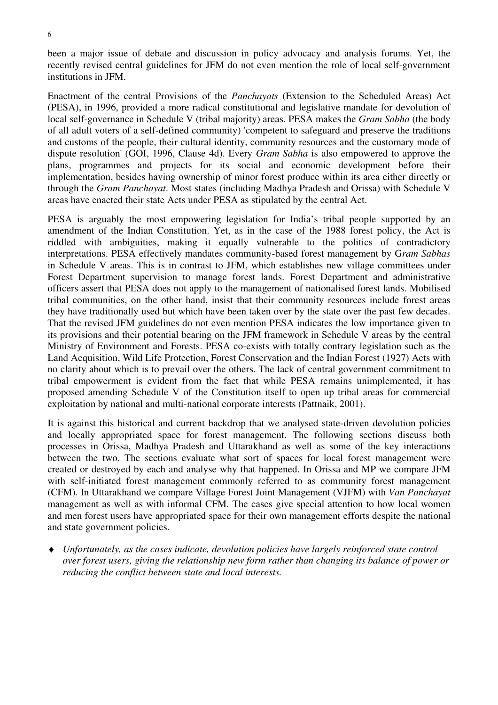been a major issue of debate and discussion in policy advocacy and analysis forums. Yet, the recently revised central guidelines for JFM do not even mention the role of local self-government institutions in JFM.

Enactment of the central Provisions of the *Panchayats* (Extension to the Scheduled Areas) Act (PESA), in 1996, provided a more radical constitutional and legislative mandate for devolution of local self-governance in Schedule V (tribal majority) areas. PESA makes the *Gram Sabha* (the body of all adult voters of a self-defined community) 'competent to safeguard and preserve the traditions and customs of the people, their cultural identity, community resources and the customary mode of dispute resolution' (GOI, 1996, Clause 4d). Every *Gram Sabha* is also empowered to approve the plans, programmes and projects for its social and economic development before their implementation, besides having ownership of minor forest produce within its area either directly or through the *Gram Panchayat*. Most states (including Madhya Pradesh and Orissa) with Schedule V areas have enacted their state Acts under PESA as stipulated by the central Act.

PESA is arguably the most empowering legislation for India's tribal people supported by an amendment of the Indian Constitution. Yet, as in the case of the 1988 forest policy, the Act is riddled with ambiguities, making it equally vulnerable to the politics of contradictory interpretations. PESA effectively mandates community-based forest management by G*ram Sabhas* in Schedule V areas. This is in contrast to JFM, which establishes new village committees under Forest Department supervision to manage forest lands. Forest Department and administrative officers assert that PESA does not apply to the management of nationalised forest lands. Mobilised tribal communities, on the other hand, insist that their community resources include forest areas they have traditionally used but which have been taken over by the state over the past few decades. That the revised JFM guidelines do not even mention PESA indicates the low importance given to its provisions and their potential bearing on the JFM framework in Schedule V areas by the central Ministry of Environment and Forests. PESA co-exists with totally contrary legislation such as the Land Acquisition, Wild Life Protection, Forest Conservation and the Indian Forest (1927) Acts with no clarity about which is to prevail over the others. The lack of central government commitment to tribal empowerment is evident from the fact that while PESA remains unimplemented, it has proposed amending Schedule V of the Constitution itself to open up tribal areas for commercial exploitation by national and multi-national corporate interests (Pattnaik, 2001).

It is against this historical and current backdrop that we analysed state-driven devolution policies and locally appropriated space for forest management. The following sections discuss both processes in Orissa, Madhya Pradesh and Uttarakhand as well as some of the key interactions between the two. The sections evaluate what sort of spaces for local forest management were created or destroyed by each and analyse why that happened. In Orissa and MP we compare JFM with self-initiated forest management commonly referred to as community forest management (CFM). In Uttarakhand we compare Village Forest Joint Management (VJFM) with *Van Panchayat* management as well as with informal CFM. The cases give special attention to how local women and men forest users have appropriated space for their own management efforts despite the national and state government policies.

♦ *Unfortunately, as the cases indicate, devolution policies have largely reinforced state control over forest users, giving the relationship new form rather than changing its balance of power or reducing the conflict between state and local interests.*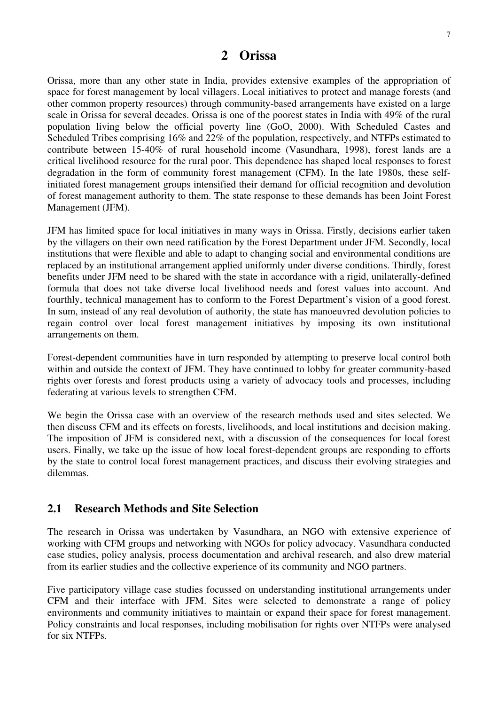# **2 Orissa**

Orissa, more than any other state in India, provides extensive examples of the appropriation of space for forest management by local villagers. Local initiatives to protect and manage forests (and other common property resources) through community-based arrangements have existed on a large scale in Orissa for several decades. Orissa is one of the poorest states in India with 49% of the rural population living below the official poverty line (GoO, 2000). With Scheduled Castes and Scheduled Tribes comprising 16% and 22% of the population, respectively, and NTFPs estimated to contribute between 15-40% of rural household income (Vasundhara, 1998), forest lands are a critical livelihood resource for the rural poor. This dependence has shaped local responses to forest degradation in the form of community forest management (CFM). In the late 1980s, these selfinitiated forest management groups intensified their demand for official recognition and devolution of forest management authority to them. The state response to these demands has been Joint Forest Management (JFM).

JFM has limited space for local initiatives in many ways in Orissa. Firstly, decisions earlier taken by the villagers on their own need ratification by the Forest Department under JFM. Secondly, local institutions that were flexible and able to adapt to changing social and environmental conditions are replaced by an institutional arrangement applied uniformly under diverse conditions. Thirdly, forest benefits under JFM need to be shared with the state in accordance with a rigid, unilaterally-defined formula that does not take diverse local livelihood needs and forest values into account. And fourthly, technical management has to conform to the Forest Department's vision of a good forest. In sum, instead of any real devolution of authority, the state has manoeuvred devolution policies to regain control over local forest management initiatives by imposing its own institutional arrangements on them.

Forest-dependent communities have in turn responded by attempting to preserve local control both within and outside the context of JFM. They have continued to lobby for greater community-based rights over forests and forest products using a variety of advocacy tools and processes, including federating at various levels to strengthen CFM.

We begin the Orissa case with an overview of the research methods used and sites selected. We then discuss CFM and its effects on forests, livelihoods, and local institutions and decision making. The imposition of JFM is considered next, with a discussion of the consequences for local forest users. Finally, we take up the issue of how local forest-dependent groups are responding to efforts by the state to control local forest management practices, and discuss their evolving strategies and dilemmas.

## **2.1 Research Methods and Site Selection**

The research in Orissa was undertaken by Vasundhara, an NGO with extensive experience of working with CFM groups and networking with NGOs for policy advocacy. Vasundhara conducted case studies, policy analysis, process documentation and archival research, and also drew material from its earlier studies and the collective experience of its community and NGO partners.

Five participatory village case studies focussed on understanding institutional arrangements under CFM and their interface with JFM. Sites were selected to demonstrate a range of policy environments and community initiatives to maintain or expand their space for forest management. Policy constraints and local responses, including mobilisation for rights over NTFPs were analysed for six NTFPs.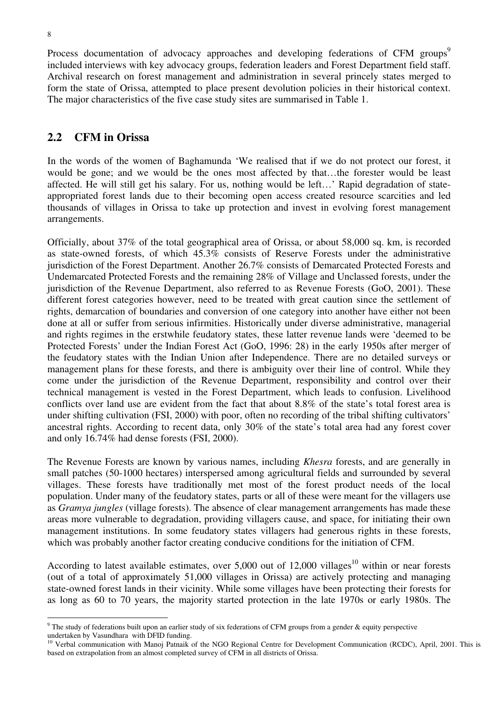Process documentation of advocacy approaches and developing federations of CFM groups<sup>9</sup> included interviews with key advocacy groups, federation leaders and Forest Department field staff. Archival research on forest management and administration in several princely states merged to form the state of Orissa, attempted to place present devolution policies in their historical context. The major characteristics of the five case study sites are summarised in Table 1.

## **2.2 CFM in Orissa**

In the words of the women of Baghamunda 'We realised that if we do not protect our forest, it would be gone; and we would be the ones most affected by that…the forester would be least affected. He will still get his salary. For us, nothing would be left…' Rapid degradation of stateappropriated forest lands due to their becoming open access created resource scarcities and led thousands of villages in Orissa to take up protection and invest in evolving forest management arrangements.

Officially, about 37% of the total geographical area of Orissa, or about 58,000 sq. km, is recorded as state-owned forests, of which 45.3% consists of Reserve Forests under the administrative jurisdiction of the Forest Department. Another 26.7% consists of Demarcated Protected Forests and Undemarcated Protected Forests and the remaining 28% of Village and Unclassed forests, under the jurisdiction of the Revenue Department, also referred to as Revenue Forests (GoO, 2001). These different forest categories however, need to be treated with great caution since the settlement of rights, demarcation of boundaries and conversion of one category into another have either not been done at all or suffer from serious infirmities. Historically under diverse administrative, managerial and rights regimes in the erstwhile feudatory states, these latter revenue lands were 'deemed to be Protected Forests' under the Indian Forest Act (GoO, 1996: 28) in the early 1950s after merger of the feudatory states with the Indian Union after Independence. There are no detailed surveys or management plans for these forests, and there is ambiguity over their line of control. While they come under the jurisdiction of the Revenue Department, responsibility and control over their technical management is vested in the Forest Department, which leads to confusion. Livelihood conflicts over land use are evident from the fact that about 8.8% of the state's total forest area is under shifting cultivation (FSI, 2000) with poor, often no recording of the tribal shifting cultivators' ancestral rights. According to recent data, only 30% of the state's total area had any forest cover and only 16.74% had dense forests (FSI, 2000).

The Revenue Forests are known by various names, including *Khesra* forests, and are generally in small patches (50-1000 hectares) interspersed among agricultural fields and surrounded by several villages. These forests have traditionally met most of the forest product needs of the local population. Under many of the feudatory states, parts or all of these were meant for the villagers use as *Gramya jungles* (village forests). The absence of clear management arrangements has made these areas more vulnerable to degradation, providing villagers cause, and space, for initiating their own management institutions. In some feudatory states villagers had generous rights in these forests, which was probably another factor creating conducive conditions for the initiation of CFM.

According to latest available estimates, over 5,000 out of 12,000 villages<sup>10</sup> within or near forests (out of a total of approximately 51,000 villages in Orissa) are actively protecting and managing state-owned forest lands in their vicinity. While some villages have been protecting their forests for as long as 60 to 70 years, the majority started protection in the late 1970s or early 1980s. The

 $9$  The study of federations built upon an earlier study of six federations of CFM groups from a gender  $\&$  equity perspective undertaken by Vasundhara with DFID funding.

 $10$  Verbal communication with Manoj Patnaik of the NGO Regional Centre for Development Communication (RCDC), April, 2001. This is based on extrapolation from an almost completed survey of CFM in all districts of Orissa.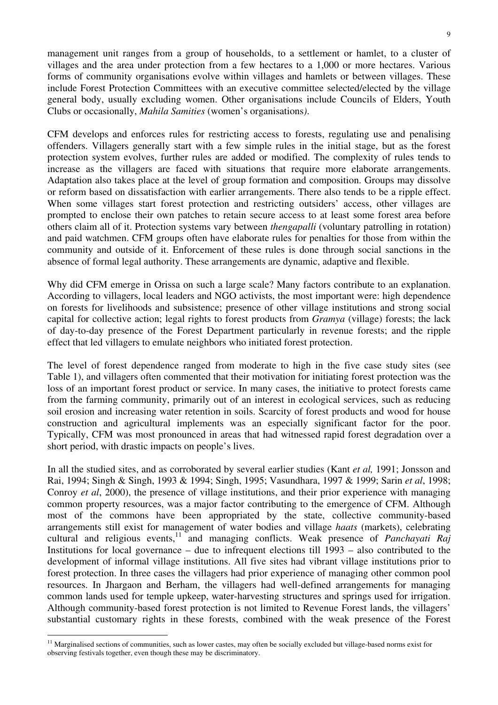management unit ranges from a group of households, to a settlement or hamlet, to a cluster of villages and the area under protection from a few hectares to a 1,000 or more hectares. Various forms of community organisations evolve within villages and hamlets or between villages. These include Forest Protection Committees with an executive committee selected/elected by the village general body, usually excluding women. Other organisations include Councils of Elders, Youth Clubs or occasionally, *Mahila Samities* (women's organisations*)*.

CFM develops and enforces rules for restricting access to forests, regulating use and penalising offenders. Villagers generally start with a few simple rules in the initial stage, but as the forest protection system evolves, further rules are added or modified. The complexity of rules tends to increase as the villagers are faced with situations that require more elaborate arrangements. Adaptation also takes place at the level of group formation and composition. Groups may dissolve or reform based on dissatisfaction with earlier arrangements. There also tends to be a ripple effect. When some villages start forest protection and restricting outsiders' access, other villages are prompted to enclose their own patches to retain secure access to at least some forest area before others claim all of it. Protection systems vary between *thengapalli* (voluntary patrolling in rotation) and paid watchmen. CFM groups often have elaborate rules for penalties for those from within the community and outside of it. Enforcement of these rules is done through social sanctions in the absence of formal legal authority. These arrangements are dynamic, adaptive and flexible.

Why did CFM emerge in Orissa on such a large scale? Many factors contribute to an explanation. According to villagers, local leaders and NGO activists, the most important were: high dependence on forests for livelihoods and subsistence; presence of other village institutions and strong social capital for collective action; legal rights to forest products from *Gramya* (village) forests; the lack of day-to-day presence of the Forest Department particularly in revenue forests; and the ripple effect that led villagers to emulate neighbors who initiated forest protection.

The level of forest dependence ranged from moderate to high in the five case study sites (see Table 1), and villagers often commented that their motivation for initiating forest protection was the loss of an important forest product or service. In many cases, the initiative to protect forests came from the farming community, primarily out of an interest in ecological services, such as reducing soil erosion and increasing water retention in soils. Scarcity of forest products and wood for house construction and agricultural implements was an especially significant factor for the poor. Typically, CFM was most pronounced in areas that had witnessed rapid forest degradation over a short period, with drastic impacts on people's lives.

In all the studied sites, and as corroborated by several earlier studies (Kant *et al,* 1991; Jonsson and Rai, 1994; Singh & Singh, 1993 & 1994; Singh, 1995; Vasundhara, 1997 & 1999; Sarin *et al*, 1998; Conroy *et al*, 2000), the presence of village institutions, and their prior experience with managing common property resources, was a major factor contributing to the emergence of CFM. Although most of the commons have been appropriated by the state, collective community-based arrangements still exist for management of water bodies and village *haats* (markets), celebrating cultural and religious events,<sup>11</sup> and managing conflicts. Weak presence of *Panchayati Raj* Institutions for local governance – due to infrequent elections till 1993 – also contributed to the development of informal village institutions. All five sites had vibrant village institutions prior to forest protection. In three cases the villagers had prior experience of managing other common pool resources. In Jhargaon and Berham, the villagers had well-defined arrangements for managing common lands used for temple upkeep, water-harvesting structures and springs used for irrigation. Although community-based forest protection is not limited to Revenue Forest lands, the villagers' substantial customary rights in these forests, combined with the weak presence of the Forest

<sup>&</sup>lt;sup>11</sup> Marginalised sections of communities, such as lower castes, may often be socially excluded but village-based norms exist for observing festivals together, even though these may be discriminatory.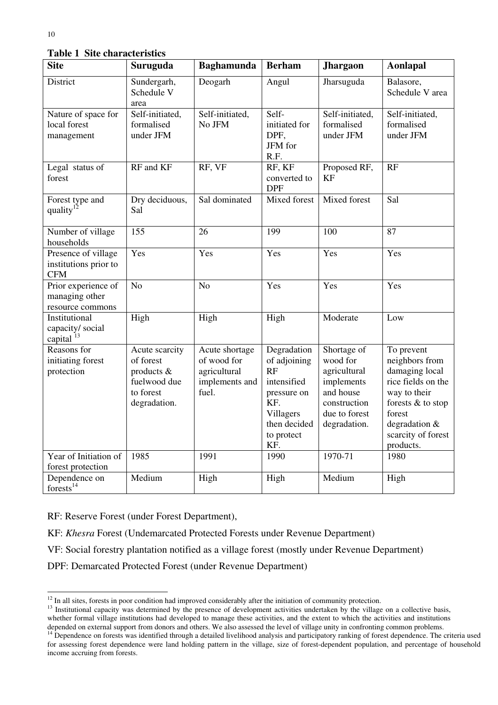**Table 1 Site characteristics**

| <b>Site</b>                                                | Suruguda                                                                               | <b>Baghamunda</b>                                                        | <b>Berham</b>                                                                                                            | <b>Jhargaon</b>                                                                                                     | <b>Aonlapal</b>                                                                                                                                                           |
|------------------------------------------------------------|----------------------------------------------------------------------------------------|--------------------------------------------------------------------------|--------------------------------------------------------------------------------------------------------------------------|---------------------------------------------------------------------------------------------------------------------|---------------------------------------------------------------------------------------------------------------------------------------------------------------------------|
| District                                                   | Sundergarh,<br>Schedule V<br>area                                                      | Deogarh                                                                  | Angul                                                                                                                    | Jharsuguda                                                                                                          | Balasore,<br>Schedule V area                                                                                                                                              |
| Nature of space for<br>local forest<br>management          | Self-initiated,<br>formalised<br>under JFM                                             | Self-initiated,<br>No JFM                                                | Self-<br>initiated for<br>DPF,<br>JFM for<br>R.F.                                                                        | Self-initiated,<br>formalised<br>under JFM                                                                          | Self-initiated,<br>formalised<br>under JFM                                                                                                                                |
| Legal status of<br>forest                                  | RF and KF                                                                              | RF, VF                                                                   | RF, KF<br>converted to<br><b>DPF</b>                                                                                     | Proposed RF,<br><b>KF</b>                                                                                           | RF                                                                                                                                                                        |
| Forest type and<br>quality <sup>12</sup>                   | Dry deciduous,<br>Sal                                                                  | Sal dominated                                                            | Mixed forest                                                                                                             | <b>Mixed</b> forest                                                                                                 | Sal                                                                                                                                                                       |
| Number of village<br>households                            | 155                                                                                    | 26                                                                       | 199                                                                                                                      | 100                                                                                                                 | 87                                                                                                                                                                        |
| Presence of village<br>institutions prior to<br><b>CFM</b> | Yes                                                                                    | Yes                                                                      | Yes                                                                                                                      | Yes                                                                                                                 | Yes                                                                                                                                                                       |
| Prior experience of<br>managing other<br>resource commons  | N <sub>o</sub>                                                                         | N <sub>o</sub>                                                           | Yes                                                                                                                      | Yes                                                                                                                 | Yes                                                                                                                                                                       |
| Institutional<br>capacity/ social<br>capital <sup>13</sup> | High                                                                                   | High                                                                     | High                                                                                                                     | Moderate                                                                                                            | Low                                                                                                                                                                       |
| Reasons for<br>initiating forest<br>protection             | Acute scarcity<br>of forest<br>products &<br>fuelwood due<br>to forest<br>degradation. | Acute shortage<br>of wood for<br>agricultural<br>implements and<br>fuel. | Degradation<br>of adjoining<br>RF<br>intensified<br>pressure on<br>KF.<br>Villagers<br>then decided<br>to protect<br>KF. | Shortage of<br>wood for<br>agricultural<br>implements<br>and house<br>construction<br>due to forest<br>degradation. | To prevent<br>neighbors from<br>damaging local<br>rice fields on the<br>way to their<br>forests & to stop<br>forest<br>degradation $&$<br>scarcity of forest<br>products. |
| Year of Initiation of<br>forest protection                 | 1985                                                                                   | 1991                                                                     | 1990                                                                                                                     | 1970-71                                                                                                             | 1980                                                                                                                                                                      |
| Dependence on<br>$f$ orests <sup>14</sup>                  | Medium                                                                                 | High                                                                     | High                                                                                                                     | Medium                                                                                                              | High                                                                                                                                                                      |

RF: Reserve Forest (under Forest Department),

KF: *Khesra* Forest (Undemarcated Protected Forests under Revenue Department)

VF: Social forestry plantation notified as a village forest (mostly under Revenue Department)

DPF: Demarcated Protected Forest (under Revenue Department)

 $^{12}$  In all sites, forests in poor condition had improved considerably after the initiation of community protection.<br><sup>13</sup> Institutional capacity was determined by the presence of development activities undertaken by the whether formal village institutions had developed to manage these activities, and the extent to which the activities and institutions depended on external support from donors and others. We also assessed the level of village unity in confronting common problems.

<sup>&</sup>lt;sup>14</sup> Dependence on forests was identified through a detailed livelihood analysis and participatory ranking of forest dependence. The criteria used for assessing forest dependence were land holding pattern in the village, size of forest-dependent population, and percentage of household income accruing from forests.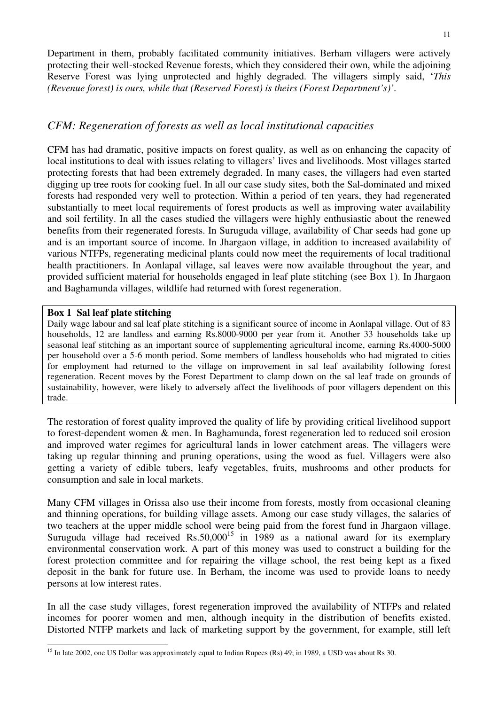Department in them, probably facilitated community initiatives. Berham villagers were actively protecting their well-stocked Revenue forests, which they considered their own, while the adjoining Reserve Forest was lying unprotected and highly degraded. The villagers simply said, '*This (Revenue forest) is ours, while that (Reserved Forest) is theirs (Forest Department's)'*.

# *CFM: Regeneration of forests as well as local institutional capacities*

CFM has had dramatic, positive impacts on forest quality, as well as on enhancing the capacity of local institutions to deal with issues relating to villagers' lives and livelihoods. Most villages started protecting forests that had been extremely degraded. In many cases, the villagers had even started digging up tree roots for cooking fuel. In all our case study sites, both the Sal-dominated and mixed forests had responded very well to protection. Within a period of ten years, they had regenerated substantially to meet local requirements of forest products as well as improving water availability and soil fertility. In all the cases studied the villagers were highly enthusiastic about the renewed benefits from their regenerated forests. In Suruguda village, availability of Char seeds had gone up and is an important source of income. In Jhargaon village, in addition to increased availability of various NTFPs, regenerating medicinal plants could now meet the requirements of local traditional health practitioners. In Aonlapal village, sal leaves were now available throughout the year, and provided sufficient material for households engaged in leaf plate stitching (see Box 1). In Jhargaon and Baghamunda villages, wildlife had returned with forest regeneration.

#### **Box 1 Sal leaf plate stitching**

Daily wage labour and sal leaf plate stitching is a significant source of income in Aonlapal village. Out of 83 households, 12 are landless and earning Rs.8000-9000 per year from it. Another 33 households take up seasonal leaf stitching as an important source of supplementing agricultural income, earning Rs.4000-5000 per household over a 5-6 month period. Some members of landless households who had migrated to cities for employment had returned to the village on improvement in sal leaf availability following forest regeneration. Recent moves by the Forest Department to clamp down on the sal leaf trade on grounds of sustainability, however, were likely to adversely affect the livelihoods of poor villagers dependent on this trade.

The restoration of forest quality improved the quality of life by providing critical livelihood support to forest-dependent women & men. In Baghamunda, forest regeneration led to reduced soil erosion and improved water regimes for agricultural lands in lower catchment areas. The villagers were taking up regular thinning and pruning operations, using the wood as fuel. Villagers were also getting a variety of edible tubers, leafy vegetables, fruits, mushrooms and other products for consumption and sale in local markets.

Many CFM villages in Orissa also use their income from forests, mostly from occasional cleaning and thinning operations, for building village assets. Among our case study villages, the salaries of two teachers at the upper middle school were being paid from the forest fund in Jhargaon village. Suruguda village had received  $Rs.50,000^{15}$  in 1989 as a national award for its exemplary environmental conservation work. A part of this money was used to construct a building for the forest protection committee and for repairing the village school, the rest being kept as a fixed deposit in the bank for future use. In Berham, the income was used to provide loans to needy persons at low interest rates.

In all the case study villages, forest regeneration improved the availability of NTFPs and related incomes for poorer women and men, although inequity in the distribution of benefits existed. Distorted NTFP markets and lack of marketing support by the government, for example, still left

<sup>&</sup>lt;sup>15</sup> In late 2002, one US Dollar was approximately equal to Indian Rupees (Rs) 49; in 1989, a USD was about Rs 30.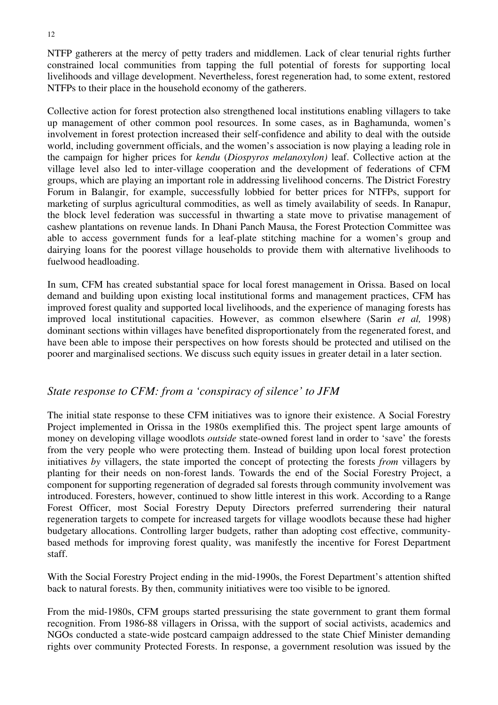NTFP gatherers at the mercy of petty traders and middlemen. Lack of clear tenurial rights further constrained local communities from tapping the full potential of forests for supporting local livelihoods and village development. Nevertheless, forest regeneration had, to some extent, restored NTFPs to their place in the household economy of the gatherers.

Collective action for forest protection also strengthened local institutions enabling villagers to take up management of other common pool resources. In some cases, as in Baghamunda, women's involvement in forest protection increased their self-confidence and ability to deal with the outside world, including government officials, and the women's association is now playing a leading role in the campaign for higher prices for *kendu* (*Diospyros melanoxylon)* leaf. Collective action at the village level also led to inter-village cooperation and the development of federations of CFM groups, which are playing an important role in addressing livelihood concerns. The District Forestry Forum in Balangir, for example, successfully lobbied for better prices for NTFPs, support for marketing of surplus agricultural commodities, as well as timely availability of seeds. In Ranapur, the block level federation was successful in thwarting a state move to privatise management of cashew plantations on revenue lands. In Dhani Panch Mausa, the Forest Protection Committee was able to access government funds for a leaf-plate stitching machine for a women's group and dairying loans for the poorest village households to provide them with alternative livelihoods to fuelwood headloading.

In sum, CFM has created substantial space for local forest management in Orissa. Based on local demand and building upon existing local institutional forms and management practices, CFM has improved forest quality and supported local livelihoods, and the experience of managing forests has improved local institutional capacities. However, as common elsewhere (Sarin *et al,* 1998) dominant sections within villages have benefited disproportionately from the regenerated forest, and have been able to impose their perspectives on how forests should be protected and utilised on the poorer and marginalised sections. We discuss such equity issues in greater detail in a later section.

## *State response to CFM: from a 'conspiracy of silence' to JFM*

The initial state response to these CFM initiatives was to ignore their existence. A Social Forestry Project implemented in Orissa in the 1980s exemplified this. The project spent large amounts of money on developing village woodlots *outside* state-owned forest land in order to 'save' the forests from the very people who were protecting them. Instead of building upon local forest protection initiatives *by* villagers, the state imported the concept of protecting the forests *from* villagers by planting for their needs on non-forest lands. Towards the end of the Social Forestry Project, a component for supporting regeneration of degraded sal forests through community involvement was introduced. Foresters, however, continued to show little interest in this work. According to a Range Forest Officer, most Social Forestry Deputy Directors preferred surrendering their natural regeneration targets to compete for increased targets for village woodlots because these had higher budgetary allocations. Controlling larger budgets, rather than adopting cost effective, communitybased methods for improving forest quality, was manifestly the incentive for Forest Department staff.

With the Social Forestry Project ending in the mid-1990s, the Forest Department's attention shifted back to natural forests. By then, community initiatives were too visible to be ignored.

From the mid-1980s, CFM groups started pressurising the state government to grant them formal recognition. From 1986-88 villagers in Orissa, with the support of social activists, academics and NGOs conducted a state-wide postcard campaign addressed to the state Chief Minister demanding rights over community Protected Forests. In response, a government resolution was issued by the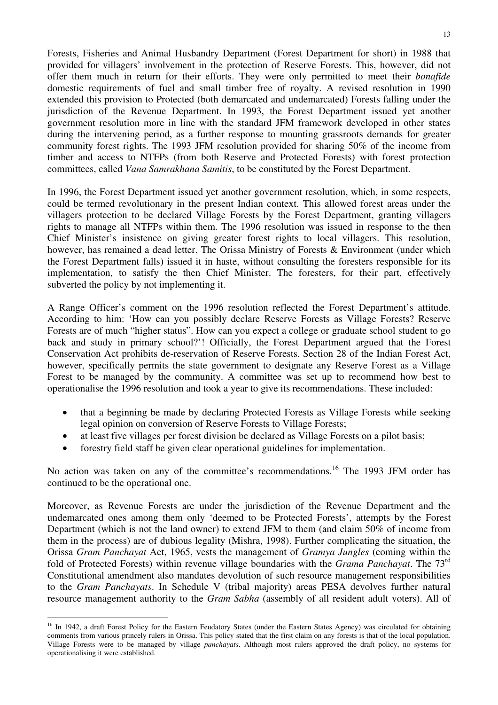Forests, Fisheries and Animal Husbandry Department (Forest Department for short) in 1988 that provided for villagers' involvement in the protection of Reserve Forests. This, however, did not offer them much in return for their efforts. They were only permitted to meet their *bonafide* domestic requirements of fuel and small timber free of royalty. A revised resolution in 1990 extended this provision to Protected (both demarcated and undemarcated) Forests falling under the jurisdiction of the Revenue Department. In 1993, the Forest Department issued yet another government resolution more in line with the standard JFM framework developed in other states during the intervening period, as a further response to mounting grassroots demands for greater community forest rights. The 1993 JFM resolution provided for sharing 50% of the income from timber and access to NTFPs (from both Reserve and Protected Forests) with forest protection committees, called *Vana Samrakhana Samitis*, to be constituted by the Forest Department.

In 1996, the Forest Department issued yet another government resolution, which, in some respects, could be termed revolutionary in the present Indian context. This allowed forest areas under the villagers protection to be declared Village Forests by the Forest Department, granting villagers rights to manage all NTFPs within them. The 1996 resolution was issued in response to the then Chief Minister's insistence on giving greater forest rights to local villagers. This resolution, however, has remained a dead letter. The Orissa Ministry of Forests & Environment (under which the Forest Department falls) issued it in haste, without consulting the foresters responsible for its implementation, to satisfy the then Chief Minister. The foresters, for their part, effectively subverted the policy by not implementing it.

A Range Officer's comment on the 1996 resolution reflected the Forest Department's attitude. According to him: 'How can you possibly declare Reserve Forests as Village Forests? Reserve Forests are of much "higher status". How can you expect a college or graduate school student to go back and study in primary school?'! Officially, the Forest Department argued that the Forest Conservation Act prohibits de-reservation of Reserve Forests. Section 28 of the Indian Forest Act, however, specifically permits the state government to designate any Reserve Forest as a Village Forest to be managed by the community. A committee was set up to recommend how best to operationalise the 1996 resolution and took a year to give its recommendations. These included:

- that a beginning be made by declaring Protected Forests as Village Forests while seeking legal opinion on conversion of Reserve Forests to Village Forests;
- at least five villages per forest division be declared as Village Forests on a pilot basis;
- forestry field staff be given clear operational guidelines for implementation.

No action was taken on any of the committee's recommendations.<sup>16</sup> The 1993 JFM order has continued to be the operational one.

Moreover, as Revenue Forests are under the jurisdiction of the Revenue Department and the undemarcated ones among them only 'deemed to be Protected Forests', attempts by the Forest Department (which is not the land owner) to extend JFM to them (and claim 50% of income from them in the process) are of dubious legality (Mishra, 1998). Further complicating the situation, the Orissa *Gram Panchayat* Act, 1965, vests the management of *Gramya Jungles* (coming within the fold of Protected Forests) within revenue village boundaries with the *Grama Panchayat*. The 73rd Constitutional amendment also mandates devolution of such resource management responsibilities to the *Gram Panchayats*. In Schedule V (tribal majority) areas PESA devolves further natural resource management authority to the *Gram Sabha* (assembly of all resident adult voters). All of

<sup>&</sup>lt;sup>16</sup> In 1942, a draft Forest Policy for the Eastern Feudatory States (under the Eastern States Agency) was circulated for obtaining comments from various princely rulers in Orissa. This policy stated that the first claim on any forests is that of the local population. Village Forests were to be managed by village *panchayats*. Although most rulers approved the draft policy, no systems for operationalising it were established.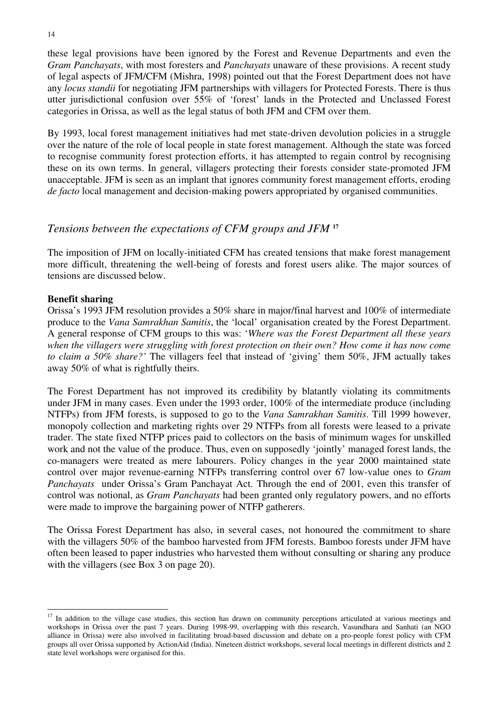these legal provisions have been ignored by the Forest and Revenue Departments and even the *Gram Panchayats*, with most foresters and *Panchayats* unaware of these provisions. A recent study of legal aspects of JFM/CFM (Mishra, 1998) pointed out that the Forest Department does not have any *locus standii* for negotiating JFM partnerships with villagers for Protected Forests. There is thus utter jurisdictional confusion over 55% of 'forest' lands in the Protected and Unclassed Forest categories in Orissa, as well as the legal status of both JFM and CFM over them.

By 1993, local forest management initiatives had met state-driven devolution policies in a struggle over the nature of the role of local people in state forest management. Although the state was forced to recognise community forest protection efforts, it has attempted to regain control by recognising these on its own terms. In general, villagers protecting their forests consider state-promoted JFM unacceptable. JFM is seen as an implant that ignores community forest management efforts, eroding *de facto* local management and decision-making powers appropriated by organised communities.

### *Tensions between the expectations of CFM groups and JFM* **<sup>17</sup>**

The imposition of JFM on locally-initiated CFM has created tensions that make forest management more difficult, threatening the well-being of forests and forest users alike. The major sources of tensions are discussed below.

#### **Benefit sharing**

Orissa's 1993 JFM resolution provides a 50% share in major/final harvest and 100% of intermediate produce to the *Vana Samrakhan Samitis*, the 'local' organisation created by the Forest Department. A general response of CFM groups to this was: '*Where was the Forest Department all these years*  when the villagers were struggling with forest protection on their own? How come it has now come *to claim a 50% share?'* The villagers feel that instead of 'giving' them 50%, JFM actually takes away 50% of what is rightfully theirs.

The Forest Department has not improved its credibility by blatantly violating its commitments under JFM in many cases. Even under the 1993 order, 100% of the intermediate produce (including NTFPs) from JFM forests, is supposed to go to the *Vana Samrakhan Samitis*. Till 1999 however, monopoly collection and marketing rights over 29 NTFPs from all forests were leased to a private trader. The state fixed NTFP prices paid to collectors on the basis of minimum wages for unskilled work and not the value of the produce. Thus, even on supposedly 'jointly' managed forest lands, the co-managers were treated as mere labourers. Policy changes in the year 2000 maintained state control over major revenue-earning NTFPs transferring control over 67 low-value ones to *Gram Panchayats* under Orissa's Gram Panchayat Act. Through the end of 2001, even this transfer of control was notional, as *Gram Panchayats* had been granted only regulatory powers, and no efforts were made to improve the bargaining power of NTFP gatherers.

The Orissa Forest Department has also, in several cases, not honoured the commitment to share with the villagers 50% of the bamboo harvested from JFM forests. Bamboo forests under JFM have often been leased to paper industries who harvested them without consulting or sharing any produce with the villagers (see Box 3 on page 20).

<sup>&</sup>lt;sup>17</sup> In addition to the village case studies, this section has drawn on community perceptions articulated at various meetings and workshops in Orissa over the past 7 years. During 1998-99, overlapping with this research, Vasundhara and Sanhati (an NGO alliance in Orissa) were also involved in facilitating broad-based discussion and debate on a pro-people forest policy with CFM groups all over Orissa supported by ActionAid (India). Nineteen district workshops, several local meetings in different districts and 2 state level workshops were organised for this.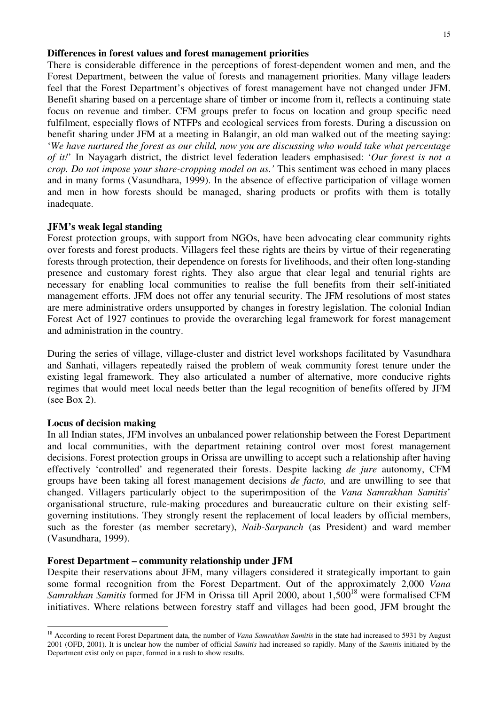#### **Differences in forest values and forest management priorities**

There is considerable difference in the perceptions of forest-dependent women and men, and the Forest Department, between the value of forests and management priorities. Many village leaders feel that the Forest Department's objectives of forest management have not changed under JFM. Benefit sharing based on a percentage share of timber or income from it, reflects a continuing state focus on revenue and timber. CFM groups prefer to focus on location and group specific need fulfilment, especially flows of NTFPs and ecological services from forests. During a discussion on benefit sharing under JFM at a meeting in Balangir, an old man walked out of the meeting saying: '*We have nurtured the forest as our child, now you are discussing who would take what percentage of it!*' In Nayagarh district, the district level federation leaders emphasised: '*Our forest is not a crop. Do not impose your share-cropping model on us.'* This sentiment was echoed in many places and in many forms (Vasundhara, 1999). In the absence of effective participation of village women and men in how forests should be managed, sharing products or profits with them is totally inadequate.

#### **JFM's weak legal standing**

Forest protection groups, with support from NGOs, have been advocating clear community rights over forests and forest products. Villagers feel these rights are theirs by virtue of their regenerating forests through protection, their dependence on forests for livelihoods, and their often long-standing presence and customary forest rights. They also argue that clear legal and tenurial rights are necessary for enabling local communities to realise the full benefits from their self-initiated management efforts. JFM does not offer any tenurial security. The JFM resolutions of most states are mere administrative orders unsupported by changes in forestry legislation. The colonial Indian Forest Act of 1927 continues to provide the overarching legal framework for forest management and administration in the country.

During the series of village, village-cluster and district level workshops facilitated by Vasundhara and Sanhati, villagers repeatedly raised the problem of weak community forest tenure under the existing legal framework. They also articulated a number of alternative, more conducive rights regimes that would meet local needs better than the legal recognition of benefits offered by JFM (see Box 2).

#### **Locus of decision making**

In all Indian states, JFM involves an unbalanced power relationship between the Forest Department and local communities, with the department retaining control over most forest management decisions. Forest protection groups in Orissa are unwilling to accept such a relationship after having effectively 'controlled' and regenerated their forests. Despite lacking *de jure* autonomy, CFM groups have been taking all forest management decisions *de facto,* and are unwilling to see that changed. Villagers particularly object to the superimposition of the *Vana Samrakhan Samitis*' organisational structure, rule-making procedures and bureaucratic culture on their existing selfgoverning institutions. They strongly resent the replacement of local leaders by official members, such as the forester (as member secretary), *Naib-Sarpanch* (as President) and ward member (Vasundhara, 1999).

#### **Forest Department – community relationship under JFM**

Despite their reservations about JFM, many villagers considered it strategically important to gain some formal recognition from the Forest Department. Out of the approximately 2,000 *Vana Samrakhan Samitis* formed for JFM in Orissa till April 2000, about 1,500<sup>18</sup> were formalised CFM initiatives. Where relations between forestry staff and villages had been good, JFM brought the

<sup>&</sup>lt;sup>18</sup> According to recent Forest Department data, the number of *Vana Samrakhan Samitis* in the state had increased to 5931 by August 2001 (OFD, 2001). It is unclear how the number of official *Samitis* had increased so rapidly. Many of the *Samitis* initiated by the Department exist only on paper, formed in a rush to show results.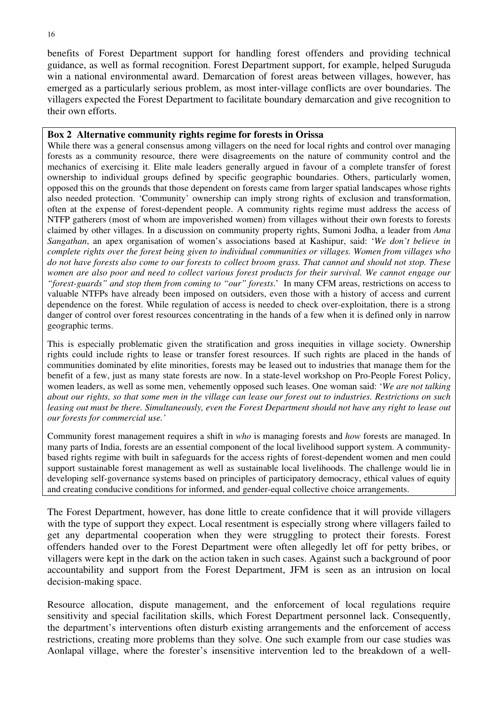benefits of Forest Department support for handling forest offenders and providing technical guidance, as well as formal recognition. Forest Department support, for example, helped Suruguda win a national environmental award. Demarcation of forest areas between villages, however, has emerged as a particularly serious problem, as most inter-village conflicts are over boundaries. The villagers expected the Forest Department to facilitate boundary demarcation and give recognition to their own efforts.

#### **Box 2 Alternative community rights regime for forests in Orissa**

While there was a general consensus among villagers on the need for local rights and control over managing forests as a community resource, there were disagreements on the nature of community control and the mechanics of exercising it. Elite male leaders generally argued in favour of a complete transfer of forest ownership to individual groups defined by specific geographic boundaries. Others, particularly women, opposed this on the grounds that those dependent on forests came from larger spatial landscapes whose rights also needed protection. 'Community' ownership can imply strong rights of exclusion and transformation, often at the expense of forest-dependent people. A community rights regime must address the access of NTFP gatherers (most of whom are impoverished women) from villages without their own forests to forests claimed by other villages. In a discussion on community property rights, Sumoni Jodha, a leader from *Ama Sangathan*, an apex organisation of women's associations based at Kashipur, said: '*We don't believe in complete rights over the forest being given to individual communities or villages. Women from villages who do not have forests also come to our forests to collect broom grass. That cannot and should not stop. These women are also poor and need to collect various forest products for their survival. We cannot engage our "forest-guards" and stop them from coming to "our" forests*.' In many CFM areas, restrictions on access to valuable NTFPs have already been imposed on outsiders, even those with a history of access and current dependence on the forest. While regulation of access is needed to check over-exploitation, there is a strong danger of control over forest resources concentrating in the hands of a few when it is defined only in narrow geographic terms.

This is especially problematic given the stratification and gross inequities in village society. Ownership rights could include rights to lease or transfer forest resources. If such rights are placed in the hands of communities dominated by elite minorities, forests may be leased out to industries that manage them for the benefit of a few, just as many state forests are now. In a state-level workshop on Pro-People Forest Policy, women leaders, as well as some men, vehemently opposed such leases. One woman said: '*We are not talking about our rights, so that some men in the village can lease our forest out to industries. Restrictions on such leasing out must be there. Simultaneously, even the Forest Department should not have any right to lease out our forests for commercial use.'*

Community forest management requires a shift in *who* is managing forests and *how* forests are managed. In many parts of India, forests are an essential component of the local livelihood support system. A communitybased rights regime with built in safeguards for the access rights of forest-dependent women and men could support sustainable forest management as well as sustainable local livelihoods. The challenge would lie in developing self-governance systems based on principles of participatory democracy, ethical values of equity and creating conducive conditions for informed, and gender-equal collective choice arrangements.

The Forest Department, however, has done little to create confidence that it will provide villagers with the type of support they expect. Local resentment is especially strong where villagers failed to get any departmental cooperation when they were struggling to protect their forests. Forest offenders handed over to the Forest Department were often allegedly let off for petty bribes, or villagers were kept in the dark on the action taken in such cases. Against such a background of poor accountability and support from the Forest Department, JFM is seen as an intrusion on local decision-making space.

Resource allocation, dispute management, and the enforcement of local regulations require sensitivity and special facilitation skills, which Forest Department personnel lack. Consequently, the department's interventions often disturb existing arrangements and the enforcement of access restrictions, creating more problems than they solve. One such example from our case studies was Aonlapal village, where the forester's insensitive intervention led to the breakdown of a well-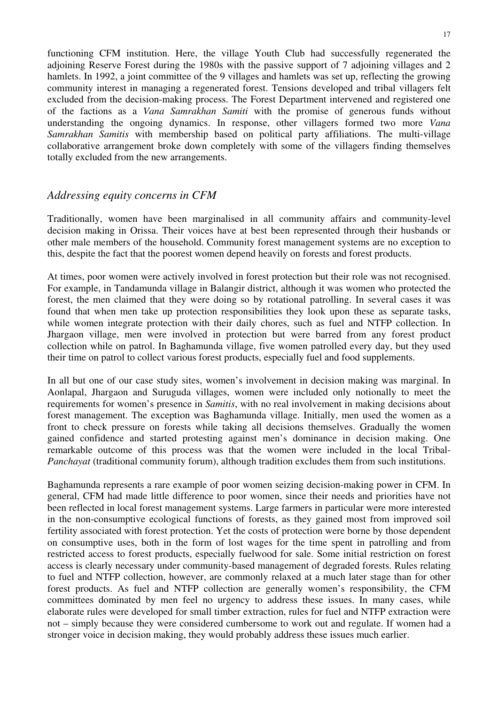functioning CFM institution. Here, the village Youth Club had successfully regenerated the adjoining Reserve Forest during the 1980s with the passive support of 7 adjoining villages and 2 hamlets. In 1992, a joint committee of the 9 villages and hamlets was set up, reflecting the growing community interest in managing a regenerated forest. Tensions developed and tribal villagers felt excluded from the decision-making process. The Forest Department intervened and registered one of the factions as a *Vana Samrakhan Samiti* with the promise of generous funds without understanding the ongoing dynamics. In response, other villagers formed two more *Vana Samrakhan Samitis* with membership based on political party affiliations. The multi-village collaborative arrangement broke down completely with some of the villagers finding themselves totally excluded from the new arrangements.

#### *Addressing equity concerns in CFM*

Traditionally, women have been marginalised in all community affairs and community-level decision making in Orissa. Their voices have at best been represented through their husbands or other male members of the household. Community forest management systems are no exception to this, despite the fact that the poorest women depend heavily on forests and forest products.

At times, poor women were actively involved in forest protection but their role was not recognised. For example, in Tandamunda village in Balangir district, although it was women who protected the forest, the men claimed that they were doing so by rotational patrolling. In several cases it was found that when men take up protection responsibilities they look upon these as separate tasks, while women integrate protection with their daily chores, such as fuel and NTFP collection. In Jhargaon village, men were involved in protection but were barred from any forest product collection while on patrol. In Baghamunda village, five women patrolled every day, but they used their time on patrol to collect various forest products, especially fuel and food supplements.

In all but one of our case study sites, women's involvement in decision making was marginal. In Aonlapal, Jhargaon and Suruguda villages, women were included only notionally to meet the requirements for women's presence in *Samitis*, with no real involvement in making decisions about forest management. The exception was Baghamunda village. Initially, men used the women as a front to check pressure on forests while taking all decisions themselves. Gradually the women gained confidence and started protesting against men's dominance in decision making. One remarkable outcome of this process was that the women were included in the local Tribal-*Panchayat* (traditional community forum), although tradition excludes them from such institutions.

Baghamunda represents a rare example of poor women seizing decision-making power in CFM. In general, CFM had made little difference to poor women, since their needs and priorities have not been reflected in local forest management systems. Large farmers in particular were more interested in the non-consumptive ecological functions of forests, as they gained most from improved soil fertility associated with forest protection. Yet the costs of protection were borne by those dependent on consumptive uses, both in the form of lost wages for the time spent in patrolling and from restricted access to forest products, especially fuelwood for sale. Some initial restriction on forest access is clearly necessary under community-based management of degraded forests. Rules relating to fuel and NTFP collection, however, are commonly relaxed at a much later stage than for other forest products. As fuel and NTFP collection are generally women's responsibility, the CFM committees dominated by men feel no urgency to address these issues. In many cases, while elaborate rules were developed for small timber extraction, rules for fuel and NTFP extraction were not – simply because they were considered cumbersome to work out and regulate. If women had a stronger voice in decision making, they would probably address these issues much earlier.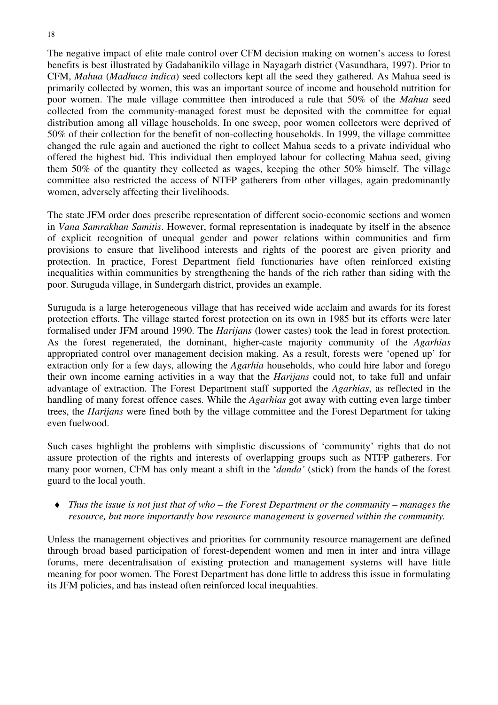The negative impact of elite male control over CFM decision making on women's access to forest benefits is best illustrated by Gadabanikilo village in Nayagarh district (Vasundhara, 1997). Prior to CFM, *Mahua* (*Madhuca indica*) seed collectors kept all the seed they gathered. As Mahua seed is primarily collected by women, this was an important source of income and household nutrition for poor women. The male village committee then introduced a rule that 50% of the *Mahua* seed collected from the community-managed forest must be deposited with the committee for equal distribution among all village households. In one sweep, poor women collectors were deprived of 50% of their collection for the benefit of non-collecting households. In 1999, the village committee changed the rule again and auctioned the right to collect Mahua seeds to a private individual who offered the highest bid. This individual then employed labour for collecting Mahua seed, giving them 50% of the quantity they collected as wages, keeping the other 50% himself. The village committee also restricted the access of NTFP gatherers from other villages, again predominantly women, adversely affecting their livelihoods.

The state JFM order does prescribe representation of different socio-economic sections and women in *Vana Samrakhan Samitis*. However, formal representation is inadequate by itself in the absence of explicit recognition of unequal gender and power relations within communities and firm provisions to ensure that livelihood interests and rights of the poorest are given priority and protection. In practice, Forest Department field functionaries have often reinforced existing inequalities within communities by strengthening the hands of the rich rather than siding with the poor. Suruguda village, in Sundergarh district, provides an example.

Suruguda is a large heterogeneous village that has received wide acclaim and awards for its forest protection efforts. The village started forest protection on its own in 1985 but its efforts were later formalised under JFM around 1990. The *Harijans* (lower castes) took the lead in forest protection*.* As the forest regenerated, the dominant, higher-caste majority community of the *Agarhias* appropriated control over management decision making. As a result, forests were 'opened up' for extraction only for a few days, allowing the *Agarhia* households, who could hire labor and forego their own income earning activities in a way that the *Harijans* could not, to take full and unfair advantage of extraction. The Forest Department staff supported the *Agarhias*, as reflected in the handling of many forest offence cases. While the *Agarhias* got away with cutting even large timber trees, the *Harijans* were fined both by the village committee and the Forest Department for taking even fuelwood.

Such cases highlight the problems with simplistic discussions of 'community' rights that do not assure protection of the rights and interests of overlapping groups such as NTFP gatherers. For many poor women, CFM has only meant a shift in the '*danda'* (stick) from the hands of the forest guard to the local youth.

♦ *Thus the issue is not just that of who – the Forest Department or the community – manages the resource, but more importantly how resource management is governed within the community.*

Unless the management objectives and priorities for community resource management are defined through broad based participation of forest-dependent women and men in inter and intra village forums, mere decentralisation of existing protection and management systems will have little meaning for poor women. The Forest Department has done little to address this issue in formulating its JFM policies, and has instead often reinforced local inequalities.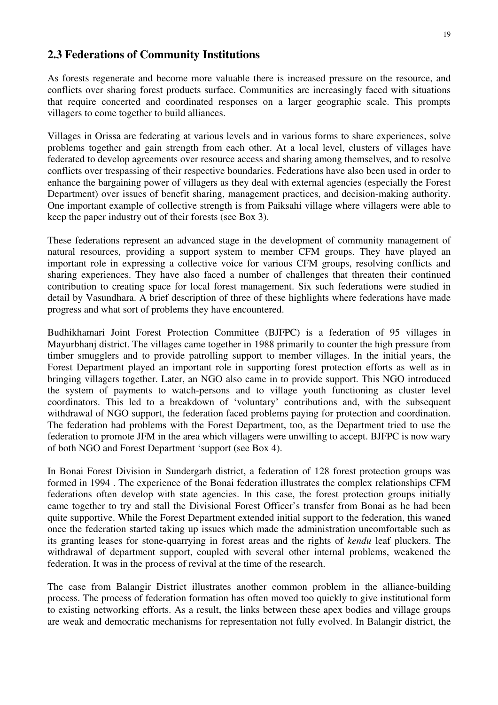### **2.3 Federations of Community Institutions**

As forests regenerate and become more valuable there is increased pressure on the resource, and conflicts over sharing forest products surface. Communities are increasingly faced with situations that require concerted and coordinated responses on a larger geographic scale. This prompts villagers to come together to build alliances.

Villages in Orissa are federating at various levels and in various forms to share experiences, solve problems together and gain strength from each other. At a local level, clusters of villages have federated to develop agreements over resource access and sharing among themselves, and to resolve conflicts over trespassing of their respective boundaries. Federations have also been used in order to enhance the bargaining power of villagers as they deal with external agencies (especially the Forest Department) over issues of benefit sharing, management practices, and decision-making authority. One important example of collective strength is from Paiksahi village where villagers were able to keep the paper industry out of their forests (see Box 3).

These federations represent an advanced stage in the development of community management of natural resources, providing a support system to member CFM groups. They have played an important role in expressing a collective voice for various CFM groups, resolving conflicts and sharing experiences. They have also faced a number of challenges that threaten their continued contribution to creating space for local forest management. Six such federations were studied in detail by Vasundhara. A brief description of three of these highlights where federations have made progress and what sort of problems they have encountered.

Budhikhamari Joint Forest Protection Committee (BJFPC) is a federation of 95 villages in Mayurbhanj district. The villages came together in 1988 primarily to counter the high pressure from timber smugglers and to provide patrolling support to member villages. In the initial years, the Forest Department played an important role in supporting forest protection efforts as well as in bringing villagers together. Later, an NGO also came in to provide support. This NGO introduced the system of payments to watch-persons and to village youth functioning as cluster level coordinators. This led to a breakdown of 'voluntary' contributions and, with the subsequent withdrawal of NGO support, the federation faced problems paying for protection and coordination. The federation had problems with the Forest Department, too, as the Department tried to use the federation to promote JFM in the area which villagers were unwilling to accept. BJFPC is now wary of both NGO and Forest Department 'support (see Box 4).

In Bonai Forest Division in Sundergarh district, a federation of 128 forest protection groups was formed in 1994 . The experience of the Bonai federation illustrates the complex relationships CFM federations often develop with state agencies. In this case, the forest protection groups initially came together to try and stall the Divisional Forest Officer's transfer from Bonai as he had been quite supportive. While the Forest Department extended initial support to the federation, this waned once the federation started taking up issues which made the administration uncomfortable such as its granting leases for stone-quarrying in forest areas and the rights of *kendu* leaf pluckers. The withdrawal of department support, coupled with several other internal problems, weakened the federation. It was in the process of revival at the time of the research.

The case from Balangir District illustrates another common problem in the alliance-building process. The process of federation formation has often moved too quickly to give institutional form to existing networking efforts. As a result, the links between these apex bodies and village groups are weak and democratic mechanisms for representation not fully evolved. In Balangir district, the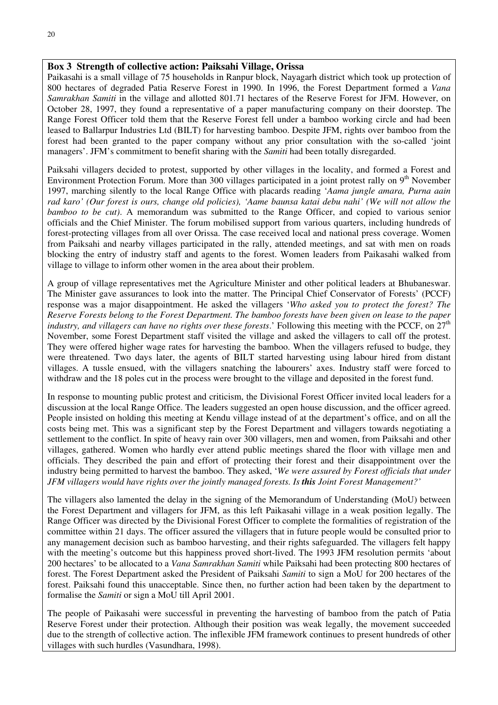#### **Box 3 Strength of collective action: Paiksahi Village, Orissa**

Paikasahi is a small village of 75 households in Ranpur block, Nayagarh district which took up protection of 800 hectares of degraded Patia Reserve Forest in 1990. In 1996, the Forest Department formed a *Vana Samrakhan Samiti* in the village and allotted 801.71 hectares of the Reserve Forest for JFM. However, on October 28, 1997, they found a representative of a paper manufacturing company on their doorstep. The Range Forest Officer told them that the Reserve Forest fell under a bamboo working circle and had been leased to Ballarpur Industries Ltd (BILT) for harvesting bamboo. Despite JFM, rights over bamboo from the forest had been granted to the paper company without any prior consultation with the so-called 'joint managers'. JFM's commitment to benefit sharing with the *Samiti* had been totally disregarded.

Paiksahi villagers decided to protest, supported by other villages in the locality, and formed a Forest and Environment Protection Forum. More than 300 villages participated in a joint protest rally on  $9<sup>th</sup>$  November 1997, marching silently to the local Range Office with placards reading '*Aama jungle amara, Purna aain rad karo' (Our forest is ours, change old policies), 'Aame baunsa katai debu nahi' (We will not allow the bamboo to be cut)*. A memorandum was submitted to the Range Officer, and copied to various senior officials and the Chief Minister. The forum mobilised support from various quarters, including hundreds of forest-protecting villages from all over Orissa. The case received local and national press coverage. Women from Paiksahi and nearby villages participated in the rally, attended meetings, and sat with men on roads blocking the entry of industry staff and agents to the forest. Women leaders from Paikasahi walked from village to village to inform other women in the area about their problem.

A group of village representatives met the Agriculture Minister and other political leaders at Bhubaneswar. The Minister gave assurances to look into the matter. The Principal Chief Conservator of Forests' (PCCF) response was a major disappointment. He asked the villagers '*Who asked you to protect the forest? The Reserve Forests belong to the Forest Department. The bamboo forests have been given on lease to the paper industry, and villagers can have no rights over these forests.*' Following this meeting with the PCCF, on 27<sup>th</sup> November, some Forest Department staff visited the village and asked the villagers to call off the protest. They were offered higher wage rates for harvesting the bamboo. When the villagers refused to budge, they were threatened. Two days later, the agents of BILT started harvesting using labour hired from distant villages. A tussle ensued, with the villagers snatching the labourers' axes. Industry staff were forced to withdraw and the 18 poles cut in the process were brought to the village and deposited in the forest fund.

In response to mounting public protest and criticism, the Divisional Forest Officer invited local leaders for a discussion at the local Range Office. The leaders suggested an open house discussion, and the officer agreed. People insisted on holding this meeting at Kendu village instead of at the department's office, and on all the costs being met. This was a significant step by the Forest Department and villagers towards negotiating a settlement to the conflict. In spite of heavy rain over 300 villagers, men and women, from Paiksahi and other villages, gathered. Women who hardly ever attend public meetings shared the floor with village men and officials. They described the pain and effort of protecting their forest and their disappointment over the industry being permitted to harvest the bamboo. They asked, '*We were assured by Forest officials that under JFM villagers would have rights over the jointly managed forests. Is this Joint Forest Management?'*

The villagers also lamented the delay in the signing of the Memorandum of Understanding (MoU) between the Forest Department and villagers for JFM, as this left Paikasahi village in a weak position legally. The Range Officer was directed by the Divisional Forest Officer to complete the formalities of registration of the committee within 21 days. The officer assured the villagers that in future people would be consulted prior to any management decision such as bamboo harvesting, and their rights safeguarded. The villagers felt happy with the meeting's outcome but this happiness proved short-lived. The 1993 JFM resolution permits 'about 200 hectares' to be allocated to a *Vana Samrakhan Samiti* while Paiksahi had been protecting 800 hectares of forest. The Forest Department asked the President of Paiksahi *Samiti* to sign a MoU for 200 hectares of the forest. Paiksahi found this unacceptable. Since then, no further action had been taken by the department to formalise the *Samiti* or sign a MoU till April 2001.

The people of Paikasahi were successful in preventing the harvesting of bamboo from the patch of Patia Reserve Forest under their protection. Although their position was weak legally, the movement succeeded due to the strength of collective action. The inflexible JFM framework continues to present hundreds of other villages with such hurdles (Vasundhara, 1998).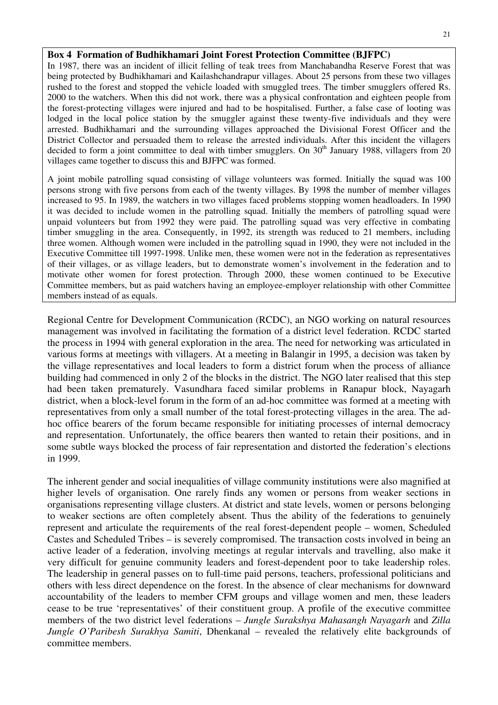#### **Box 4 Formation of Budhikhamari Joint Forest Protection Committee (BJFPC)**

In 1987, there was an incident of illicit felling of teak trees from Manchabandha Reserve Forest that was being protected by Budhikhamari and Kailashchandrapur villages. About 25 persons from these two villages rushed to the forest and stopped the vehicle loaded with smuggled trees. The timber smugglers offered Rs. 2000 to the watchers. When this did not work, there was a physical confrontation and eighteen people from the forest-protecting villages were injured and had to be hospitalised. Further, a false case of looting was lodged in the local police station by the smuggler against these twenty-five individuals and they were arrested. Budhikhamari and the surrounding villages approached the Divisional Forest Officer and the District Collector and persuaded them to release the arrested individuals. After this incident the villagers decided to form a joint committee to deal with timber smugglers. On  $30<sup>th</sup>$  January 1988, villagers from 20 villages came together to discuss this and BJFPC was formed.

A joint mobile patrolling squad consisting of village volunteers was formed. Initially the squad was 100 persons strong with five persons from each of the twenty villages. By 1998 the number of member villages increased to 95. In 1989, the watchers in two villages faced problems stopping women headloaders. In 1990 it was decided to include women in the patrolling squad. Initially the members of patrolling squad were unpaid volunteers but from 1992 they were paid. The patrolling squad was very effective in combating timber smuggling in the area. Consequently, in 1992, its strength was reduced to 21 members, including three women. Although women were included in the patrolling squad in 1990, they were not included in the Executive Committee till 1997-1998. Unlike men, these women were not in the federation as representatives of their villages, or as village leaders, but to demonstrate women's involvement in the federation and to motivate other women for forest protection. Through 2000, these women continued to be Executive Committee members, but as paid watchers having an employee-employer relationship with other Committee members instead of as equals.

Regional Centre for Development Communication (RCDC), an NGO working on natural resources management was involved in facilitating the formation of a district level federation. RCDC started the process in 1994 with general exploration in the area. The need for networking was articulated in various forms at meetings with villagers. At a meeting in Balangir in 1995, a decision was taken by the village representatives and local leaders to form a district forum when the process of alliance building had commenced in only 2 of the blocks in the district. The NGO later realised that this step had been taken prematurely. Vasundhara faced similar problems in Ranapur block, Nayagarh district, when a block-level forum in the form of an ad-hoc committee was formed at a meeting with representatives from only a small number of the total forest-protecting villages in the area. The adhoc office bearers of the forum became responsible for initiating processes of internal democracy and representation. Unfortunately, the office bearers then wanted to retain their positions, and in some subtle ways blocked the process of fair representation and distorted the federation's elections in 1999.

The inherent gender and social inequalities of village community institutions were also magnified at higher levels of organisation. One rarely finds any women or persons from weaker sections in organisations representing village clusters. At district and state levels, women or persons belonging to weaker sections are often completely absent. Thus the ability of the federations to genuinely represent and articulate the requirements of the real forest-dependent people – women, Scheduled Castes and Scheduled Tribes – is severely compromised. The transaction costs involved in being an active leader of a federation, involving meetings at regular intervals and travelling, also make it very difficult for genuine community leaders and forest-dependent poor to take leadership roles. The leadership in general passes on to full-time paid persons, teachers, professional politicians and others with less direct dependence on the forest. In the absence of clear mechanisms for downward accountability of the leaders to member CFM groups and village women and men, these leaders cease to be true 'representatives' of their constituent group. A profile of the executive committee members of the two district level federations – *Jungle Surakshya Mahasangh Nayagarh* and *Zilla Jungle O'Paribesh Surakhya Samiti*, Dhenkanal – revealed the relatively elite backgrounds of committee members.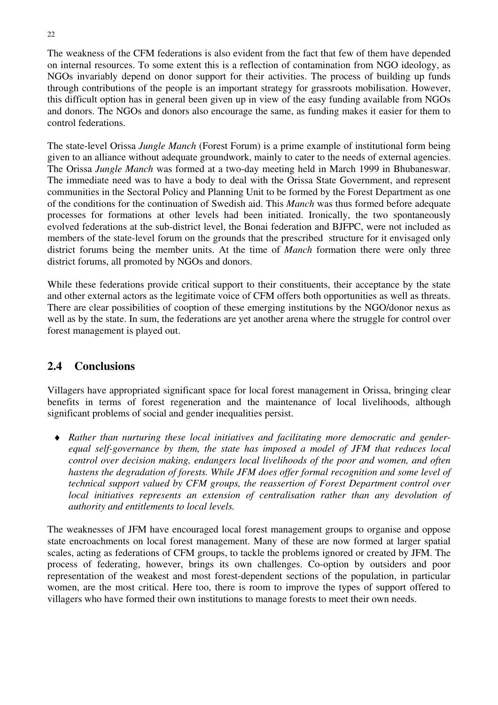The weakness of the CFM federations is also evident from the fact that few of them have depended on internal resources. To some extent this is a reflection of contamination from NGO ideology, as NGOs invariably depend on donor support for their activities. The process of building up funds through contributions of the people is an important strategy for grassroots mobilisation. However, this difficult option has in general been given up in view of the easy funding available from NGOs and donors. The NGOs and donors also encourage the same, as funding makes it easier for them to control federations.

The state-level Orissa *Jungle Manch* (Forest Forum) is a prime example of institutional form being given to an alliance without adequate groundwork, mainly to cater to the needs of external agencies. The Orissa *Jungle Manch* was formed at a two-day meeting held in March 1999 in Bhubaneswar. The immediate need was to have a body to deal with the Orissa State Government, and represent communities in the Sectoral Policy and Planning Unit to be formed by the Forest Department as one of the conditions for the continuation of Swedish aid. This *Manch* was thus formed before adequate processes for formations at other levels had been initiated. Ironically, the two spontaneously evolved federations at the sub-district level, the Bonai federation and BJFPC, were not included as members of the state-level forum on the grounds that the prescribed structure for it envisaged only district forums being the member units. At the time of *Manch* formation there were only three district forums, all promoted by NGOs and donors.

While these federations provide critical support to their constituents, their acceptance by the state and other external actors as the legitimate voice of CFM offers both opportunities as well as threats. There are clear possibilities of cooption of these emerging institutions by the NGO/donor nexus as well as by the state. In sum, the federations are yet another arena where the struggle for control over forest management is played out.

# **2.4 Conclusions**

Villagers have appropriated significant space for local forest management in Orissa, bringing clear benefits in terms of forest regeneration and the maintenance of local livelihoods, although significant problems of social and gender inequalities persist.

♦ *Rather than nurturing these local initiatives and facilitating more democratic and genderequal self-governance by them, the state has imposed a model of JFM that reduces local control over decision making, endangers local livelihoods of the poor and women, and often hastens the degradation of forests. While JFM does offer formal recognition and some level of technical support valued by CFM groups, the reassertion of Forest Department control over local initiatives represents an extension of centralisation rather than any devolution of authority and entitlements to local levels.*

The weaknesses of JFM have encouraged local forest management groups to organise and oppose state encroachments on local forest management. Many of these are now formed at larger spatial scales, acting as federations of CFM groups, to tackle the problems ignored or created by JFM. The process of federating, however, brings its own challenges. Co-option by outsiders and poor representation of the weakest and most forest-dependent sections of the population, in particular women, are the most critical. Here too, there is room to improve the types of support offered to villagers who have formed their own institutions to manage forests to meet their own needs.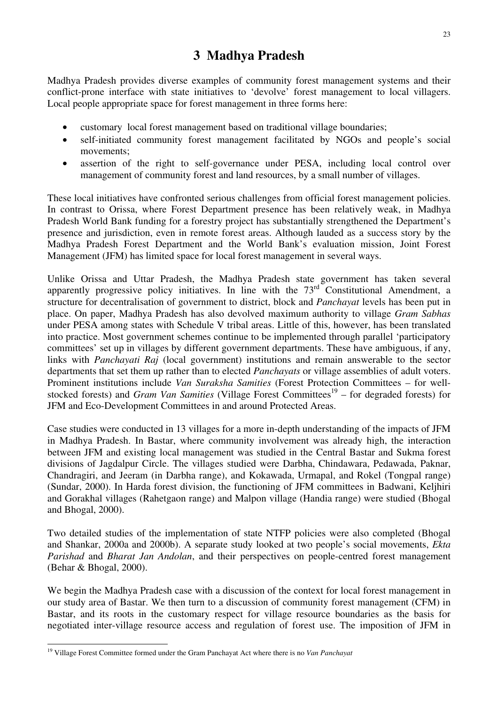# **3 Madhya Pradesh**

Madhya Pradesh provides diverse examples of community forest management systems and their conflict-prone interface with state initiatives to 'devolve' forest management to local villagers. Local people appropriate space for forest management in three forms here:

- customary local forest management based on traditional village boundaries;
- self-initiated community forest management facilitated by NGOs and people's social movements;
- assertion of the right to self-governance under PESA, including local control over management of community forest and land resources, by a small number of villages.

These local initiatives have confronted serious challenges from official forest management policies. In contrast to Orissa, where Forest Department presence has been relatively weak, in Madhya Pradesh World Bank funding for a forestry project has substantially strengthened the Department's presence and jurisdiction, even in remote forest areas. Although lauded as a success story by the Madhya Pradesh Forest Department and the World Bank's evaluation mission, Joint Forest Management (JFM) has limited space for local forest management in several ways.

Unlike Orissa and Uttar Pradesh, the Madhya Pradesh state government has taken several apparently progressive policy initiatives. In line with the  $73<sup>rd</sup>$  Constitutional Amendment, a structure for decentralisation of government to district, block and *Panchayat* levels has been put in place. On paper, Madhya Pradesh has also devolved maximum authority to village *Gram Sabhas* under PESA among states with Schedule V tribal areas. Little of this, however, has been translated into practice. Most government schemes continue to be implemented through parallel 'participatory committees' set up in villages by different government departments. These have ambiguous, if any, links with *Panchayati Raj* (local government) institutions and remain answerable to the sector departments that set them up rather than to elected *Panchayats* or village assemblies of adult voters. Prominent institutions include *Van Suraksha Samities* (Forest Protection Committees – for wellstocked forests) and *Gram Van Samities* (Village Forest Committees<sup>19</sup> – for degraded forests) for JFM and Eco-Development Committees in and around Protected Areas.

Case studies were conducted in 13 villages for a more in-depth understanding of the impacts of JFM in Madhya Pradesh. In Bastar, where community involvement was already high, the interaction between JFM and existing local management was studied in the Central Bastar and Sukma forest divisions of Jagdalpur Circle. The villages studied were Darbha, Chindawara, Pedawada, Paknar, Chandragiri, and Jeeram (in Darbha range), and Kokawada, Urmapal, and Rokel (Tongpal range) (Sundar, 2000). In Harda forest division, the functioning of JFM committees in Badwani, Keljhiri and Gorakhal villages (Rahetgaon range) and Malpon village (Handia range) were studied (Bhogal and Bhogal, 2000).

Two detailed studies of the implementation of state NTFP policies were also completed (Bhogal and Shankar, 2000a and 2000b). A separate study looked at two people's social movements, *Ekta Parishad* and *Bharat Jan Andolan*, and their perspectives on people-centred forest management (Behar & Bhogal, 2000).

We begin the Madhya Pradesh case with a discussion of the context for local forest management in our study area of Bastar. We then turn to a discussion of community forest management (CFM) in Bastar, and its roots in the customary respect for village resource boundaries as the basis for negotiated inter-village resource access and regulation of forest use. The imposition of JFM in

<sup>19</sup> Village Forest Committee formed under the Gram Panchayat Act where there is no *Van Panchayat*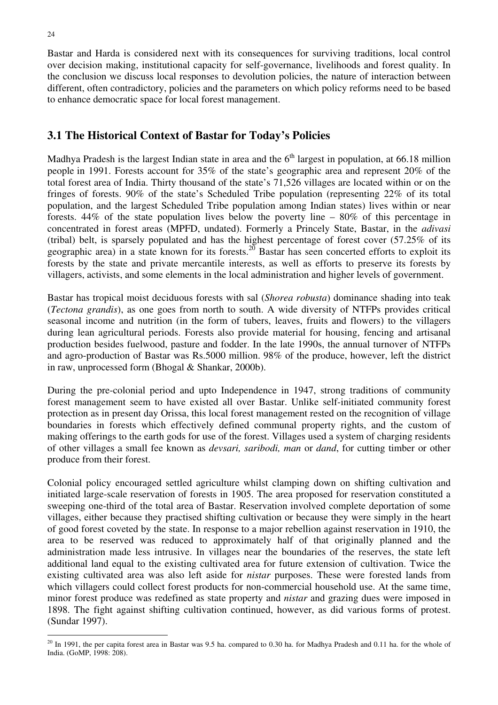Bastar and Harda is considered next with its consequences for surviving traditions, local control over decision making, institutional capacity for self-governance, livelihoods and forest quality. In the conclusion we discuss local responses to devolution policies, the nature of interaction between different, often contradictory, policies and the parameters on which policy reforms need to be based to enhance democratic space for local forest management.

### **3.1 The Historical Context of Bastar for Today's Policies**

Madhya Pradesh is the largest Indian state in area and the  $6<sup>th</sup>$  largest in population, at 66.18 million people in 1991. Forests account for 35% of the state's geographic area and represent 20% of the total forest area of India. Thirty thousand of the state's 71,526 villages are located within or on the fringes of forests. 90% of the state's Scheduled Tribe population (representing 22% of its total population, and the largest Scheduled Tribe population among Indian states) lives within or near forests.  $44\%$  of the state population lives below the poverty line –  $80\%$  of this percentage in concentrated in forest areas (MPFD, undated). Formerly a Princely State, Bastar, in the *adivasi* (tribal) belt, is sparsely populated and has the highest percentage of forest cover (57.25% of its geographic area) in a state known for its forests.<sup>20</sup> Bastar has seen concerted efforts to exploit its forests by the state and private mercantile interests, as well as efforts to preserve its forests by villagers, activists, and some elements in the local administration and higher levels of government.

Bastar has tropical moist deciduous forests with sal (*Shorea robusta*) dominance shading into teak (*Tectona grandis*), as one goes from north to south. A wide diversity of NTFPs provides critical seasonal income and nutrition (in the form of tubers, leaves, fruits and flowers) to the villagers during lean agricultural periods. Forests also provide material for housing, fencing and artisanal production besides fuelwood, pasture and fodder. In the late 1990s, the annual turnover of NTFPs and agro-production of Bastar was Rs.5000 million. 98% of the produce, however, left the district in raw, unprocessed form (Bhogal & Shankar, 2000b).

During the pre-colonial period and upto Independence in 1947, strong traditions of community forest management seem to have existed all over Bastar. Unlike self-initiated community forest protection as in present day Orissa, this local forest management rested on the recognition of village boundaries in forests which effectively defined communal property rights, and the custom of making offerings to the earth gods for use of the forest. Villages used a system of charging residents of other villages a small fee known as *devsari, saribodi, man* or *dand*, for cutting timber or other produce from their forest.

Colonial policy encouraged settled agriculture whilst clamping down on shifting cultivation and initiated large-scale reservation of forests in 1905. The area proposed for reservation constituted a sweeping one-third of the total area of Bastar. Reservation involved complete deportation of some villages, either because they practised shifting cultivation or because they were simply in the heart of good forest coveted by the state. In response to a major rebellion against reservation in 1910, the area to be reserved was reduced to approximately half of that originally planned and the administration made less intrusive. In villages near the boundaries of the reserves, the state left additional land equal to the existing cultivated area for future extension of cultivation. Twice the existing cultivated area was also left aside for *nistar* purposes. These were forested lands from which villagers could collect forest products for non-commercial household use. At the same time, minor forest produce was redefined as state property and *nistar* and grazing dues were imposed in 1898. The fight against shifting cultivation continued, however, as did various forms of protest. (Sundar 1997).

 $^{20}$  In 1991, the per capita forest area in Bastar was 9.5 ha. compared to 0.30 ha. for Madhya Pradesh and 0.11 ha. for the whole of India. (GoMP, 1998: 208).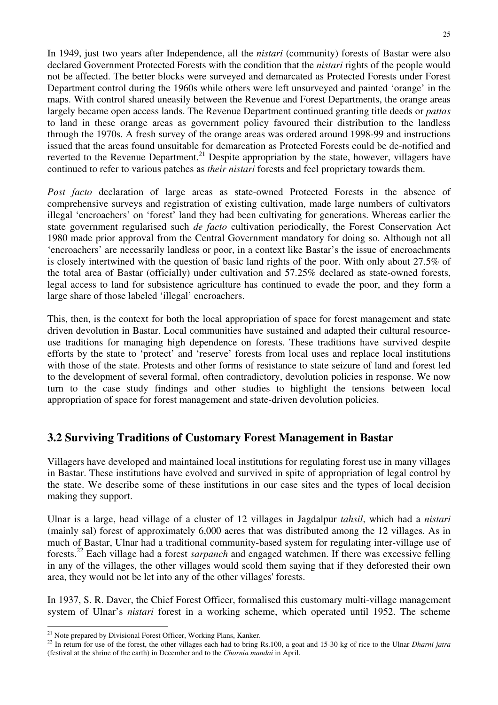In 1949, just two years after Independence, all the *nistari* (community) forests of Bastar were also declared Government Protected Forests with the condition that the *nistari* rights of the people would not be affected. The better blocks were surveyed and demarcated as Protected Forests under Forest Department control during the 1960s while others were left unsurveyed and painted 'orange' in the maps. With control shared uneasily between the Revenue and Forest Departments, the orange areas largely became open access lands. The Revenue Department continued granting title deeds or *pattas* to land in these orange areas as government policy favoured their distribution to the landless through the 1970s. A fresh survey of the orange areas was ordered around 1998-99 and instructions issued that the areas found unsuitable for demarcation as Protected Forests could be de-notified and reverted to the Revenue Department.<sup>21</sup> Despite appropriation by the state, however, villagers have continued to refer to various patches as *their nistari* forests and feel proprietary towards them.

*Post facto* declaration of large areas as state-owned Protected Forests in the absence of comprehensive surveys and registration of existing cultivation, made large numbers of cultivators illegal 'encroachers' on 'forest' land they had been cultivating for generations. Whereas earlier the state government regularised such *de facto* cultivation periodically, the Forest Conservation Act 1980 made prior approval from the Central Government mandatory for doing so. Although not all 'encroachers' are necessarily landless or poor, in a context like Bastar's the issue of encroachments is closely intertwined with the question of basic land rights of the poor. With only about 27.5% of the total area of Bastar (officially) under cultivation and 57.25% declared as state-owned forests, legal access to land for subsistence agriculture has continued to evade the poor, and they form a large share of those labeled 'illegal' encroachers.

This, then, is the context for both the local appropriation of space for forest management and state driven devolution in Bastar. Local communities have sustained and adapted their cultural resourceuse traditions for managing high dependence on forests. These traditions have survived despite efforts by the state to 'protect' and 'reserve' forests from local uses and replace local institutions with those of the state. Protests and other forms of resistance to state seizure of land and forest led to the development of several formal, often contradictory, devolution policies in response. We now turn to the case study findings and other studies to highlight the tensions between local appropriation of space for forest management and state-driven devolution policies.

# **3.2 Surviving Traditions of Customary Forest Management in Bastar**

Villagers have developed and maintained local institutions for regulating forest use in many villages in Bastar. These institutions have evolved and survived in spite of appropriation of legal control by the state. We describe some of these institutions in our case sites and the types of local decision making they support.

Ulnar is a large, head village of a cluster of 12 villages in Jagdalpur *tahsil*, which had a *nistari* (mainly sal) forest of approximately 6,000 acres that was distributed among the 12 villages. As in much of Bastar, Ulnar had a traditional community-based system for regulating inter-village use of forests.22 Each village had a forest *sarpanch* and engaged watchmen. If there was excessive felling in any of the villages, the other villages would scold them saying that if they deforested their own area, they would not be let into any of the other villages' forests.

In 1937, S. R. Daver, the Chief Forest Officer, formalised this customary multi-village management system of Ulnar's *nistari* forest in a working scheme, which operated until 1952. The scheme

<sup>&</sup>lt;sup>21</sup> Note prepared by Divisional Forest Officer, Working Plans, Kanker.<br><sup>22</sup> In return for use of the forest, the other villages each had to bring Rs.100, a goat and 15-30 kg of rice to the Ulnar *Dharni jatra* (festival at the shrine of the earth) in December and to the *Chornia mandai* in April.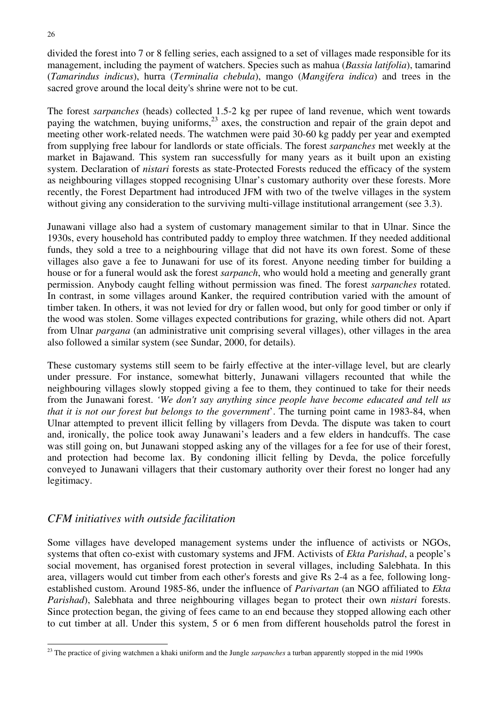divided the forest into 7 or 8 felling series, each assigned to a set of villages made responsible for its management, including the payment of watchers. Species such as mahua (*Bassia latifolia*), tamarind (*Tamarindus indicus*), hurra (*Terminalia chebula*), mango (*Mangifera indica*) and trees in the sacred grove around the local deity's shrine were not to be cut.

The forest *sarpanches* (heads) collected 1.5-2 kg per rupee of land revenue, which went towards paying the watchmen, buying uniforms,<sup>23</sup> axes, the construction and repair of the grain depot and meeting other work-related needs. The watchmen were paid 30-60 kg paddy per year and exempted from supplying free labour for landlords or state officials. The forest *sarpanches* met weekly at the market in Bajawand. This system ran successfully for many years as it built upon an existing system. Declaration of *nistari* forests as state-Protected Forests reduced the efficacy of the system as neighbouring villages stopped recognising Ulnar's customary authority over these forests. More recently, the Forest Department had introduced JFM with two of the twelve villages in the system without giving any consideration to the surviving multi-village institutional arrangement (see 3.3).

Junawani village also had a system of customary management similar to that in Ulnar. Since the 1930s, every household has contributed paddy to employ three watchmen. If they needed additional funds, they sold a tree to a neighbouring village that did not have its own forest. Some of these villages also gave a fee to Junawani for use of its forest. Anyone needing timber for building a house or for a funeral would ask the forest *sarpanch*, who would hold a meeting and generally grant permission. Anybody caught felling without permission was fined. The forest *sarpanches* rotated. In contrast, in some villages around Kanker, the required contribution varied with the amount of timber taken. In others, it was not levied for dry or fallen wood, but only for good timber or only if the wood was stolen. Some villages expected contributions for grazing, while others did not. Apart from Ulnar *pargana* (an administrative unit comprising several villages), other villages in the area also followed a similar system (see Sundar, 2000, for details).

These customary systems still seem to be fairly effective at the inter-village level, but are clearly under pressure. For instance, somewhat bitterly, Junawani villagers recounted that while the neighbouring villages slowly stopped giving a fee to them, they continued to take for their needs from the Junawani forest. *'We don't say anything since people have become educated and tell us that it is not our forest but belongs to the government*'. The turning point came in 1983-84, when Ulnar attempted to prevent illicit felling by villagers from Devda. The dispute was taken to court and, ironically, the police took away Junawani's leaders and a few elders in handcuffs. The case was still going on, but Junawani stopped asking any of the villages for a fee for use of their forest, and protection had become lax. By condoning illicit felling by Devda, the police forcefully conveyed to Junawani villagers that their customary authority over their forest no longer had any legitimacy.

## *CFM initiatives with outside facilitation*

Some villages have developed management systems under the influence of activists or NGOs, systems that often co-exist with customary systems and JFM. Activists of *Ekta Parishad*, a people's social movement, has organised forest protection in several villages, including Salebhata. In this area, villagers would cut timber from each other's forests and give Rs 2-4 as a fee*,* following longestablished custom. Around 1985-86, under the influence of *Parivartan* (an NGO affiliated to *Ekta Parishad*), Salebhata and three neighbouring villages began to protect their own *nistari* forests. Since protection began, the giving of fees came to an end because they stopped allowing each other to cut timber at all. Under this system, 5 or 6 men from different households patrol the forest in

<sup>&</sup>lt;sup>23</sup> The practice of giving watchmen a khaki uniform and the Jungle *sarpanches* a turban apparently stopped in the mid 1990s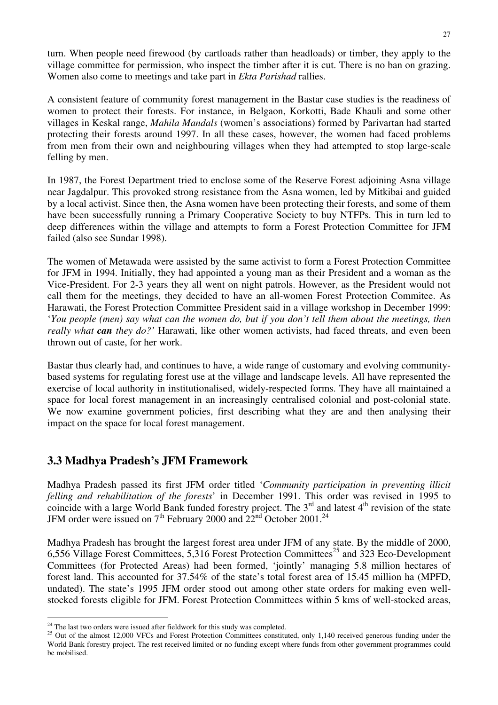turn. When people need firewood (by cartloads rather than headloads) or timber, they apply to the village committee for permission, who inspect the timber after it is cut. There is no ban on grazing. Women also come to meetings and take part in *Ekta Parishad* rallies.

A consistent feature of community forest management in the Bastar case studies is the readiness of women to protect their forests. For instance, in Belgaon, Korkotti, Bade Khauli and some other villages in Keskal range, *Mahila Mandals* (women's associations) formed by Parivartan had started protecting their forests around 1997. In all these cases, however, the women had faced problems from men from their own and neighbouring villages when they had attempted to stop large-scale felling by men.

In 1987, the Forest Department tried to enclose some of the Reserve Forest adjoining Asna village near Jagdalpur. This provoked strong resistance from the Asna women, led by Mitkibai and guided by a local activist. Since then, the Asna women have been protecting their forests, and some of them have been successfully running a Primary Cooperative Society to buy NTFPs. This in turn led to deep differences within the village and attempts to form a Forest Protection Committee for JFM failed (also see Sundar 1998).

The women of Metawada were assisted by the same activist to form a Forest Protection Committee for JFM in 1994. Initially, they had appointed a young man as their President and a woman as the Vice-President. For 2-3 years they all went on night patrols. However, as the President would not call them for the meetings, they decided to have an all-women Forest Protection Commitee. As Harawati, the Forest Protection Committee President said in a village workshop in December 1999: '*You people (men) say what can the women do, but if you don't tell them about the meetings, then really what can they do?'* Harawati, like other women activists, had faced threats, and even been thrown out of caste, for her work.

Bastar thus clearly had, and continues to have, a wide range of customary and evolving communitybased systems for regulating forest use at the village and landscape levels. All have represented the exercise of local authority in institutionalised, widely-respected forms. They have all maintained a space for local forest management in an increasingly centralised colonial and post-colonial state. We now examine government policies, first describing what they are and then analysing their impact on the space for local forest management.

## **3.3 Madhya Pradesh's JFM Framework**

Madhya Pradesh passed its first JFM order titled '*Community participation in preventing illicit felling and rehabilitation of the forests*' in December 1991. This order was revised in 1995 to coincide with a large World Bank funded forestry project. The  $3<sup>rd</sup>$  and latest  $4<sup>th</sup>$  revision of the state JFM order were issued on  $7<sup>th</sup>$  February 2000 and  $22<sup>nd</sup>$  October 2001.<sup>24</sup>

Madhya Pradesh has brought the largest forest area under JFM of any state. By the middle of 2000, 6,556 Village Forest Committees, 5,316 Forest Protection Committees<sup>25</sup> and 323 Eco-Development Committees (for Protected Areas) had been formed, 'jointly' managing 5.8 million hectares of forest land. This accounted for 37.54% of the state's total forest area of 15.45 million ha (MPFD, undated). The state's 1995 JFM order stood out among other state orders for making even wellstocked forests eligible for JFM. Forest Protection Committees within 5 kms of well-stocked areas,

<sup>&</sup>lt;sup>24</sup> The last two orders were issued after fieldwork for this study was completed.<br><sup>25</sup> Out of the almost 12,000 VFCs and Forest Protection Committees constituted, only 1,140 received generous funding under the World Bank forestry project. The rest received limited or no funding except where funds from other government programmes could be mobilised.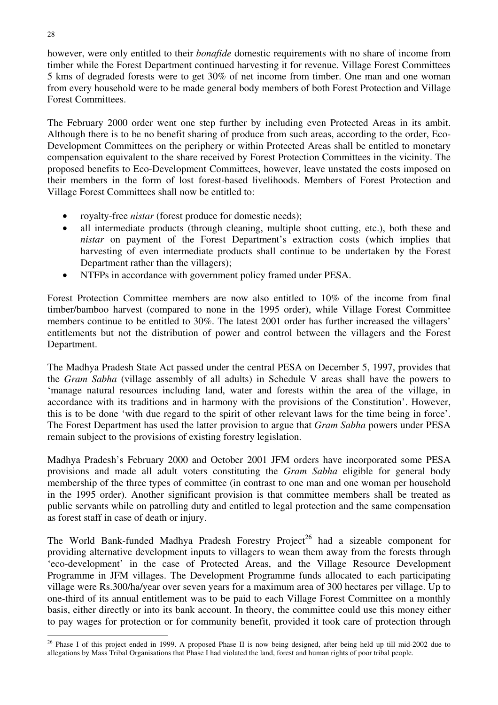however, were only entitled to their *bonafide* domestic requirements with no share of income from timber while the Forest Department continued harvesting it for revenue. Village Forest Committees 5 kms of degraded forests were to get 30% of net income from timber. One man and one woman from every household were to be made general body members of both Forest Protection and Village Forest Committees.

The February 2000 order went one step further by including even Protected Areas in its ambit. Although there is to be no benefit sharing of produce from such areas, according to the order, Eco-Development Committees on the periphery or within Protected Areas shall be entitled to monetary compensation equivalent to the share received by Forest Protection Committees in the vicinity. The proposed benefits to Eco-Development Committees, however, leave unstated the costs imposed on their members in the form of lost forest-based livelihoods. Members of Forest Protection and Village Forest Committees shall now be entitled to:

- royalty-free *nistar* (forest produce for domestic needs);
- all intermediate products (through cleaning, multiple shoot cutting, etc.), both these and *nistar* on payment of the Forest Department's extraction costs (which implies that harvesting of even intermediate products shall continue to be undertaken by the Forest Department rather than the villagers);
- NTFPs in accordance with government policy framed under PESA.

Forest Protection Committee members are now also entitled to 10% of the income from final timber/bamboo harvest (compared to none in the 1995 order), while Village Forest Committee members continue to be entitled to 30%. The latest 2001 order has further increased the villagers' entitlements but not the distribution of power and control between the villagers and the Forest Department.

The Madhya Pradesh State Act passed under the central PESA on December 5, 1997, provides that the *Gram Sabha* (village assembly of all adults) in Schedule V areas shall have the powers to 'manage natural resources including land, water and forests within the area of the village, in accordance with its traditions and in harmony with the provisions of the Constitution'. However, this is to be done 'with due regard to the spirit of other relevant laws for the time being in force'. The Forest Department has used the latter provision to argue that *Gram Sabha* powers under PESA remain subject to the provisions of existing forestry legislation.

Madhya Pradesh's February 2000 and October 2001 JFM orders have incorporated some PESA provisions and made all adult voters constituting the *Gram Sabha* eligible for general body membership of the three types of committee (in contrast to one man and one woman per household in the 1995 order). Another significant provision is that committee members shall be treated as public servants while on patrolling duty and entitled to legal protection and the same compensation as forest staff in case of death or injury.

The World Bank-funded Madhya Pradesh Forestry Project<sup>26</sup> had a sizeable component for providing alternative development inputs to villagers to wean them away from the forests through 'eco-development' in the case of Protected Areas, and the Village Resource Development Programme in JFM villages. The Development Programme funds allocated to each participating village were Rs.300/ha/year over seven years for a maximum area of 300 hectares per village. Up to one-third of its annual entitlement was to be paid to each Village Forest Committee on a monthly basis, either directly or into its bank account. In theory, the committee could use this money either to pay wages for protection or for community benefit, provided it took care of protection through

<sup>&</sup>lt;sup>26</sup> Phase I of this project ended in 1999. A proposed Phase II is now being designed, after being held up till mid-2002 due to allegations by Mass Tribal Organisations that Phase I had violated the land, forest and human rights of poor tribal people.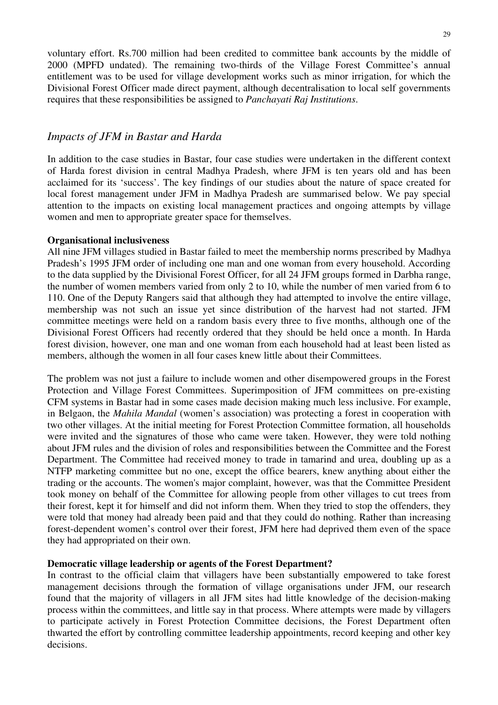voluntary effort. Rs.700 million had been credited to committee bank accounts by the middle of 2000 (MPFD undated). The remaining two-thirds of the Village Forest Committee's annual entitlement was to be used for village development works such as minor irrigation, for which the Divisional Forest Officer made direct payment, although decentralisation to local self governments requires that these responsibilities be assigned to *Panchayati Raj Institutions*.

#### *Impacts of JFM in Bastar and Harda*

In addition to the case studies in Bastar, four case studies were undertaken in the different context of Harda forest division in central Madhya Pradesh, where JFM is ten years old and has been acclaimed for its 'success'. The key findings of our studies about the nature of space created for local forest management under JFM in Madhya Pradesh are summarised below. We pay special attention to the impacts on existing local management practices and ongoing attempts by village women and men to appropriate greater space for themselves.

#### **Organisational inclusiveness**

All nine JFM villages studied in Bastar failed to meet the membership norms prescribed by Madhya Pradesh's 1995 JFM order of including one man and one woman from every household. According to the data supplied by the Divisional Forest Officer, for all 24 JFM groups formed in Darbha range, the number of women members varied from only 2 to 10, while the number of men varied from 6 to 110. One of the Deputy Rangers said that although they had attempted to involve the entire village, membership was not such an issue yet since distribution of the harvest had not started. JFM committee meetings were held on a random basis every three to five months, although one of the Divisional Forest Officers had recently ordered that they should be held once a month. In Harda forest division, however, one man and one woman from each household had at least been listed as members, although the women in all four cases knew little about their Committees.

The problem was not just a failure to include women and other disempowered groups in the Forest Protection and Village Forest Committees. Superimposition of JFM committees on pre-existing CFM systems in Bastar had in some cases made decision making much less inclusive. For example, in Belgaon, the *Mahila Mandal* (women's association) was protecting a forest in cooperation with two other villages. At the initial meeting for Forest Protection Committee formation, all households were invited and the signatures of those who came were taken. However, they were told nothing about JFM rules and the division of roles and responsibilities between the Committee and the Forest Department. The Committee had received money to trade in tamarind and urea, doubling up as a NTFP marketing committee but no one, except the office bearers, knew anything about either the trading or the accounts. The women's major complaint, however, was that the Committee President took money on behalf of the Committee for allowing people from other villages to cut trees from their forest, kept it for himself and did not inform them. When they tried to stop the offenders, they were told that money had already been paid and that they could do nothing. Rather than increasing forest-dependent women's control over their forest, JFM here had deprived them even of the space they had appropriated on their own.

#### **Democratic village leadership or agents of the Forest Department?**

In contrast to the official claim that villagers have been substantially empowered to take forest management decisions through the formation of village organisations under JFM, our research found that the majority of villagers in all JFM sites had little knowledge of the decision-making process within the committees, and little say in that process. Where attempts were made by villagers to participate actively in Forest Protection Committee decisions, the Forest Department often thwarted the effort by controlling committee leadership appointments, record keeping and other key decisions.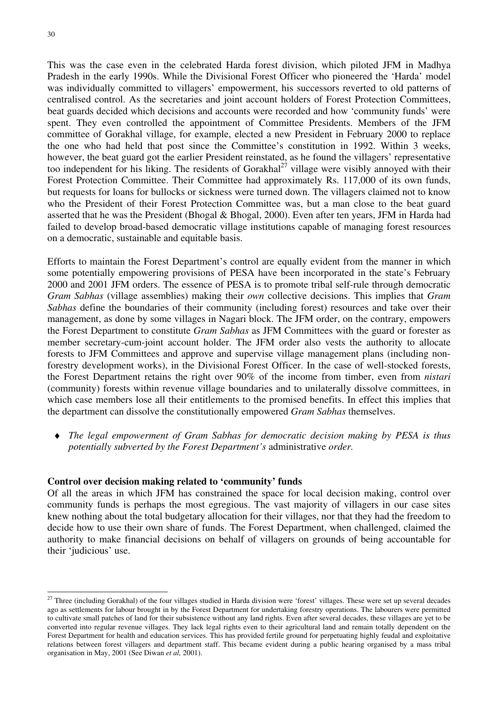This was the case even in the celebrated Harda forest division, which piloted JFM in Madhya Pradesh in the early 1990s. While the Divisional Forest Officer who pioneered the 'Harda' model was individually committed to villagers' empowerment, his successors reverted to old patterns of centralised control. As the secretaries and joint account holders of Forest Protection Committees, beat guards decided which decisions and accounts were recorded and how 'community funds' were spent. They even controlled the appointment of Committee Presidents. Members of the JFM committee of Gorakhal village, for example, elected a new President in February 2000 to replace the one who had held that post since the Committee's constitution in 1992. Within 3 weeks, however, the beat guard got the earlier President reinstated, as he found the villagers' representative too independent for his liking. The residents of Gorakhal<sup>27</sup> village were visibly annoyed with their Forest Protection Committee. Their Committee had approximately Rs. 117,000 of its own funds, but requests for loans for bullocks or sickness were turned down. The villagers claimed not to know who the President of their Forest Protection Committee was, but a man close to the beat guard asserted that he was the President (Bhogal & Bhogal, 2000). Even after ten years, JFM in Harda had failed to develop broad-based democratic village institutions capable of managing forest resources on a democratic, sustainable and equitable basis.

Efforts to maintain the Forest Department's control are equally evident from the manner in which some potentially empowering provisions of PESA have been incorporated in the state's February 2000 and 2001 JFM orders. The essence of PESA is to promote tribal self-rule through democratic *Gram Sabhas* (village assemblies) making their *own* collective decisions. This implies that *Gram Sabhas* define the boundaries of their community (including forest) resources and take over their management, as done by some villages in Nagari block. The JFM order, on the contrary, empowers the Forest Department to constitute *Gram Sabhas* as JFM Committees with the guard or forester as member secretary-cum-joint account holder. The JFM order also vests the authority to allocate forests to JFM Committees and approve and supervise village management plans (including nonforestry development works), in the Divisional Forest Officer. In the case of well-stocked forests, the Forest Department retains the right over 90% of the income from timber, even from *nistari* (community) forests within revenue village boundaries and to unilaterally dissolve committees, in which case members lose all their entitlements to the promised benefits. In effect this implies that the department can dissolve the constitutionally empowered *Gram Sabhas* themselves.

♦ *The legal empowerment of Gram Sabhas for democratic decision making by PESA is thus potentially subverted by the Forest Department's* administrative *order.*

#### **Control over decision making related to 'community' funds**

Of all the areas in which JFM has constrained the space for local decision making, control over community funds is perhaps the most egregious. The vast majority of villagers in our case sites knew nothing about the total budgetary allocation for their villages, nor that they had the freedom to decide how to use their own share of funds. The Forest Department, when challenged, claimed the authority to make financial decisions on behalf of villagers on grounds of being accountable for their 'judicious' use.

<sup>&</sup>lt;sup>27</sup> Three (including Gorakhal) of the four villages studied in Harda division were 'forest' villages. These were set up several decades ago as settlements for labour brought in by the Forest Department for undertaking forestry operations. The labourers were permitted to cultivate small patches of land for their subsistence without any land rights. Even after several decades, these villages are yet to be converted into regular revenue villages. They lack legal rights even to their agricultural land and remain totally dependent on the Forest Department for health and education services. This has provided fertile ground for perpetuating highly feudal and exploitative relations between forest villagers and department staff. This became evident during a public hearing organised by a mass tribal organisation in May, 2001 (See Diwan *et al,* 2001).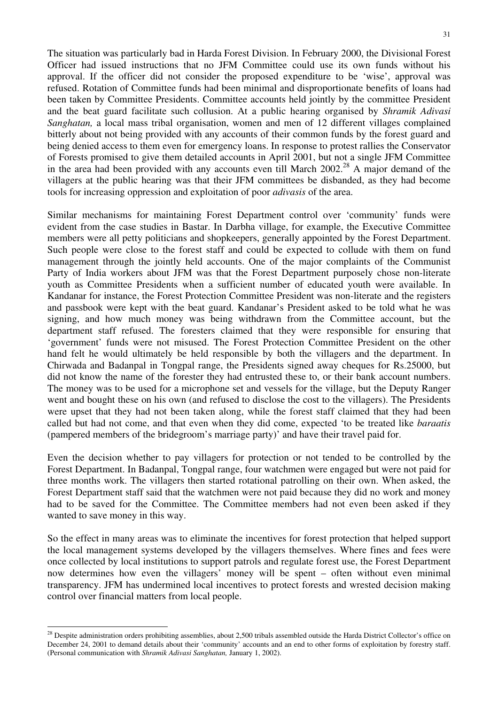The situation was particularly bad in Harda Forest Division. In February 2000, the Divisional Forest Officer had issued instructions that no JFM Committee could use its own funds without his approval. If the officer did not consider the proposed expenditure to be 'wise', approval was refused. Rotation of Committee funds had been minimal and disproportionate benefits of loans had been taken by Committee Presidents. Committee accounts held jointly by the committee President and the beat guard facilitate such collusion. At a public hearing organised by *Shramik Adivasi Sanghatan,* a local mass tribal organisation, women and men of 12 different villages complained bitterly about not being provided with any accounts of their common funds by the forest guard and being denied access to them even for emergency loans. In response to protest rallies the Conservator of Forests promised to give them detailed accounts in April 2001, but not a single JFM Committee in the area had been provided with any accounts even till March  $2002<sup>28</sup>$  A major demand of the villagers at the public hearing was that their JFM committees be disbanded, as they had become tools for increasing oppression and exploitation of poor *adivasis* of the area.

Similar mechanisms for maintaining Forest Department control over 'community' funds were evident from the case studies in Bastar. In Darbha village, for example, the Executive Committee members were all petty politicians and shopkeepers, generally appointed by the Forest Department. Such people were close to the forest staff and could be expected to collude with them on fund management through the jointly held accounts. One of the major complaints of the Communist Party of India workers about JFM was that the Forest Department purposely chose non-literate youth as Committee Presidents when a sufficient number of educated youth were available. In Kandanar for instance, the Forest Protection Committee President was non-literate and the registers and passbook were kept with the beat guard. Kandanar's President asked to be told what he was signing, and how much money was being withdrawn from the Committee account, but the department staff refused. The foresters claimed that they were responsible for ensuring that 'government' funds were not misused. The Forest Protection Committee President on the other hand felt he would ultimately be held responsible by both the villagers and the department. In Chirwada and Badanpal in Tongpal range, the Presidents signed away cheques for Rs.25000, but did not know the name of the forester they had entrusted these to, or their bank account numbers. The money was to be used for a microphone set and vessels for the village, but the Deputy Ranger went and bought these on his own (and refused to disclose the cost to the villagers). The Presidents were upset that they had not been taken along, while the forest staff claimed that they had been called but had not come, and that even when they did come, expected 'to be treated like *baraatis* (pampered members of the bridegroom's marriage party)' and have their travel paid for.

Even the decision whether to pay villagers for protection or not tended to be controlled by the Forest Department. In Badanpal, Tongpal range, four watchmen were engaged but were not paid for three months work. The villagers then started rotational patrolling on their own. When asked, the Forest Department staff said that the watchmen were not paid because they did no work and money had to be saved for the Committee. The Committee members had not even been asked if they wanted to save money in this way.

So the effect in many areas was to eliminate the incentives for forest protection that helped support the local management systems developed by the villagers themselves. Where fines and fees were once collected by local institutions to support patrols and regulate forest use, the Forest Department now determines how even the villagers' money will be spent – often without even minimal transparency. JFM has undermined local incentives to protect forests and wrested decision making control over financial matters from local people.

 $^{28}$  Despite administration orders prohibiting assemblies, about 2,500 tribals assembled outside the Harda District Collector's office on December 24, 2001 to demand details about their 'community' accounts and an end to other forms of exploitation by forestry staff. (Personal communication with *Shramik Adivasi Sanghatan,* January 1, 2002).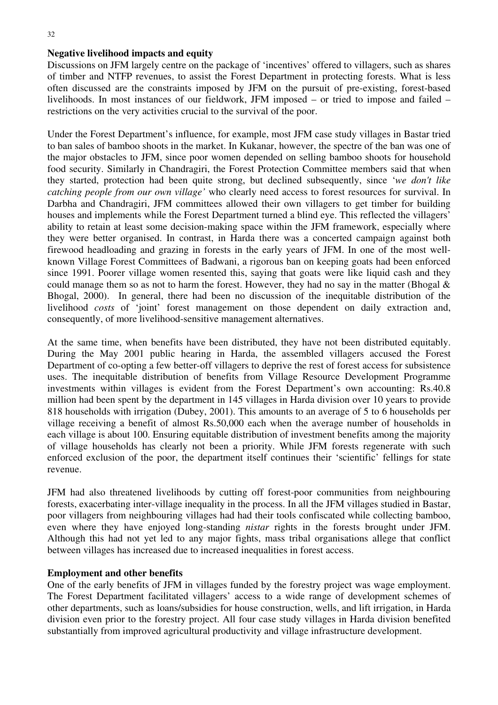## **Negative livelihood impacts and equity**

Discussions on JFM largely centre on the package of 'incentives' offered to villagers, such as shares of timber and NTFP revenues, to assist the Forest Department in protecting forests. What is less often discussed are the constraints imposed by JFM on the pursuit of pre-existing, forest-based livelihoods. In most instances of our fieldwork, JFM imposed – or tried to impose and failed – restrictions on the very activities crucial to the survival of the poor.

Under the Forest Department's influence, for example, most JFM case study villages in Bastar tried to ban sales of bamboo shoots in the market. In Kukanar, however, the spectre of the ban was one of the major obstacles to JFM, since poor women depended on selling bamboo shoots for household food security. Similarly in Chandragiri, the Forest Protection Committee members said that when they started, protection had been quite strong, but declined subsequently, since '*we don't like catching people from our own village'* who clearly need access to forest resources for survival. In Darbha and Chandragiri, JFM committees allowed their own villagers to get timber for building houses and implements while the Forest Department turned a blind eye. This reflected the villagers' ability to retain at least some decision-making space within the JFM framework, especially where they were better organised. In contrast, in Harda there was a concerted campaign against both firewood headloading and grazing in forests in the early years of JFM. In one of the most wellknown Village Forest Committees of Badwani, a rigorous ban on keeping goats had been enforced since 1991. Poorer village women resented this, saying that goats were like liquid cash and they could manage them so as not to harm the forest. However, they had no say in the matter (Bhogal  $\&$ Bhogal, 2000). In general, there had been no discussion of the inequitable distribution of the livelihood *costs* of 'joint' forest management on those dependent on daily extraction and, consequently, of more livelihood-sensitive management alternatives.

At the same time, when benefits have been distributed, they have not been distributed equitably. During the May 2001 public hearing in Harda, the assembled villagers accused the Forest Department of co-opting a few better-off villagers to deprive the rest of forest access for subsistence uses. The inequitable distribution of benefits from Village Resource Development Programme investments within villages is evident from the Forest Department's own accounting: Rs.40.8 million had been spent by the department in 145 villages in Harda division over 10 years to provide 818 households with irrigation (Dubey, 2001). This amounts to an average of 5 to 6 households per village receiving a benefit of almost Rs.50,000 each when the average number of households in each village is about 100. Ensuring equitable distribution of investment benefits among the majority of village households has clearly not been a priority. While JFM forests regenerate with such enforced exclusion of the poor, the department itself continues their 'scientific' fellings for state revenue.

JFM had also threatened livelihoods by cutting off forest-poor communities from neighbouring forests, exacerbating inter-village inequality in the process. In all the JFM villages studied in Bastar, poor villagers from neighbouring villages had had their tools confiscated while collecting bamboo, even where they have enjoyed long-standing *nistar* rights in the forests brought under JFM. Although this had not yet led to any major fights, mass tribal organisations allege that conflict between villages has increased due to increased inequalities in forest access.

## **Employment and other benefits**

One of the early benefits of JFM in villages funded by the forestry project was wage employment. The Forest Department facilitated villagers' access to a wide range of development schemes of other departments, such as loans/subsidies for house construction, wells, and lift irrigation, in Harda division even prior to the forestry project. All four case study villages in Harda division benefited substantially from improved agricultural productivity and village infrastructure development.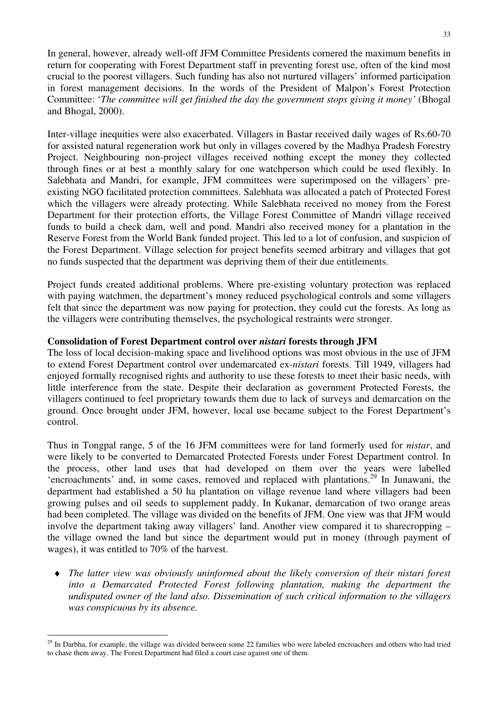In general, however, already well-off JFM Committee Presidents cornered the maximum benefits in return for cooperating with Forest Department staff in preventing forest use, often of the kind most crucial to the poorest villagers. Such funding has also not nurtured villagers' informed participation in forest management decisions. In the words of the President of Malpon's Forest Protection Committee: '*The committee will get finished the day the government stops giving it money'* (Bhogal and Bhogal, 2000).

Inter-village inequities were also exacerbated. Villagers in Bastar received daily wages of Rs.60-70 for assisted natural regeneration work but only in villages covered by the Madhya Pradesh Forestry Project. Neighbouring non-project villages received nothing except the money they collected through fines or at best a monthly salary for one watchperson which could be used flexibly. In Salebhata and Mandri, for example, JFM committees were superimposed on the villagers' preexisting NGO facilitated protection committees. Salebhata was allocated a patch of Protected Forest which the villagers were already protecting. While Salebhata received no money from the Forest Department for their protection efforts, the Village Forest Committee of Mandri village received funds to build a check dam, well and pond. Mandri also received money for a plantation in the Reserve Forest from the World Bank funded project. This led to a lot of confusion, and suspicion of the Forest Department. Village selection for project benefits seemed arbitrary and villages that got no funds suspected that the department was depriving them of their due entitlements.

Project funds created additional problems. Where pre-existing voluntary protection was replaced with paying watchmen, the department's money reduced psychological controls and some villagers felt that since the department was now paying for protection, they could cut the forests. As long as the villagers were contributing themselves, the psychological restraints were stronger.

## **Consolidation of Forest Department control over** *nistari* **forests through JFM**

The loss of local decision-making space and livelihood options was most obvious in the use of JFM to extend Forest Department control over undemarcated ex-*nistari* forests. Till 1949, villagers had enjoyed formally recognised rights and authority to use these forests to meet their basic needs, with little interference from the state. Despite their declaration as government Protected Forests, the villagers continued to feel proprietary towards them due to lack of surveys and demarcation on the ground. Once brought under JFM, however, local use became subject to the Forest Department's control.

Thus in Tongpal range, 5 of the 16 JFM committees were for land formerly used for *nistar*, and were likely to be converted to Demarcated Protected Forests under Forest Department control. In the process, other land uses that had developed on them over the years were labelled 'encroachments' and, in some cases, removed and replaced with plantations.29 In Junawani, the department had established a 50 ha plantation on village revenue land where villagers had been growing pulses and oil seeds to supplement paddy. In Kukanar, demarcation of two orange areas had been completed. The village was divided on the benefits of JFM. One view was that JFM would involve the department taking away villagers' land. Another view compared it to sharecropping – the village owned the land but since the department would put in money (through payment of wages), it was entitled to 70% of the harvest.

♦ *The latter view was obviously uninformed about the likely conversion of their nistari forest into a Demarcated Protected Forest following plantation, making the department the undisputed owner of the land also. Dissemination of such critical information to the villagers was conspicuous by its absence.*

<sup>&</sup>lt;sup>29</sup> In Darbha, for example, the village was divided between some 22 families who were labeled encroachers and others who had tried to chase them away. The Forest Department had filed a court case against one of them.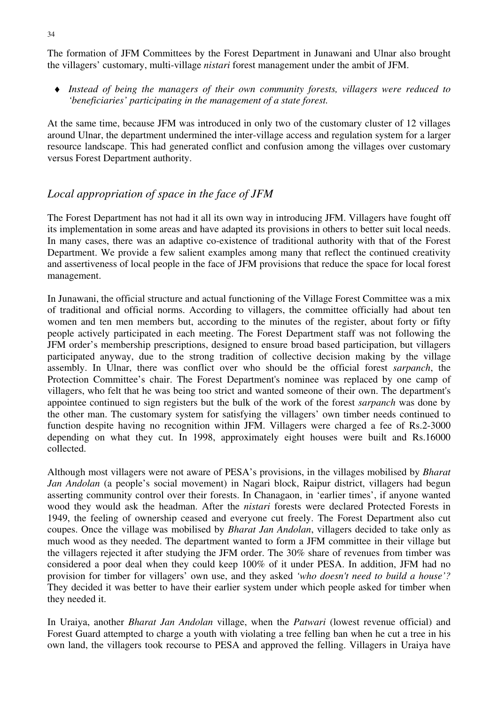The formation of JFM Committees by the Forest Department in Junawani and Ulnar also brought the villagers' customary, multi-village *nistari* forest management under the ambit of JFM.

♦ *Instead of being the managers of their own community forests, villagers were reduced to 'beneficiaries' participating in the management of a state forest.*

At the same time, because JFM was introduced in only two of the customary cluster of 12 villages around Ulnar, the department undermined the inter-village access and regulation system for a larger resource landscape. This had generated conflict and confusion among the villages over customary versus Forest Department authority.

## *Local appropriation of space in the face of JFM*

The Forest Department has not had it all its own way in introducing JFM. Villagers have fought off its implementation in some areas and have adapted its provisions in others to better suit local needs. In many cases, there was an adaptive co-existence of traditional authority with that of the Forest Department. We provide a few salient examples among many that reflect the continued creativity and assertiveness of local people in the face of JFM provisions that reduce the space for local forest management.

In Junawani, the official structure and actual functioning of the Village Forest Committee was a mix of traditional and official norms. According to villagers, the committee officially had about ten women and ten men members but, according to the minutes of the register, about forty or fifty people actively participated in each meeting. The Forest Department staff was not following the JFM order's membership prescriptions, designed to ensure broad based participation, but villagers participated anyway, due to the strong tradition of collective decision making by the village assembly. In Ulnar, there was conflict over who should be the official forest *sarpanch*, the Protection Committee's chair. The Forest Department's nominee was replaced by one camp of villagers, who felt that he was being too strict and wanted someone of their own. The department's appointee continued to sign registers but the bulk of the work of the forest *sarpanch* was done by the other man. The customary system for satisfying the villagers' own timber needs continued to function despite having no recognition within JFM. Villagers were charged a fee of Rs.2-3000 depending on what they cut. In 1998, approximately eight houses were built and Rs.16000 collected.

Although most villagers were not aware of PESA's provisions, in the villages mobilised by *Bharat Jan Andolan* (a people's social movement) in Nagari block, Raipur district, villagers had begun asserting community control over their forests. In Chanagaon, in 'earlier times', if anyone wanted wood they would ask the headman. After the *nistari* forests were declared Protected Forests in 1949, the feeling of ownership ceased and everyone cut freely. The Forest Department also cut coupes. Once the village was mobilised by *Bharat Jan Andolan*, villagers decided to take only as much wood as they needed. The department wanted to form a JFM committee in their village but the villagers rejected it after studying the JFM order. The 30% share of revenues from timber was considered a poor deal when they could keep 100% of it under PESA. In addition, JFM had no provision for timber for villagers' own use, and they asked *'who doesn't need to build a house'?* They decided it was better to have their earlier system under which people asked for timber when they needed it.

In Uraiya, another *Bharat Jan Andolan* village, when the *Patwari* (lowest revenue official) and Forest Guard attempted to charge a youth with violating a tree felling ban when he cut a tree in his own land, the villagers took recourse to PESA and approved the felling. Villagers in Uraiya have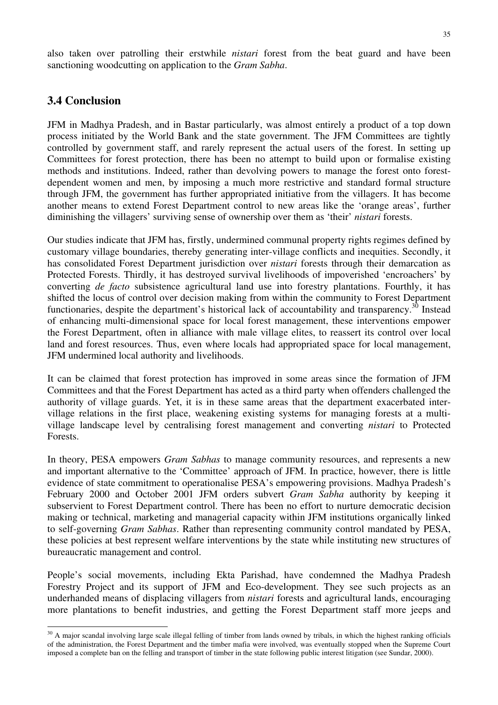also taken over patrolling their erstwhile *nistari* forest from the beat guard and have been sanctioning woodcutting on application to the *Gram Sabha*.

## **3.4 Conclusion**

JFM in Madhya Pradesh, and in Bastar particularly, was almost entirely a product of a top down process initiated by the World Bank and the state government. The JFM Committees are tightly controlled by government staff, and rarely represent the actual users of the forest. In setting up Committees for forest protection, there has been no attempt to build upon or formalise existing methods and institutions. Indeed, rather than devolving powers to manage the forest onto forestdependent women and men, by imposing a much more restrictive and standard formal structure through JFM, the government has further appropriated initiative from the villagers. It has become another means to extend Forest Department control to new areas like the 'orange areas', further diminishing the villagers' surviving sense of ownership over them as 'their' *nistari* forests.

Our studies indicate that JFM has, firstly, undermined communal property rights regimes defined by customary village boundaries, thereby generating inter-village conflicts and inequities. Secondly, it has consolidated Forest Department jurisdiction over *nistari* forests through their demarcation as Protected Forests. Thirdly, it has destroyed survival livelihoods of impoverished 'encroachers' by converting *de facto* subsistence agricultural land use into forestry plantations. Fourthly, it has shifted the locus of control over decision making from within the community to Forest Department functionaries, despite the department's historical lack of accountability and transparency.<sup>30</sup> Instead of enhancing multi-dimensional space for local forest management, these interventions empower the Forest Department, often in alliance with male village elites, to reassert its control over local land and forest resources. Thus, even where locals had appropriated space for local management, JFM undermined local authority and livelihoods.

It can be claimed that forest protection has improved in some areas since the formation of JFM Committees and that the Forest Department has acted as a third party when offenders challenged the authority of village guards. Yet, it is in these same areas that the department exacerbated intervillage relations in the first place, weakening existing systems for managing forests at a multivillage landscape level by centralising forest management and converting *nistari* to Protected Forests.

In theory, PESA empowers *Gram Sabhas* to manage community resources, and represents a new and important alternative to the 'Committee' approach of JFM. In practice, however, there is little evidence of state commitment to operationalise PESA's empowering provisions. Madhya Pradesh's February 2000 and October 2001 JFM orders subvert *Gram Sabha* authority by keeping it subservient to Forest Department control. There has been no effort to nurture democratic decision making or technical, marketing and managerial capacity within JFM institutions organically linked to self-governing *Gram Sabhas*. Rather than representing community control mandated by PESA, these policies at best represent welfare interventions by the state while instituting new structures of bureaucratic management and control.

People's social movements, including Ekta Parishad, have condemned the Madhya Pradesh Forestry Project and its support of JFM and Eco-development. They see such projects as an underhanded means of displacing villagers from *nistari* forests and agricultural lands, encouraging more plantations to benefit industries, and getting the Forest Department staff more jeeps and

<sup>&</sup>lt;sup>30</sup> A major scandal involving large scale illegal felling of timber from lands owned by tribals, in which the highest ranking officials of the administration, the Forest Department and the timber mafia were involved, was eventually stopped when the Supreme Court imposed a complete ban on the felling and transport of timber in the state following public interest litigation (see Sundar, 2000).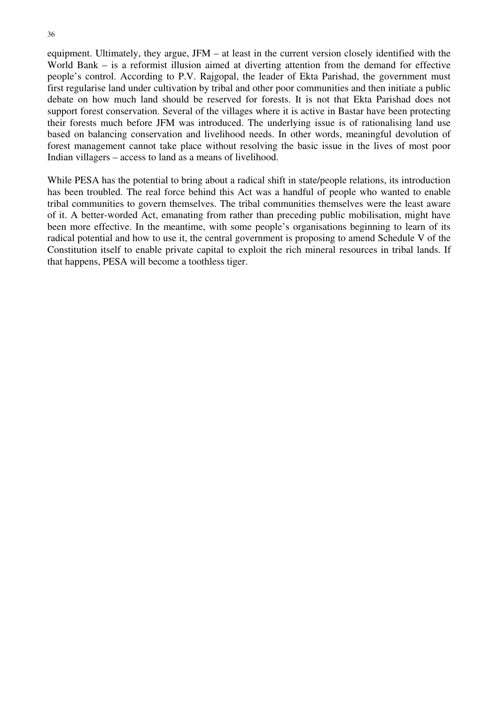equipment. Ultimately, they argue, JFM – at least in the current version closely identified with the World Bank – is a reformist illusion aimed at diverting attention from the demand for effective people's control. According to P.V. Rajgopal, the leader of Ekta Parishad, the government must first regularise land under cultivation by tribal and other poor communities and then initiate a public debate on how much land should be reserved for forests. It is not that Ekta Parishad does not support forest conservation. Several of the villages where it is active in Bastar have been protecting their forests much before JFM was introduced. The underlying issue is of rationalising land use based on balancing conservation and livelihood needs. In other words, meaningful devolution of forest management cannot take place without resolving the basic issue in the lives of most poor Indian villagers – access to land as a means of livelihood.

While PESA has the potential to bring about a radical shift in state/people relations, its introduction has been troubled. The real force behind this Act was a handful of people who wanted to enable tribal communities to govern themselves. The tribal communities themselves were the least aware of it. A better-worded Act, emanating from rather than preceding public mobilisation, might have been more effective. In the meantime, with some people's organisations beginning to learn of its radical potential and how to use it, the central government is proposing to amend Schedule V of the Constitution itself to enable private capital to exploit the rich mineral resources in tribal lands. If that happens, PESA will become a toothless tiger.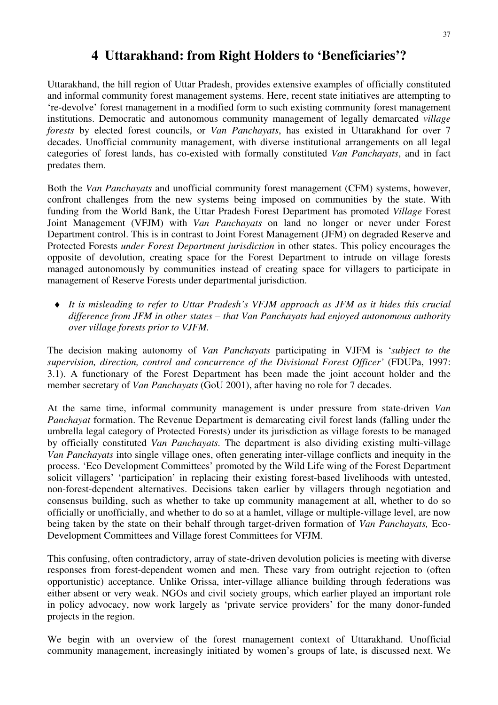# **4 Uttarakhand: from Right Holders to 'Beneficiaries'?**

Uttarakhand, the hill region of Uttar Pradesh, provides extensive examples of officially constituted and informal community forest management systems. Here, recent state initiatives are attempting to 're-devolve' forest management in a modified form to such existing community forest management institutions. Democratic and autonomous community management of legally demarcated *village forests* by elected forest councils, or *Van Panchayats*, has existed in Uttarakhand for over 7 decades. Unofficial community management, with diverse institutional arrangements on all legal categories of forest lands, has co-existed with formally constituted *Van Panchayats*, and in fact predates them.

Both the *Van Panchayats* and unofficial community forest management (CFM) systems, however, confront challenges from the new systems being imposed on communities by the state. With funding from the World Bank, the Uttar Pradesh Forest Department has promoted *Village* Forest Joint Management (VFJM) with *Van Panchayats* on land no longer or never under Forest Department control. This is in contrast to Joint Forest Management (JFM) on degraded Reserve and Protected Forests *under Forest Department jurisdiction* in other states. This policy encourages the opposite of devolution, creating space for the Forest Department to intrude on village forests managed autonomously by communities instead of creating space for villagers to participate in management of Reserve Forests under departmental jurisdiction.

♦ *It is misleading to refer to Uttar Pradesh's VFJM approach as JFM as it hides this crucial difference from JFM in other states – that Van Panchayats had enjoyed autonomous authority over village forests prior to VJFM.*

The decision making autonomy of *Van Panchayats* participating in VJFM is '*subject to the supervision, direction, control and concurrence of the Divisional Forest Officer'* (FDUPa, 1997: 3.1). A functionary of the Forest Department has been made the joint account holder and the member secretary of *Van Panchayats* (GoU 2001), after having no role for 7 decades.

At the same time, informal community management is under pressure from state-driven *Van Panchayat* formation. The Revenue Department is demarcating civil forest lands (falling under the umbrella legal category of Protected Forests) under its jurisdiction as village forests to be managed by officially constituted *Van Panchayats.* The department is also dividing existing multi-village *Van Panchayats* into single village ones, often generating inter-village conflicts and inequity in the process. 'Eco Development Committees' promoted by the Wild Life wing of the Forest Department solicit villagers' 'participation' in replacing their existing forest-based livelihoods with untested, non-forest-dependent alternatives. Decisions taken earlier by villagers through negotiation and consensus building, such as whether to take up community management at all, whether to do so officially or unofficially, and whether to do so at a hamlet, village or multiple-village level, are now being taken by the state on their behalf through target-driven formation of *Van Panchayats,* Eco-Development Committees and Village forest Committees for VFJM.

This confusing, often contradictory, array of state-driven devolution policies is meeting with diverse responses from forest-dependent women and men. These vary from outright rejection to (often opportunistic) acceptance. Unlike Orissa, inter-village alliance building through federations was either absent or very weak. NGOs and civil society groups, which earlier played an important role in policy advocacy, now work largely as 'private service providers' for the many donor-funded projects in the region.

We begin with an overview of the forest management context of Uttarakhand. Unofficial community management, increasingly initiated by women's groups of late, is discussed next. We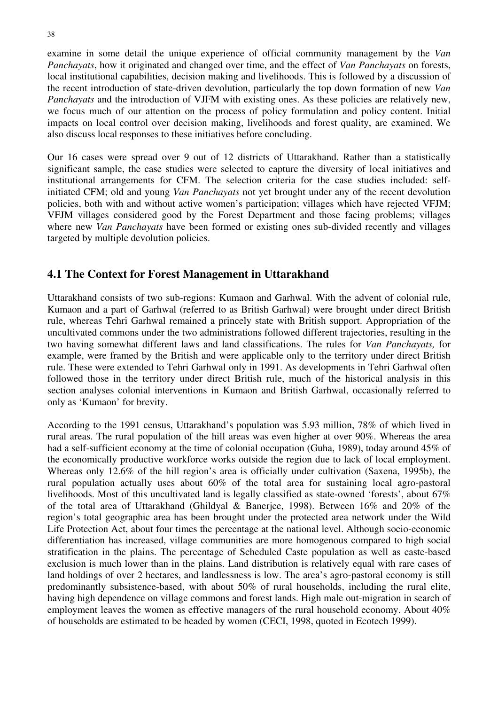examine in some detail the unique experience of official community management by the *Van Panchayats*, how it originated and changed over time, and the effect of *Van Panchayats* on forests, local institutional capabilities, decision making and livelihoods. This is followed by a discussion of the recent introduction of state-driven devolution, particularly the top down formation of new *Van Panchayats* and the introduction of VJFM with existing ones. As these policies are relatively new, we focus much of our attention on the process of policy formulation and policy content. Initial impacts on local control over decision making, livelihoods and forest quality, are examined. We also discuss local responses to these initiatives before concluding.

Our 16 cases were spread over 9 out of 12 districts of Uttarakhand. Rather than a statistically significant sample, the case studies were selected to capture the diversity of local initiatives and institutional arrangements for CFM. The selection criteria for the case studies included: selfinitiated CFM; old and young *Van Panchayats* not yet brought under any of the recent devolution policies, both with and without active women's participation; villages which have rejected VFJM; VFJM villages considered good by the Forest Department and those facing problems; villages where new *Van Panchayats* have been formed or existing ones sub-divided recently and villages targeted by multiple devolution policies.

# **4.1 The Context for Forest Management in Uttarakhand**

Uttarakhand consists of two sub-regions: Kumaon and Garhwal. With the advent of colonial rule, Kumaon and a part of Garhwal (referred to as British Garhwal) were brought under direct British rule, whereas Tehri Garhwal remained a princely state with British support. Appropriation of the uncultivated commons under the two administrations followed different trajectories, resulting in the two having somewhat different laws and land classifications. The rules for *Van Panchayats,* for example, were framed by the British and were applicable only to the territory under direct British rule. These were extended to Tehri Garhwal only in 1991. As developments in Tehri Garhwal often followed those in the territory under direct British rule, much of the historical analysis in this section analyses colonial interventions in Kumaon and British Garhwal, occasionally referred to only as 'Kumaon' for brevity.

According to the 1991 census, Uttarakhand's population was 5.93 million, 78% of which lived in rural areas. The rural population of the hill areas was even higher at over 90%. Whereas the area had a self-sufficient economy at the time of colonial occupation (Guha, 1989), today around 45% of the economically productive workforce works outside the region due to lack of local employment. Whereas only 12.6% of the hill region's area is officially under cultivation (Saxena, 1995b), the rural population actually uses about 60% of the total area for sustaining local agro-pastoral livelihoods. Most of this uncultivated land is legally classified as state-owned 'forests', about 67% of the total area of Uttarakhand (Ghildyal & Banerjee, 1998). Between 16% and 20% of the region's total geographic area has been brought under the protected area network under the Wild Life Protection Act, about four times the percentage at the national level. Although socio-economic differentiation has increased, village communities are more homogenous compared to high social stratification in the plains. The percentage of Scheduled Caste population as well as caste-based exclusion is much lower than in the plains. Land distribution is relatively equal with rare cases of land holdings of over 2 hectares, and landlessness is low. The area's agro-pastoral economy is still predominantly subsistence-based, with about 50% of rural households, including the rural elite, having high dependence on village commons and forest lands. High male out-migration in search of employment leaves the women as effective managers of the rural household economy. About 40% of households are estimated to be headed by women (CECI, 1998, quoted in Ecotech 1999).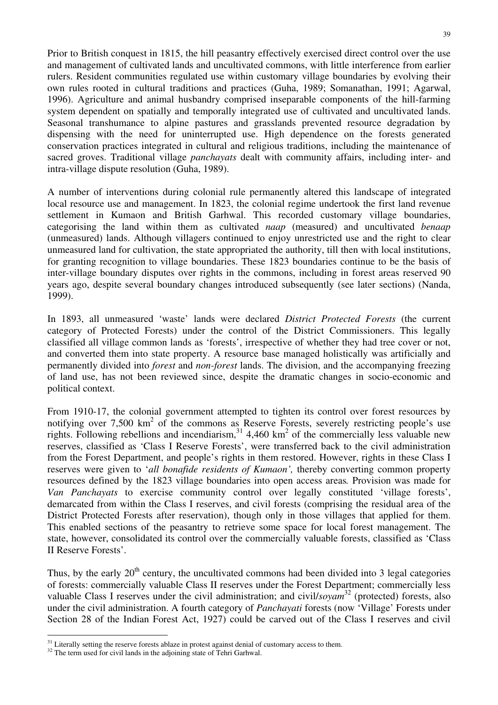Prior to British conquest in 1815, the hill peasantry effectively exercised direct control over the use and management of cultivated lands and uncultivated commons, with little interference from earlier rulers. Resident communities regulated use within customary village boundaries by evolving their own rules rooted in cultural traditions and practices (Guha, 1989; Somanathan, 1991; Agarwal, 1996). Agriculture and animal husbandry comprised inseparable components of the hill-farming system dependent on spatially and temporally integrated use of cultivated and uncultivated lands. Seasonal transhumance to alpine pastures and grasslands prevented resource degradation by dispensing with the need for uninterrupted use. High dependence on the forests generated conservation practices integrated in cultural and religious traditions, including the maintenance of sacred groves. Traditional village *panchayats* dealt with community affairs, including inter- and intra-village dispute resolution (Guha, 1989).

A number of interventions during colonial rule permanently altered this landscape of integrated local resource use and management. In 1823, the colonial regime undertook the first land revenue settlement in Kumaon and British Garhwal. This recorded customary village boundaries, categorising the land within them as cultivated *naap* (measured) and uncultivated *benaap* (unmeasured) lands. Although villagers continued to enjoy unrestricted use and the right to clear unmeasured land for cultivation, the state appropriated the authority, till then with local institutions, for granting recognition to village boundaries. These 1823 boundaries continue to be the basis of inter-village boundary disputes over rights in the commons, including in forest areas reserved 90 years ago, despite several boundary changes introduced subsequently (see later sections) (Nanda, 1999).

In 1893, all unmeasured 'waste' lands were declared *District Protected Forests* (the current category of Protected Forests) under the control of the District Commissioners. This legally classified all village common lands as 'forests', irrespective of whether they had tree cover or not, and converted them into state property. A resource base managed holistically was artificially and permanently divided into *forest* and *non-forest* lands. The division, and the accompanying freezing of land use, has not been reviewed since, despite the dramatic changes in socio-economic and political context.

From 1910-17, the colonial government attempted to tighten its control over forest resources by notifying over  $7,500 \text{ km}^2$  of the commons as Reserve Forests, severely restricting people's use rights. Following rebellions and incendiarism,  $31\,4,460\,\mathrm{km}^2$  of the commercially less valuable new reserves, classified as 'Class I Reserve Forests', were transferred back to the civil administration from the Forest Department, and people's rights in them restored. However, rights in these Class I reserves were given to '*all bonafide residents of Kumaon',* thereby converting common property resources defined by the 1823 village boundaries into open access areas*.* Provision was made for *Van Panchayats* to exercise community control over legally constituted 'village forests', demarcated from within the Class I reserves, and civil forests (comprising the residual area of the District Protected Forests after reservation), though only in those villages that applied for them. This enabled sections of the peasantry to retrieve some space for local forest management. The state, however, consolidated its control over the commercially valuable forests, classified as 'Class II Reserve Forests'.

Thus, by the early  $20<sup>th</sup>$  century, the uncultivated commons had been divided into 3 legal categories of forests: commercially valuable Class II reserves under the Forest Department; commercially less valuable Class I reserves under the civil administration; and civil/*soyam* <sup>32</sup> (protected) forests, also under the civil administration. A fourth category of *Panchayati* forests (now 'Village' Forests under Section 28 of the Indian Forest Act, 1927) could be carved out of the Class I reserves and civil

 $31 \text{ Literally setting}$  the reserve forests ablaze in protest against denial of customary access to them.  $32 \text{ The term used for civil lands in the adjoining state of Tehri Garhwal.}$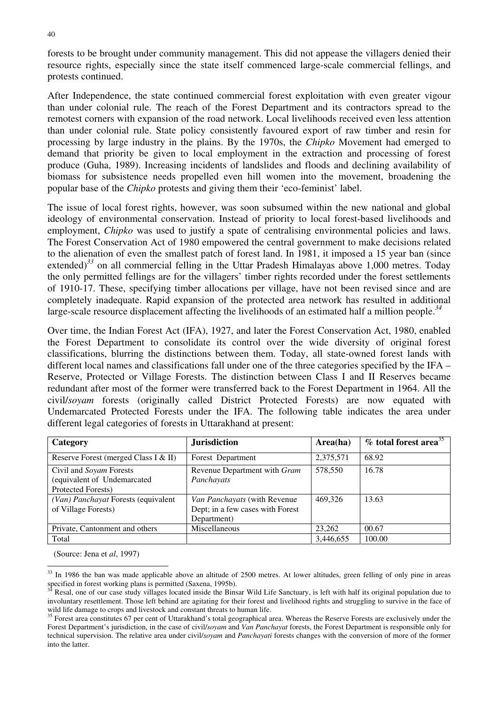forests to be brought under community management. This did not appease the villagers denied their resource rights, especially since the state itself commenced large-scale commercial fellings, and protests continued.

After Independence, the state continued commercial forest exploitation with even greater vigour than under colonial rule. The reach of the Forest Department and its contractors spread to the remotest corners with expansion of the road network. Local livelihoods received even less attention than under colonial rule. State policy consistently favoured export of raw timber and resin for processing by large industry in the plains. By the 1970s, the *Chipko* Movement had emerged to demand that priority be given to local employment in the extraction and processing of forest produce (Guha, 1989). Increasing incidents of landslides and floods and declining availability of biomass for subsistence needs propelled even hill women into the movement, broadening the popular base of the *Chipko* protests and giving them their 'eco-feminist' label.

The issue of local forest rights, however, was soon subsumed within the new national and global ideology of environmental conservation. Instead of priority to local forest-based livelihoods and employment, *Chipko* was used to justify a spate of centralising environmental policies and laws. The Forest Conservation Act of 1980 empowered the central government to make decisions related to the alienation of even the smallest patch of forest land. In 1981, it imposed a 15 year ban (since extended<sup>33</sup> on all commercial felling in the Uttar Pradesh Himalayas above 1,000 metres. Today the only permitted fellings are for the villagers' timber rights recorded under the forest settlements of 1910-17. These, specifying timber allocations per village, have not been revised since and are completely inadequate. Rapid expansion of the protected area network has resulted in additional large-scale resource displacement affecting the livelihoods of an estimated half a million people.*<sup>34</sup>*

Over time, the Indian Forest Act (IFA), 1927, and later the Forest Conservation Act, 1980, enabled the Forest Department to consolidate its control over the wide diversity of original forest classifications, blurring the distinctions between them. Today, all state-owned forest lands with different local names and classifications fall under one of the three categories specified by the IFA – Reserve, Protected or Village Forests. The distinction between Class I and II Reserves became redundant after most of the former were transferred back to the Forest Department in 1964. All the civil/*soyam* forests (originally called District Protected Forests) are now equated with Undemarcated Protected Forests under the IFA. The following table indicates the area under different legal categories of forests in Uttarakhand at present:

| Category                                                                     | <b>Jurisdiction</b>                                                              | Area(ha)  | $%$ total forest area <sup>35</sup> |
|------------------------------------------------------------------------------|----------------------------------------------------------------------------------|-----------|-------------------------------------|
| Reserve Forest (merged Class I & II)                                         | Forest Department                                                                | 2,375,571 | 68.92                               |
| Civil and Soyam Forests<br>(equivalent of Undemarcated<br>Protected Forests) | Revenue Department with Gram<br>Panchayats                                       | 578,550   | 16.78                               |
| (Van) Panchayat Forests (equivalent<br>of Village Forests)                   | Van Panchayats (with Revenue)<br>Dept; in a few cases with Forest<br>Department) | 469.326   | 13.63                               |
| Private, Cantonment and others                                               | Miscellaneous                                                                    | 23,262    | 00.67                               |
| Total                                                                        |                                                                                  | 3,446,655 | 100.00                              |

(Source: Jena et *al*, 1997)

<sup>&</sup>lt;sup>33</sup> In 1986 the ban was made applicable above an altitude of 2500 metres. At lower altitudes, green felling of only pine in areas specified in forest working plans is permitted (Saxena, 1995b).

Resal, one of our case study villages located inside the Binsar Wild Life Sanctuary, is left with half its original population due to involuntary resettlement. Those left behind are agitating for their forest and livelihood rights and struggling to survive in the face of wild life damage to crops and livestock and constant threats to human life.

<sup>&</sup>lt;sup>35</sup> Forest area constitutes 67 per cent of Uttarakhand's total geographical area. Whereas the Reserve Forests are exclusively under the Forest Department's jurisdiction, in the case of civil/*soyam* and *Van Panchayat* forests, the Forest Department is responsible only for technical supervision. The relative area under civil/*soyam* and *Panchayati* forests changes with the conversion of more of the former into the latter.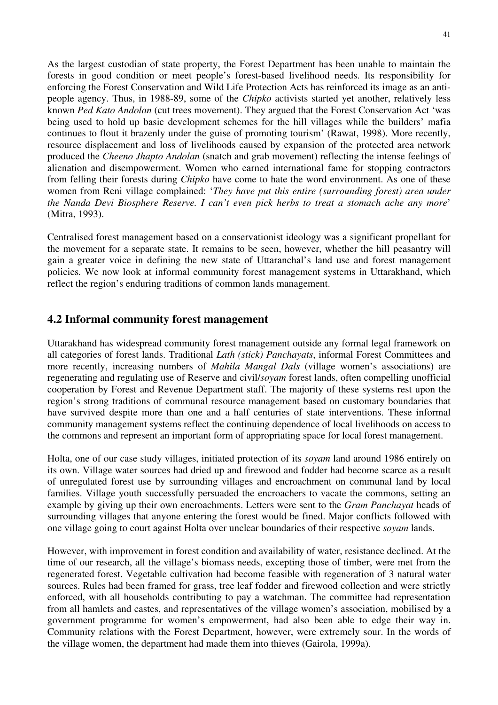As the largest custodian of state property, the Forest Department has been unable to maintain the forests in good condition or meet people's forest-based livelihood needs. Its responsibility for enforcing the Forest Conservation and Wild Life Protection Acts has reinforced its image as an antipeople agency. Thus, in 1988-89, some of the *Chipko* activists started yet another, relatively less known *Ped Kato Andolan* (cut trees movement). They argued that the Forest Conservation Act 'was being used to hold up basic development schemes for the hill villages while the builders' mafia continues to flout it brazenly under the guise of promoting tourism' (Rawat, 1998). More recently, resource displacement and loss of livelihoods caused by expansion of the protected area network produced the *Cheeno Jhapto Andolan* (snatch and grab movement) reflecting the intense feelings of alienation and disempowerment. Women who earned international fame for stopping contractors from felling their forests during *Chipko* have come to hate the word environment. As one of these women from Reni village complained: '*They have put this entire (surrounding forest) area under the Nanda Devi Biosphere Reserve. I can't even pick herbs to treat a stomach ache any more*' (Mitra, 1993).

Centralised forest management based on a conservationist ideology was a significant propellant for the movement for a separate state. It remains to be seen, however, whether the hill peasantry will gain a greater voice in defining the new state of Uttaranchal's land use and forest management policies*.* We now look at informal community forest management systems in Uttarakhand, which reflect the region's enduring traditions of common lands management.

## **4.2 Informal community forest management**

Uttarakhand has widespread community forest management outside any formal legal framework on all categories of forest lands. Traditional *Lath (stick) Panchayats*, informal Forest Committees and more recently, increasing numbers of *Mahila Mangal Dals* (village women's associations) are regenerating and regulating use of Reserve and civil/*soyam* forest lands, often compelling unofficial cooperation by Forest and Revenue Department staff. The majority of these systems rest upon the region's strong traditions of communal resource management based on customary boundaries that have survived despite more than one and a half centuries of state interventions. These informal community management systems reflect the continuing dependence of local livelihoods on access to the commons and represent an important form of appropriating space for local forest management.

Holta, one of our case study villages, initiated protection of its *soyam* land around 1986 entirely on its own. Village water sources had dried up and firewood and fodder had become scarce as a result of unregulated forest use by surrounding villages and encroachment on communal land by local families. Village youth successfully persuaded the encroachers to vacate the commons, setting an example by giving up their own encroachments. Letters were sent to the *Gram Panchayat* heads of surrounding villages that anyone entering the forest would be fined. Major conflicts followed with one village going to court against Holta over unclear boundaries of their respective *soyam* lands.

However, with improvement in forest condition and availability of water, resistance declined. At the time of our research, all the village's biomass needs, excepting those of timber, were met from the regenerated forest. Vegetable cultivation had become feasible with regeneration of 3 natural water sources. Rules had been framed for grass, tree leaf fodder and firewood collection and were strictly enforced, with all households contributing to pay a watchman. The committee had representation from all hamlets and castes, and representatives of the village women's association, mobilised by a government programme for women's empowerment, had also been able to edge their way in. Community relations with the Forest Department, however, were extremely sour. In the words of the village women, the department had made them into thieves (Gairola, 1999a).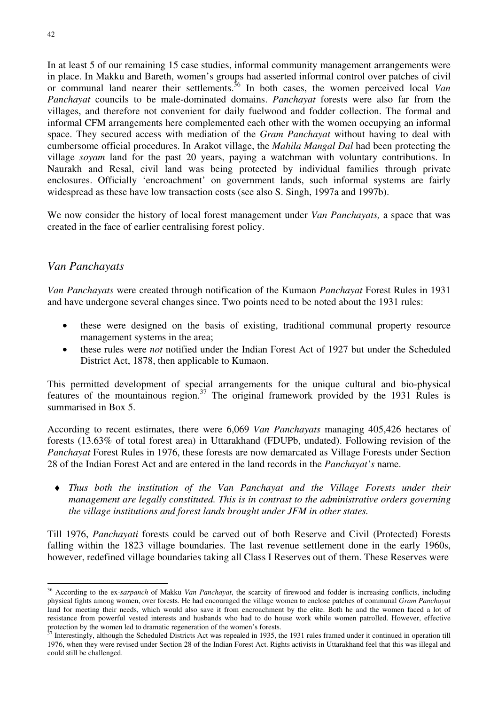In at least 5 of our remaining 15 case studies, informal community management arrangements were in place. In Makku and Bareth, women's groups had asserted informal control over patches of civil or communal land nearer their settlements.<sup>36</sup> In both cases, the women perceived local *Van Panchayat* councils to be male-dominated domains. *Panchayat* forests were also far from the villages, and therefore not convenient for daily fuelwood and fodder collection. The formal and informal CFM arrangements here complemented each other with the women occupying an informal space. They secured access with mediation of the *Gram Panchayat* without having to deal with cumbersome official procedures. In Arakot village, the *Mahila Mangal Dal* had been protecting the village *soyam* land for the past 20 years, paying a watchman with voluntary contributions. In Naurakh and Resal, civil land was being protected by individual families through private enclosures. Officially 'encroachment' on government lands, such informal systems are fairly widespread as these have low transaction costs (see also S. Singh, 1997a and 1997b).

We now consider the history of local forest management under *Van Panchayats,* a space that was created in the face of earlier centralising forest policy.

## *Van Panchayats*

*Van Panchayats* were created through notification of the Kumaon *Panchayat* Forest Rules in 1931 and have undergone several changes since. Two points need to be noted about the 1931 rules:

- these were designed on the basis of existing, traditional communal property resource management systems in the area;
- these rules were *not* notified under the Indian Forest Act of 1927 but under the Scheduled District Act, 1878, then applicable to Kumaon.

This permitted development of special arrangements for the unique cultural and bio-physical features of the mountainous region.<sup>37</sup> The original framework provided by the 1931 Rules is summarised in Box 5.

According to recent estimates, there were 6,069 *Van Panchayats* managing 405,426 hectares of forests (13.63% of total forest area) in Uttarakhand (FDUPb, undated). Following revision of the *Panchayat* Forest Rules in 1976, these forests are now demarcated as Village Forests under Section 28 of the Indian Forest Act and are entered in the land records in the *Panchayat's* name.

♦ *Thus both the institution of the Van Panchayat and the Village Forests under their management are legally constituted. This is in contrast to the administrative orders governing the village institutions and forest lands brought under JFM in other states.*

Till 1976, *Panchayati* forests could be carved out of both Reserve and Civil (Protected) Forests falling within the 1823 village boundaries. The last revenue settlement done in the early 1960s, however, redefined village boundaries taking all Class I Reserves out of them. These Reserves were

<sup>36</sup> According to the ex-*sarpanch* of Makku *Van Panchayat*, the scarcity of firewood and fodder is increasing conflicts, including physical fights among women, over forests. He had encouraged the village women to enclose patches of communal *Gram Panchayat* land for meeting their needs, which would also save it from encroachment by the elite. Both he and the women faced a lot of resistance from powerful vested interests and husbands who had to do house work while women patrolled. However, effective protection by the women led to dramatic regeneration of the women's forests.

<sup>37</sup> Interestingly, although the Scheduled Districts Act was repealed in 1935, the 1931 rules framed under it continued in operation till 1976, when they were revised under Section 28 of the Indian Forest Act. Rights activists in Uttarakhand feel that this was illegal and could still be challenged.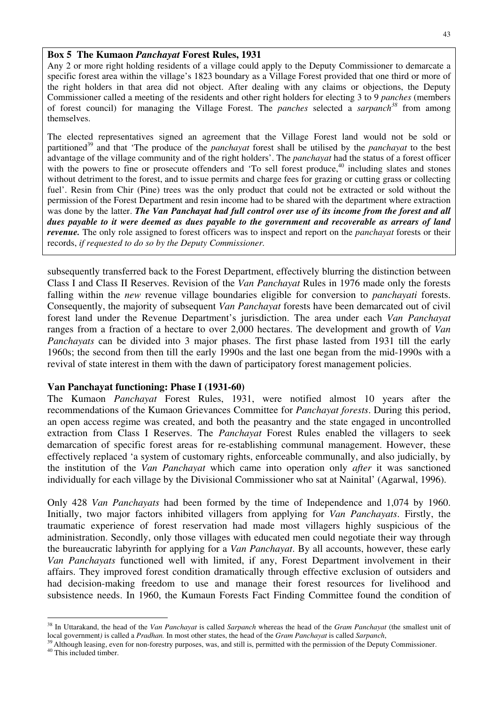#### **Box 5 The Kumaon** *Panchayat* **Forest Rules, 1931**

Any 2 or more right holding residents of a village could apply to the Deputy Commissioner to demarcate a specific forest area within the village's 1823 boundary as a Village Forest provided that one third or more of the right holders in that area did not object. After dealing with any claims or objections, the Deputy Commissioner called a meeting of the residents and other right holders for electing 3 to 9 *panches* (members of forest council) for managing the Village Forest. The *panches* selected a *sarpanch<sup>38</sup>* from among themselves.

The elected representatives signed an agreement that the Village Forest land would not be sold or partitioned<sup>39</sup> and that 'The produce of the *panchayat* forest shall be utilised by the *panchayat* to the best advantage of the village community and of the right holders'. The *panchayat* had the status of a forest officer with the powers to fine or prosecute offenders and 'To sell forest produce,<sup>40</sup> including slates and stones without detriment to the forest, and to issue permits and charge fees for grazing or cutting grass or collecting fuel'. Resin from Chir (Pine) trees was the only product that could not be extracted or sold without the permission of the Forest Department and resin income had to be shared with the department where extraction was done by the latter. *The Van Panchayat had full control over use of its income from the forest and all dues payable to it were deemed as dues payable to the government and recoverable as arrears of land revenue.* The only role assigned to forest officers was to inspect and report on the *panchayat* forests or their records, *if requested to do so by the Deputy Commissioner.*

subsequently transferred back to the Forest Department, effectively blurring the distinction between Class I and Class II Reserves. Revision of the *Van Panchayat* Rules in 1976 made only the forests falling within the *new* revenue village boundaries eligible for conversion to *panchayati* forests. Consequently, the majority of subsequent *Van Panchayat* forests have been demarcated out of civil forest land under the Revenue Department's jurisdiction. The area under each *Van Panchayat* ranges from a fraction of a hectare to over 2,000 hectares. The development and growth of *Van Panchayats* can be divided into 3 major phases. The first phase lasted from 1931 till the early 1960s; the second from then till the early 1990s and the last one began from the mid-1990s with a revival of state interest in them with the dawn of participatory forest management policies.

## **Van Panchayat functioning: Phase I (1931-60)**

The Kumaon *Panchayat* Forest Rules, 1931, were notified almost 10 years after the recommendations of the Kumaon Grievances Committee for *Panchayat forests*. During this period, an open access regime was created, and both the peasantry and the state engaged in uncontrolled extraction from Class I Reserves. The *Panchayat* Forest Rules enabled the villagers to seek demarcation of specific forest areas for re-establishing communal management. However, these effectively replaced 'a system of customary rights, enforceable communally, and also judicially, by the institution of the *Van Panchayat* which came into operation only *after* it was sanctioned individually for each village by the Divisional Commissioner who sat at Nainital' (Agarwal, 1996).

Only 428 *Van Panchayats* had been formed by the time of Independence and 1,074 by 1960. Initially, two major factors inhibited villagers from applying for *Van Panchayats*. Firstly, the traumatic experience of forest reservation had made most villagers highly suspicious of the administration. Secondly, only those villages with educated men could negotiate their way through the bureaucratic labyrinth for applying for a *Van Panchayat*. By all accounts, however, these early *Van Panchayats* functioned well with limited, if any, Forest Department involvement in their affairs. They improved forest condition dramatically through effective exclusion of outsiders and had decision-making freedom to use and manage their forest resources for livelihood and subsistence needs. In 1960, the Kumaun Forests Fact Finding Committee found the condition of

<sup>&</sup>lt;sup>38</sup> In Uttarakand, the head of the *Van Panchayat* is called *Sarpanch* whereas the head of the *Gram Panchayat* (the smallest unit of local government) is called *a Pradhan*. In most other states, the head of the *Gram P* 

 $^{39}$  Although leasing, even for non-forestry purposes, was, and still is, permitted with the permission of the Deputy Commissioner.  $^{40}$  This included timber.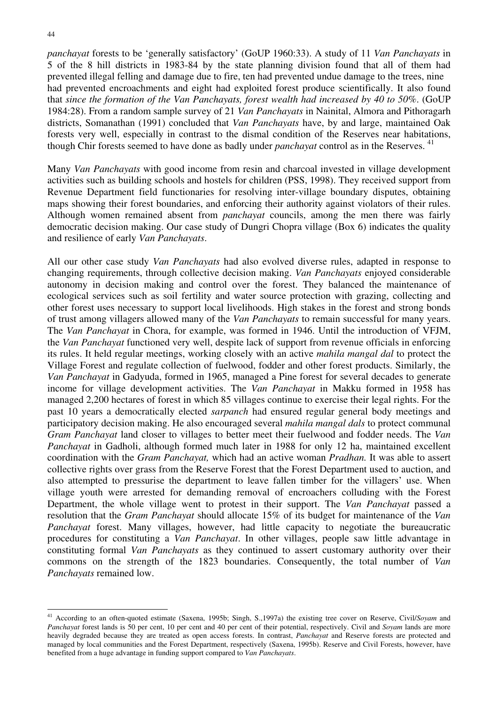*panchayat* forests to be 'generally satisfactory' (GoUP 1960:33). A study of 11 *Van Panchayats* in 5 of the 8 hill districts in 1983-84 by the state planning division found that all of them had prevented illegal felling and damage due to fire, ten had prevented undue damage to the trees, nine had prevented encroachments and eight had exploited forest produce scientifically. It also found that *since the formation of the Van Panchayats, forest wealth had increased by 40 to 50%*. (GoUP 1984:28). From a random sample survey of 21 *Van Panchayats* in Nainital, Almora and Pithoragarh districts, Somanathan (1991) concluded that *Van Panchayats* have, by and large, maintained Oak forests very well, especially in contrast to the dismal condition of the Reserves near habitations, though Chir forests seemed to have done as badly under *panchayat* control as in the Reserves. <sup>41</sup>

Many *Van Panchayats* with good income from resin and charcoal invested in village development activities such as building schools and hostels for children (PSS, 1998). They received support from Revenue Department field functionaries for resolving inter-village boundary disputes, obtaining maps showing their forest boundaries, and enforcing their authority against violators of their rules. Although women remained absent from *panchayat* councils, among the men there was fairly democratic decision making. Our case study of Dungri Chopra village (Box 6) indicates the quality and resilience of early *Van Panchayats*.

All our other case study *Van Panchayats* had also evolved diverse rules, adapted in response to changing requirements, through collective decision making. *Van Panchayats* enjoyed considerable autonomy in decision making and control over the forest. They balanced the maintenance of ecological services such as soil fertility and water source protection with grazing, collecting and other forest uses necessary to support local livelihoods. High stakes in the forest and strong bonds of trust among villagers allowed many of the *Van Panchayats* to remain successful for many years. The *Van Panchayat* in Chora, for example, was formed in 1946. Until the introduction of VFJM, the *Van Panchayat* functioned very well, despite lack of support from revenue officials in enforcing its rules. It held regular meetings, working closely with an active *mahila mangal dal* to protect the Village Forest and regulate collection of fuelwood, fodder and other forest products. Similarly, the *Van Panchayat* in Gadyuda, formed in 1965, managed a Pine forest for several decades to generate income for village development activities. The *Van Panchayat* in Makku formed in 1958 has managed 2,200 hectares of forest in which 85 villages continue to exercise their legal rights. For the past 10 years a democratically elected *sarpanch* had ensured regular general body meetings and participatory decision making. He also encouraged several *mahila mangal dals* to protect communal *Gram Panchayat* land closer to villages to better meet their fuelwood and fodder needs. The *Van Panchayat* in Gadholi, although formed much later in 1988 for only 12 ha, maintained excellent coordination with the *Gram Panchayat,* which had an active woman *Pradhan.* It was able to assert collective rights over grass from the Reserve Forest that the Forest Department used to auction, and also attempted to pressurise the department to leave fallen timber for the villagers' use. When village youth were arrested for demanding removal of encroachers colluding with the Forest Department, the whole village went to protest in their support. The *Van Panchayat* passed a resolution that the *Gram Panchayat* should allocate 15% of its budget for maintenance of the *Van Panchayat* forest. Many villages, however, had little capacity to negotiate the bureaucratic procedures for constituting a *Van Panchayat*. In other villages, people saw little advantage in constituting formal *Van Panchayats* as they continued to assert customary authority over their commons on the strength of the 1823 boundaries. Consequently, the total number of *Van Panchayats* remained low.

<sup>41</sup> According to an often-quoted estimate (Saxena, 1995b; Singh, S.,1997a) the existing tree cover on Reserve, Civil/*Soyam* and *Panchayat* forest lands is 50 per cent, 10 per cent and 40 per cent of their potential, respectively. Civil and *Soyam* lands are more heavily degraded because they are treated as open access forests. In contrast, *Panchayat* and Reserve forests are protected and managed by local communities and the Forest Department, respectively (Saxena, 1995b). Reserve and Civil Forests, however, have benefited from a huge advantage in funding support compared to *Van Panchayats*.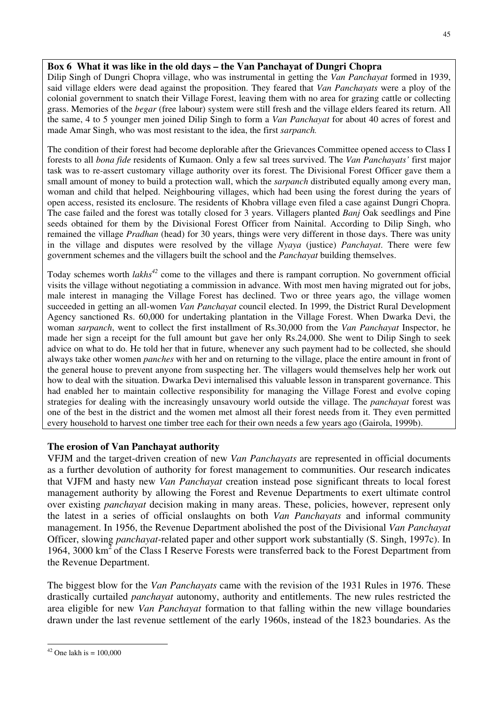## **Box 6 What it was like in the old days – the Van Panchayat of Dungri Chopra**

Dilip Singh of Dungri Chopra village, who was instrumental in getting the *Van Panchayat* formed in 1939, said village elders were dead against the proposition. They feared that *Van Panchayats* were a ploy of the colonial government to snatch their Village Forest, leaving them with no area for grazing cattle or collecting grass. Memories of the *begar* (free labour) system were still fresh and the village elders feared its return. All the same, 4 to 5 younger men joined Dilip Singh to form a *Van Panchayat* for about 40 acres of forest and made Amar Singh, who was most resistant to the idea, the first *sarpanch.*

The condition of their forest had become deplorable after the Grievances Committee opened access to Class I forests to all *bona fide* residents of Kumaon. Only a few sal trees survived. The *Van Panchayats'* first major task was to re-assert customary village authority over its forest. The Divisional Forest Officer gave them a small amount of money to build a protection wall, which the *sarpanch* distributed equally among every man, woman and child that helped. Neighbouring villages, which had been using the forest during the years of open access, resisted its enclosure. The residents of Khobra village even filed a case against Dungri Chopra. The case failed and the forest was totally closed for 3 years. Villagers planted *Banj* Oak seedlings and Pine seeds obtained for them by the Divisional Forest Officer from Nainital. According to Dilip Singh, who remained the village *Pradhan* (head) for 30 years, things were very different in those days. There was unity in the village and disputes were resolved by the village *Nyaya* (justice) *Panchayat*. There were few government schemes and the villagers built the school and the *Panchayat* building themselves.

Today schemes worth *lakhs*<sup>42</sup> come to the villages and there is rampant corruption. No government official visits the village without negotiating a commission in advance. With most men having migrated out for jobs, male interest in managing the Village Forest has declined. Two or three years ago, the village women succeeded in getting an all-women *Van Panchayat* council elected. In 1999, the District Rural Development Agency sanctioned Rs. 60,000 for undertaking plantation in the Village Forest. When Dwarka Devi, the woman *sarpanch*, went to collect the first installment of Rs.30,000 from the *Van Panchayat* Inspector, he made her sign a receipt for the full amount but gave her only Rs.24,000. She went to Dilip Singh to seek advice on what to do. He told her that in future, whenever any such payment had to be collected, she should always take other women *panches* with her and on returning to the village, place the entire amount in front of the general house to prevent anyone from suspecting her. The villagers would themselves help her work out how to deal with the situation. Dwarka Devi internalised this valuable lesson in transparent governance. This had enabled her to maintain collective responsibility for managing the Village Forest and evolve coping strategies for dealing with the increasingly unsavoury world outside the village. The *panchayat* forest was one of the best in the district and the women met almost all their forest needs from it. They even permitted every household to harvest one timber tree each for their own needs a few years ago (Gairola, 1999b).

## **The erosion of Van Panchayat authority**

VFJM and the target-driven creation of new *Van Panchayats* are represented in official documents as a further devolution of authority for forest management to communities. Our research indicates that VJFM and hasty new *Van Panchayat* creation instead pose significant threats to local forest management authority by allowing the Forest and Revenue Departments to exert ultimate control over existing *panchayat* decision making in many areas. These, policies, however, represent only the latest in a series of official onslaughts on both *Van Panchayats* and informal community management. In 1956, the Revenue Department abolished the post of the Divisional *Van Panchayat* Officer, slowing *panchayat-*related paper and other support work substantially (S. Singh, 1997c). In 1964, 3000  $\text{km}^2$  of the Class I Reserve Forests were transferred back to the Forest Department from the Revenue Department.

The biggest blow for the *Van Panchayats* came with the revision of the 1931 Rules in 1976. These drastically curtailed *panchayat* autonomy, authority and entitlements. The new rules restricted the area eligible for new *Van Panchayat* formation to that falling within the new village boundaries drawn under the last revenue settlement of the early 1960s, instead of the 1823 boundaries. As the

 $42$  One lakh is = 100,000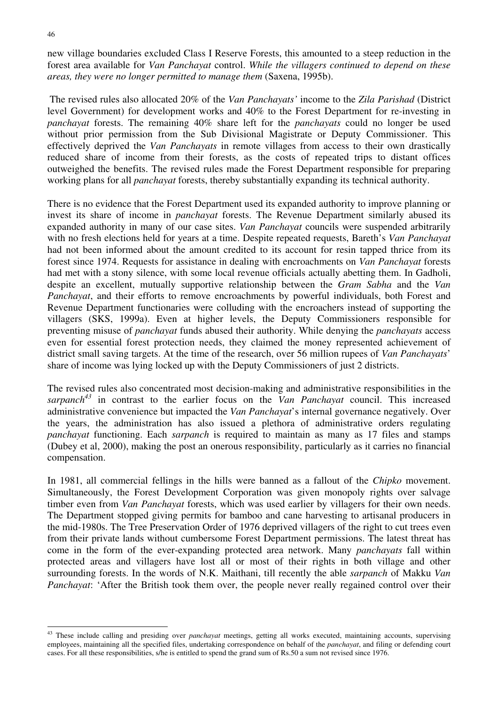new village boundaries excluded Class I Reserve Forests, this amounted to a steep reduction in the forest area available for *Van Panchayat* control. *While the villagers continued to depend on these areas, they were no longer permitted to manage them* (Saxena, 1995b).

The revised rules also allocated 20% of the *Van Panchayats'* income to the *Zila Parishad* (District level Government) for development works and 40% to the Forest Department for re-investing in *panchayat* forests. The remaining 40% share left for the *panchayats* could no longer be used without prior permission from the Sub Divisional Magistrate or Deputy Commissioner. This effectively deprived the *Van Panchayats* in remote villages from access to their own drastically reduced share of income from their forests, as the costs of repeated trips to distant offices outweighed the benefits. The revised rules made the Forest Department responsible for preparing working plans for all *panchayat* forests, thereby substantially expanding its technical authority.

There is no evidence that the Forest Department used its expanded authority to improve planning or invest its share of income in *panchayat* forests. The Revenue Department similarly abused its expanded authority in many of our case sites. *Van Panchayat* councils were suspended arbitrarily with no fresh elections held for years at a time. Despite repeated requests, Bareth's *Van Panchayat* had not been informed about the amount credited to its account for resin tapped thrice from its forest since 1974. Requests for assistance in dealing with encroachments on *Van Panchayat* forests had met with a stony silence, with some local revenue officials actually abetting them. In Gadholi, despite an excellent, mutually supportive relationship between the *Gram Sabha* and the *Van Panchayat*, and their efforts to remove encroachments by powerful individuals, both Forest and Revenue Department functionaries were colluding with the encroachers instead of supporting the villagers (SKS, 1999a). Even at higher levels, the Deputy Commissioners responsible for preventing misuse of *panchayat* funds abused their authority. While denying the *panchayats* access even for essential forest protection needs, they claimed the money represented achievement of district small saving targets. At the time of the research, over 56 million rupees of *Van Panchayats*' share of income was lying locked up with the Deputy Commissioners of just 2 districts.

The revised rules also concentrated most decision-making and administrative responsibilities in the *sarpanch43* in contrast to the earlier focus on the *Van Panchayat* council. This increased administrative convenience but impacted the *Van Panchayat*'s internal governance negatively. Over the years, the administration has also issued a plethora of administrative orders regulating *panchayat* functioning. Each *sarpanch* is required to maintain as many as 17 files and stamps (Dubey et al, 2000), making the post an onerous responsibility, particularly as it carries no financial compensation.

In 1981, all commercial fellings in the hills were banned as a fallout of the *Chipko* movement. Simultaneously, the Forest Development Corporation was given monopoly rights over salvage timber even from *Van Panchayat* forests, which was used earlier by villagers for their own needs. The Department stopped giving permits for bamboo and cane harvesting to artisanal producers in the mid-1980s. The Tree Preservation Order of 1976 deprived villagers of the right to cut trees even from their private lands without cumbersome Forest Department permissions. The latest threat has come in the form of the ever-expanding protected area network. Many *panchayats* fall within protected areas and villagers have lost all or most of their rights in both village and other surrounding forests. In the words of N.K. Maithani, till recently the able *sarpanch* of Makku *Van Panchayat*: 'After the British took them over, the people never really regained control over their

<sup>43</sup> These include calling and presiding over *panchayat* meetings, getting all works executed, maintaining accounts, supervising employees, maintaining all the specified files, undertaking correspondence on behalf of the *panchayat*, and filing or defending court cases. For all these responsibilities, s/he is entitled to spend the grand sum of Rs.50 a sum not revised since 1976.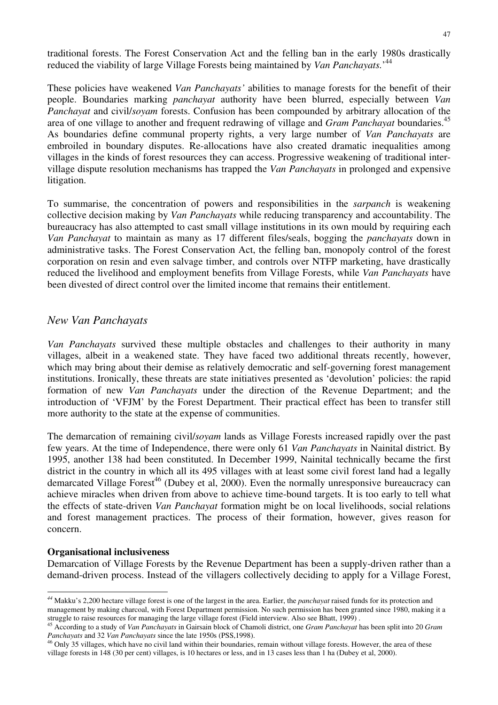traditional forests. The Forest Conservation Act and the felling ban in the early 1980s drastically reduced the viability of large Village Forests being maintained by *Van Panchayats.*' 44

These policies have weakened *Van Panchayats'* abilities to manage forests for the benefit of their people. Boundaries marking *panchayat* authority have been blurred, especially between *Van Panchayat* and civil/*soyam* forests. Confusion has been compounded by arbitrary allocation of the area of one village to another and frequent redrawing of village and *Gram Panchayat* boundaries.45 As boundaries define communal property rights, a very large number of *Van Panchayats* are embroiled in boundary disputes. Re-allocations have also created dramatic inequalities among villages in the kinds of forest resources they can access. Progressive weakening of traditional intervillage dispute resolution mechanisms has trapped the *Van Panchayats* in prolonged and expensive litigation.

To summarise, the concentration of powers and responsibilities in the *sarpanch* is weakening collective decision making by *Van Panchayats* while reducing transparency and accountability. The bureaucracy has also attempted to cast small village institutions in its own mould by requiring each *Van Panchayat* to maintain as many as 17 different files/seals, bogging the *panchayats* down in administrative tasks. The Forest Conservation Act, the felling ban, monopoly control of the forest corporation on resin and even salvage timber, and controls over NTFP marketing, have drastically reduced the livelihood and employment benefits from Village Forests, while *Van Panchayats* have been divested of direct control over the limited income that remains their entitlement.

## *New Van Panchayats*

*Van Panchayats* survived these multiple obstacles and challenges to their authority in many villages, albeit in a weakened state. They have faced two additional threats recently, however, which may bring about their demise as relatively democratic and self-governing forest management institutions. Ironically, these threats are state initiatives presented as 'devolution' policies: the rapid formation of new *Van Panchayats* under the direction of the Revenue Department; and the introduction of 'VFJM' by the Forest Department. Their practical effect has been to transfer still more authority to the state at the expense of communities.

The demarcation of remaining civil/*soyam* lands as Village Forests increased rapidly over the past few years. At the time of Independence, there were only 61 *Van Panchayats* in Nainital district. By 1995, another 138 had been constituted. In December 1999, Nainital technically became the first district in the country in which all its 495 villages with at least some civil forest land had a legally demarcated Village Forest<sup>46</sup> (Dubey et al, 2000). Even the normally unresponsive bureaucracy can achieve miracles when driven from above to achieve time-bound targets. It is too early to tell what the effects of state-driven *Van Panchayat* formation might be on local livelihoods, social relations and forest management practices. The process of their formation, however, gives reason for concern.

#### **Organisational inclusiveness**

Demarcation of Village Forests by the Revenue Department has been a supply-driven rather than a demand-driven process. Instead of the villagers collectively deciding to apply for a Village Forest,

*<sup>44</sup>* Makku's 2,200 hectare village forest is one of the largest in the area. Earlier, the *panchayat* raised funds for its protection and management by making charcoal, with Forest Department permission. No such permission has been granted since 1980, making it a

struggle to raise resources for managing the large village forest (Field interview. Also see Bhatt, 1999).<br><sup>45</sup> According to a study of *Van Panchayats* in Gairsain block of Chamoli district, one *Gram Panchayat* has been

<sup>&</sup>lt;sup>46</sup> Only 35 villages, which have no civil land within their boundaries, remain without village forests. However, the area of these village forests in 148 (30 per cent) villages, is 10 hectares or less, and in 13 cases less than 1 ha (Dubey et al, 2000).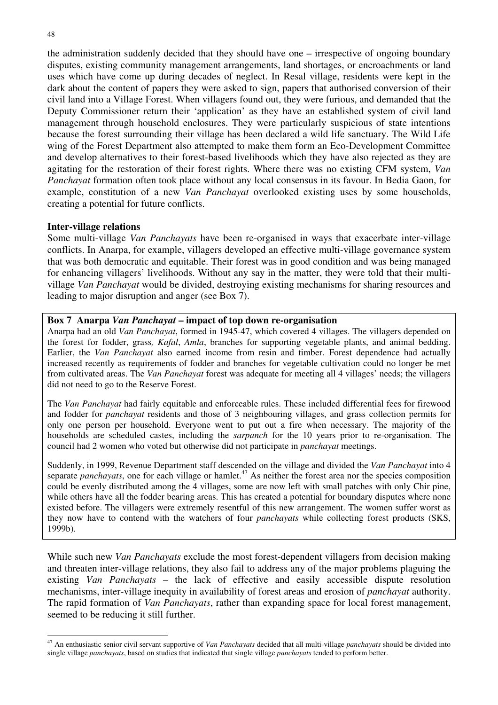the administration suddenly decided that they should have one – irrespective of ongoing boundary disputes, existing community management arrangements, land shortages, or encroachments or land uses which have come up during decades of neglect. In Resal village, residents were kept in the dark about the content of papers they were asked to sign, papers that authorised conversion of their civil land into a Village Forest. When villagers found out, they were furious, and demanded that the Deputy Commissioner return their 'application' as they have an established system of civil land management through household enclosures. They were particularly suspicious of state intentions because the forest surrounding their village has been declared a wild life sanctuary. The Wild Life wing of the Forest Department also attempted to make them form an Eco-Development Committee and develop alternatives to their forest-based livelihoods which they have also rejected as they are agitating for the restoration of their forest rights. Where there was no existing CFM system, *Van Panchayat* formation often took place without any local consensus in its favour. In Bedia Gaon, for example, constitution of a new *Van Panchayat* overlooked existing uses by some households, creating a potential for future conflicts.

#### **Inter-village relations**

Some multi-village *Van Panchayats* have been re-organised in ways that exacerbate inter-village conflicts. In Anarpa, for example, villagers developed an effective multi-village governance system that was both democratic and equitable. Their forest was in good condition and was being managed for enhancing villagers' livelihoods. Without any say in the matter, they were told that their multivillage *Van Panchayat* would be divided, destroying existing mechanisms for sharing resources and leading to major disruption and anger (see Box 7).

#### **Box 7 Anarpa** *Van Panchayat* **– impact of top down re-organisation**

Anarpa had an old *Van Panchayat*, formed in 1945-47, which covered 4 villages. The villagers depended on the forest for fodder, grass*, Kafal*, *Amla*, branches for supporting vegetable plants, and animal bedding. Earlier, the *Van Panchayat* also earned income from resin and timber. Forest dependence had actually increased recently as requirements of fodder and branches for vegetable cultivation could no longer be met from cultivated areas. The *Van Panchayat* forest was adequate for meeting all 4 villages' needs; the villagers did not need to go to the Reserve Forest.

The *Van Panchayat* had fairly equitable and enforceable rules. These included differential fees for firewood and fodder for *panchayat* residents and those of 3 neighbouring villages, and grass collection permits for only one person per household. Everyone went to put out a fire when necessary. The majority of the households are scheduled castes, including the *sarpanch* for the 10 years prior to re-organisation. The council had 2 women who voted but otherwise did not participate in *panchayat* meetings.

Suddenly, in 1999, Revenue Department staff descended on the village and divided the *Van Panchayat* into 4 separate *panchayats*, one for each village or hamlet.<sup>47</sup> As neither the forest area nor the species composition could be evenly distributed among the 4 villages, some are now left with small patches with only Chir pine, while others have all the fodder bearing areas. This has created a potential for boundary disputes where none existed before. The villagers were extremely resentful of this new arrangement. The women suffer worst as they now have to contend with the watchers of four *panchayats* while collecting forest products (SKS, 1999b).

While such new *Van Panchayats* exclude the most forest-dependent villagers from decision making and threaten inter-village relations, they also fail to address any of the major problems plaguing the existing *Van Panchayats* – the lack of effective and easily accessible dispute resolution mechanisms, inter-village inequity in availability of forest areas and erosion of *panchayat* authority. The rapid formation of *Van Panchayats*, rather than expanding space for local forest management, seemed to be reducing it still further.

<sup>47</sup> An enthusiastic senior civil servant supportive of *Van Panchayats* decided that all multi-village *panchayats* should be divided into single village *panchayats*, based on studies that indicated that single village *panchayats* tended to perform better.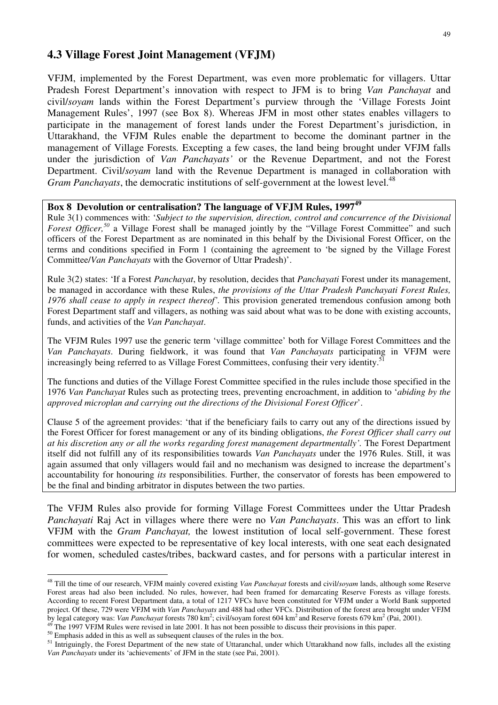## **4.3 Village Forest Joint Management (VFJM)**

VFJM, implemented by the Forest Department, was even more problematic for villagers. Uttar Pradesh Forest Department's innovation with respect to JFM is to bring *Van Panchayat* and civil/*soyam* lands within the Forest Department's purview through the 'Village Forests Joint Management Rules', 1997 (see Box 8). Whereas JFM in most other states enables villagers to participate in the management of forest lands under the Forest Department's jurisdiction, in Uttarakhand, the VFJM Rules enable the department to become the dominant partner in the management of Village Forests*.* Excepting a few cases, the land being brought under VFJM falls under the jurisdiction of *Van Panchayats'* or the Revenue Department, and not the Forest Department. Civil/*soyam* land with the Revenue Department is managed in collaboration with *Gram Panchayats*, the democratic institutions of self-government at the lowest level.<sup>48</sup>

# **Box 8 Devolution or centralisation? The language of VFJM Rules, 199749**

Rule 3(1) commences with: '*Subject to the supervision, direction, control and concurrence of the Divisional Forest Officer*,<sup>50</sup> a Village Forest shall be managed jointly by the "Village Forest Committee" and such officers of the Forest Department as are nominated in this behalf by the Divisional Forest Officer, on the terms and conditions specified in Form 1 (containing the agreement to 'be signed by the Village Forest Committee/*Van Panchayats* with the Governor of Uttar Pradesh)'.

Rule 3(2) states: 'If a Forest *Panchayat*, by resolution, decides that *Panchayati* Forest under its management, be managed in accordance with these Rules, *the provisions of the Uttar Pradesh Panchayati Forest Rules, 1976 shall cease to apply in respect thereof'.* This provision generated tremendous confusion among both Forest Department staff and villagers, as nothing was said about what was to be done with existing accounts, funds, and activities of the *Van Panchayat*.

The VFJM Rules 1997 use the generic term 'village committee' both for Village Forest Committees and the *Van Panchayats*. During fieldwork, it was found that *Van Panchayats* participating in VFJM were increasingly being referred to as Village Forest Committees, confusing their very identity.<sup>5</sup>

The functions and duties of the Village Forest Committee specified in the rules include those specified in the 1976 *Van Panchayat* Rules such as protecting trees, preventing encroachment, in addition to '*abiding by the approved microplan and carrying out the directions of the Divisional Forest Officer*'.

Clause 5 of the agreement provides: 'that if the beneficiary fails to carry out any of the directions issued by the Forest Officer for forest management or any of its binding obligations, *the Forest Officer shall carry out at his discretion any or all the works regarding forest management departmentally'.* The Forest Department itself did not fulfill any of its responsibilities towards *Van Panchayats* under the 1976 Rules. Still, it was again assumed that only villagers would fail and no mechanism was designed to increase the department's accountability for honouring *its* responsibilities. Further, the conservator of forests has been empowered to be the final and binding arbitrator in disputes between the two parties.

The VFJM Rules also provide for forming Village Forest Committees under the Uttar Pradesh *Panchayati* Raj Act in villages where there were no *Van Panchayats*. This was an effort to link VFJM with the *Gram Panchayat,* the lowest institution of local self-government. These forest committees were expected to be representative of key local interests, with one seat each designated for women, scheduled castes/tribes, backward castes, and for persons with a particular interest in

<sup>48</sup> Till the time of our research, VFJM mainly covered existing *Van Panchayat* forests and civil/*soyam* lands, although some Reserve Forest areas had also been included. No rules, however, had been framed for demarcating Reserve Forests as village forests. According to recent Forest Department data, a total of 1217 VFCs have been constituted for VFJM under a World Bank supported project. Of these, 729 were VFJM with *Van Panchayats* and 488 had other VFCs. Distribution of the forest area brought under VFJM by legal category was: *Van Panchayat* forests 780 km<sup>2</sup>; civil/soyam forest 604 km<sup>2</sup> and Reserve forests 679 km<sup>2</sup> (Pai, 2001).<br><sup>49</sup> The 1997 VFJM Rules were revised in late 2001. It has not been possible to discuss thei

 $^{50}$  Emphasis added in this as well as subsequent clauses of the rules in the box.<br> $^{51}$  Intriguingly, the Forest Department of the new state of Uttaranchal, under which Uttarakhand now falls, includes all the existing *Van Panchayats* under its 'achievements' of JFM in the state (see Pai, 2001).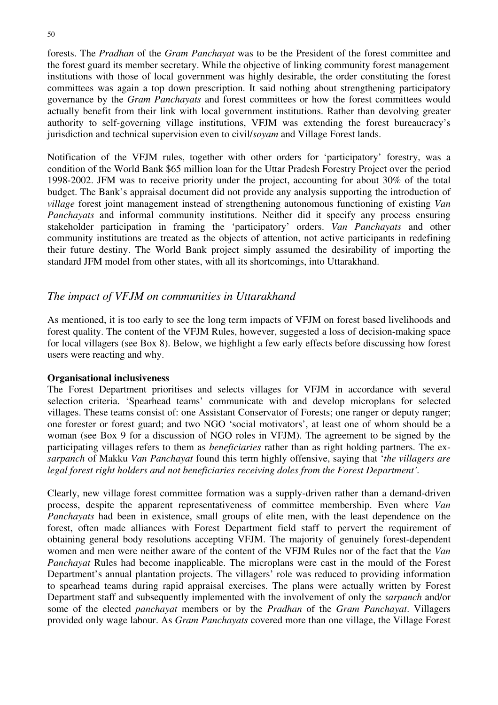forests. The *Pradhan* of the *Gram Panchayat* was to be the President of the forest committee and the forest guard its member secretary. While the objective of linking community forest management institutions with those of local government was highly desirable, the order constituting the forest committees was again a top down prescription. It said nothing about strengthening participatory governance by the *Gram Panchayats* and forest committees or how the forest committees would actually benefit from their link with local government institutions. Rather than devolving greater authority to self-governing village institutions, VFJM was extending the forest bureaucracy's jurisdiction and technical supervision even to civil/*soyam* and Village Forest lands.

Notification of the VFJM rules, together with other orders for 'participatory' forestry, was a condition of the World Bank \$65 million loan for the Uttar Pradesh Forestry Project over the period 1998-2002. JFM was to receive priority under the project, accounting for about 30% of the total budget. The Bank's appraisal document did not provide any analysis supporting the introduction of *village* forest joint management instead of strengthening autonomous functioning of existing *Van Panchayats* and informal community institutions. Neither did it specify any process ensuring stakeholder participation in framing the 'participatory' orders. *Van Panchayats* and other community institutions are treated as the objects of attention, not active participants in redefining their future destiny. The World Bank project simply assumed the desirability of importing the standard JFM model from other states, with all its shortcomings, into Uttarakhand.

## *The impact of VFJM on communities in Uttarakhand*

As mentioned, it is too early to see the long term impacts of VFJM on forest based livelihoods and forest quality. The content of the VFJM Rules, however, suggested a loss of decision-making space for local villagers (see Box 8). Below, we highlight a few early effects before discussing how forest users were reacting and why.

## **Organisational inclusiveness**

The Forest Department prioritises and selects villages for VFJM in accordance with several selection criteria. 'Spearhead teams' communicate with and develop microplans for selected villages. These teams consist of: one Assistant Conservator of Forests; one ranger or deputy ranger; one forester or forest guard; and two NGO 'social motivators', at least one of whom should be a woman (see Box 9 for a discussion of NGO roles in VFJM). The agreement to be signed by the participating villages refers to them as *beneficiaries* rather than as right holding partners. The ex*sarpanch* of Makku *Van Panchayat* found this term highly offensive, saying that '*the villagers are legal forest right holders and not beneficiaries receiving doles from the Forest Department'.*

Clearly, new village forest committee formation was a supply-driven rather than a demand-driven process, despite the apparent representativeness of committee membership. Even where *Van Panchayats* had been in existence, small groups of elite men, with the least dependence on the forest, often made alliances with Forest Department field staff to pervert the requirement of obtaining general body resolutions accepting VFJM. The majority of genuinely forest-dependent women and men were neither aware of the content of the VFJM Rules nor of the fact that the *Van Panchayat* Rules had become inapplicable. The microplans were cast in the mould of the Forest Department's annual plantation projects. The villagers' role was reduced to providing information to spearhead teams during rapid appraisal exercises. The plans were actually written by Forest Department staff and subsequently implemented with the involvement of only the *sarpanch* and/or some of the elected *panchayat* members or by the *Pradhan* of the *Gram Panchayat*. Villagers provided only wage labour. As *Gram Panchayats* covered more than one village, the Village Forest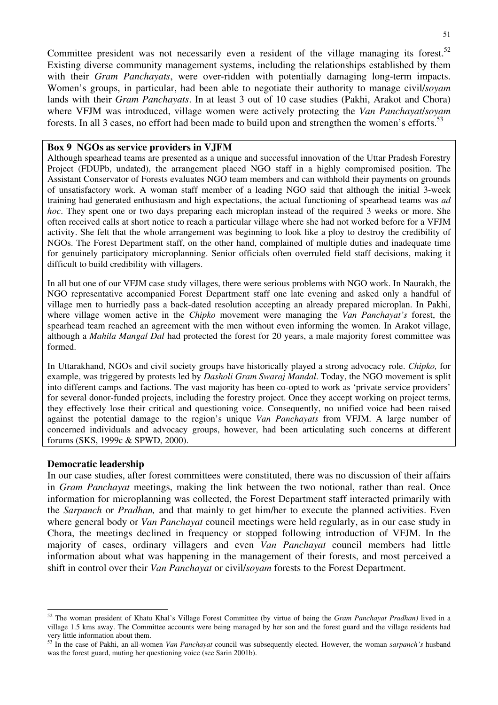Committee president was not necessarily even a resident of the village managing its forest.<sup>52</sup> Existing diverse community management systems, including the relationships established by them with their *Gram Panchayats*, were over-ridden with potentially damaging long-term impacts. Women's groups, in particular, had been able to negotiate their authority to manage civil/*soyam* lands with their *Gram Panchayats*. In at least 3 out of 10 case studies (Pakhi, Arakot and Chora) where VFJM was introduced, village women were actively protecting the *Van Panchayat*/*soyam* forests. In all 3 cases, no effort had been made to build upon and strengthen the women's efforts.<sup>53</sup>

#### **Box 9 NGOs as service providers in VJFM**

Although spearhead teams are presented as a unique and successful innovation of the Uttar Pradesh Forestry Project (FDUPb, undated), the arrangement placed NGO staff in a highly compromised position. The Assistant Conservator of Forests evaluates NGO team members and can withhold their payments on grounds of unsatisfactory work. A woman staff member of a leading NGO said that although the initial 3-week training had generated enthusiasm and high expectations, the actual functioning of spearhead teams was *ad hoc*. They spent one or two days preparing each microplan instead of the required 3 weeks or more. She often received calls at short notice to reach a particular village where she had not worked before for a VFJM activity. She felt that the whole arrangement was beginning to look like a ploy to destroy the credibility of NGOs. The Forest Department staff, on the other hand, complained of multiple duties and inadequate time for genuinely participatory microplanning. Senior officials often overruled field staff decisions, making it difficult to build credibility with villagers.

In all but one of our VFJM case study villages, there were serious problems with NGO work. In Naurakh, the NGO representative accompanied Forest Department staff one late evening and asked only a handful of village men to hurriedly pass a back-dated resolution accepting an already prepared microplan. In Pakhi, where village women active in the *Chipko* movement were managing the *Van Panchayat's* forest, the spearhead team reached an agreement with the men without even informing the women. In Arakot village, although a *Mahila Mangal Dal* had protected the forest for 20 years, a male majority forest committee was formed.

In Uttarakhand, NGOs and civil society groups have historically played a strong advocacy role. *Chipko,* for example, was triggered by protests led by *Dasholi Gram Swaraj Mandal*. Today, the NGO movement is split into different camps and factions. The vast majority has been co-opted to work as 'private service providers' for several donor-funded projects, including the forestry project. Once they accept working on project terms, they effectively lose their critical and questioning voice. Consequently, no unified voice had been raised against the potential damage to the region's unique *Van Panchayats* from VFJM. A large number of concerned individuals and advocacy groups, however, had been articulating such concerns at different forums (SKS, 1999c & SPWD, 2000).

#### **Democratic leadership**

In our case studies, after forest committees were constituted, there was no discussion of their affairs in *Gram Panchayat* meetings, making the link between the two notional, rather than real. Once information for microplanning was collected, the Forest Department staff interacted primarily with the *Sarpanch* or *Pradhan,* and that mainly to get him/her to execute the planned activities. Even where general body or *Van Panchayat* council meetings were held regularly, as in our case study in Chora, the meetings declined in frequency or stopped following introduction of VFJM. In the majority of cases, ordinary villagers and even *Van Panchayat* council members had little information about what was happening in the management of their forests, and most perceived a shift in control over their *Van Panchayat* or civil/*soyam* forests to the Forest Department.

<sup>52</sup> The woman president of Khatu Khal's Village Forest Committee (by virtue of being the *Gram Panchayat Pradhan)* lived in a village 1.5 kms away. The Committee accounts were being managed by her son and the forest guard and the village residents had very little information about them.

<sup>53</sup> In the case of Pakhi, an all-women *Van Panchayat* council was subsequently elected. However, the woman *sarpanch's* husband was the forest guard, muting her questioning voice (see Sarin 2001b).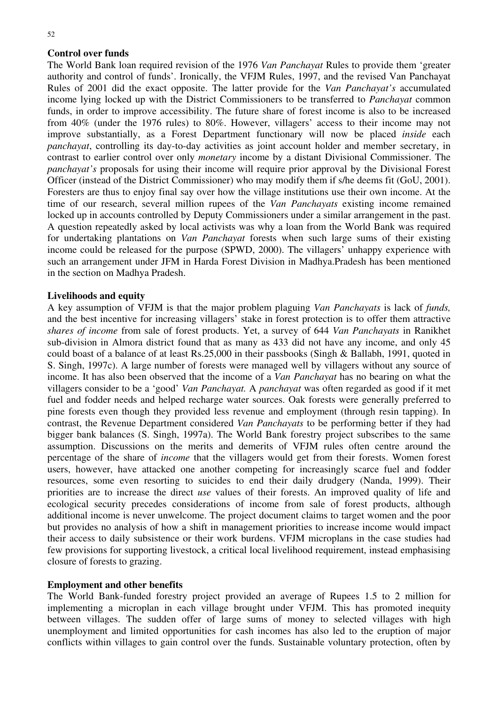#### **Control over funds**

The World Bank loan required revision of the 1976 *Van Panchayat* Rules to provide them 'greater authority and control of funds'. Ironically, the VFJM Rules, 1997, and the revised Van Panchayat Rules of 2001 did the exact opposite. The latter provide for the *Van Panchayat's* accumulated income lying locked up with the District Commissioners to be transferred to *Panchayat* common funds, in order to improve accessibility. The future share of forest income is also to be increased from 40% (under the 1976 rules) to 80%. However, villagers' access to their income may not improve substantially, as a Forest Department functionary will now be placed *inside* each *panchayat*, controlling its day-to-day activities as joint account holder and member secretary, in contrast to earlier control over only *monetary* income by a distant Divisional Commissioner. The *panchayat's* proposals for using their income will require prior approval by the Divisional Forest Officer (instead of the District Commissioner) who may modify them if s/he deems fit (GoU, 2001). Foresters are thus to enjoy final say over how the village institutions use their own income. At the time of our research, several million rupees of the *Van Panchayats* existing income remained locked up in accounts controlled by Deputy Commissioners under a similar arrangement in the past. A question repeatedly asked by local activists was why a loan from the World Bank was required for undertaking plantations on *Van Panchayat* forests when such large sums of their existing income could be released for the purpose (SPWD, 2000). The villagers' unhappy experience with such an arrangement under JFM in Harda Forest Division in Madhya.Pradesh has been mentioned in the section on Madhya Pradesh.

#### **Livelihoods and equity**

A key assumption of VFJM is that the major problem plaguing *Van Panchayats* is lack of *funds,* and the best incentive for increasing villagers' stake in forest protection is to offer them attractive *shares of income* from sale of forest products. Yet, a survey of 644 *Van Panchayats* in Ranikhet sub-division in Almora district found that as many as 433 did not have any income, and only 45 could boast of a balance of at least Rs.25,000 in their passbooks (Singh & Ballabh, 1991, quoted in S. Singh, 1997c). A large number of forests were managed well by villagers without any source of income. It has also been observed that the income of a *Van Panchayat* has no bearing on what the villagers consider to be a 'good' *Van Panchayat.* A *panchayat* was often regarded as good if it met fuel and fodder needs and helped recharge water sources. Oak forests were generally preferred to pine forests even though they provided less revenue and employment (through resin tapping). In contrast, the Revenue Department considered *Van Panchayats* to be performing better if they had bigger bank balances (S. Singh, 1997a). The World Bank forestry project subscribes to the same assumption. Discussions on the merits and demerits of VFJM rules often centre around the percentage of the share of *income* that the villagers would get from their forests. Women forest users, however, have attacked one another competing for increasingly scarce fuel and fodder resources, some even resorting to suicides to end their daily drudgery (Nanda, 1999). Their priorities are to increase the direct *use* values of their forests. An improved quality of life and ecological security precedes considerations of income from sale of forest products, although additional income is never unwelcome. The project document claims to target women and the poor but provides no analysis of how a shift in management priorities to increase income would impact their access to daily subsistence or their work burdens. VFJM microplans in the case studies had few provisions for supporting livestock, a critical local livelihood requirement, instead emphasising closure of forests to grazing.

#### **Employment and other benefits**

The World Bank-funded forestry project provided an average of Rupees 1.5 to 2 million for implementing a microplan in each village brought under VFJM. This has promoted inequity between villages. The sudden offer of large sums of money to selected villages with high unemployment and limited opportunities for cash incomes has also led to the eruption of major conflicts within villages to gain control over the funds. Sustainable voluntary protection, often by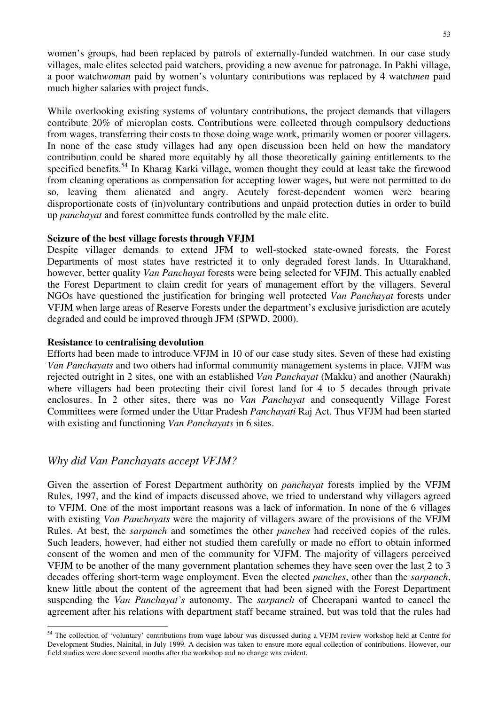women's groups, had been replaced by patrols of externally-funded watchmen. In our case study villages, male elites selected paid watchers, providing a new avenue for patronage. In Pakhi village, a poor watch*woman* paid by women's voluntary contributions was replaced by 4 watch*men* paid much higher salaries with project funds.

While overlooking existing systems of voluntary contributions, the project demands that villagers contribute 20% of microplan costs. Contributions were collected through compulsory deductions from wages, transferring their costs to those doing wage work, primarily women or poorer villagers. In none of the case study villages had any open discussion been held on how the mandatory contribution could be shared more equitably by all those theoretically gaining entitlements to the specified benefits.<sup>54</sup> In Kharag Karki village, women thought they could at least take the firewood from cleaning operations as compensation for accepting lower wages, but were not permitted to do so, leaving them alienated and angry. Acutely forest-dependent women were bearing disproportionate costs of (in)voluntary contributions and unpaid protection duties in order to build up *panchayat* and forest committee funds controlled by the male elite.

#### **Seizure of the best village forests through VFJM**

Despite villager demands to extend JFM to well-stocked state-owned forests, the Forest Departments of most states have restricted it to only degraded forest lands. In Uttarakhand, however, better quality *Van Panchayat* forests were being selected for VFJM. This actually enabled the Forest Department to claim credit for years of management effort by the villagers. Several NGOs have questioned the justification for bringing well protected *Van Panchayat* forests under VFJM when large areas of Reserve Forests under the department's exclusive jurisdiction are acutely degraded and could be improved through JFM (SPWD, 2000).

#### **Resistance to centralising devolution**

Efforts had been made to introduce VFJM in 10 of our case study sites. Seven of these had existing *Van Panchayats* and two others had informal community management systems in place. VJFM was rejected outright in 2 sites, one with an established *Van Panchayat* (Makku) and another (Naurakh) where villagers had been protecting their civil forest land for 4 to 5 decades through private enclosures. In 2 other sites, there was no *Van Panchayat* and consequently Village Forest Committees were formed under the Uttar Pradesh *Panchayati* Raj Act. Thus VFJM had been started with existing and functioning *Van Panchayats* in 6 sites.

## *Why did Van Panchayats accept VFJM?*

Given the assertion of Forest Department authority on *panchayat* forests implied by the VFJM Rules, 1997, and the kind of impacts discussed above, we tried to understand why villagers agreed to VFJM. One of the most important reasons was a lack of information. In none of the 6 villages with existing *Van Panchayats* were the majority of villagers aware of the provisions of the VFJM Rules. At best, the *sarpanch* and sometimes the other *panches* had received copies of the rules. Such leaders, however, had either not studied them carefully or made no effort to obtain informed consent of the women and men of the community for VJFM. The majority of villagers perceived VFJM to be another of the many government plantation schemes they have seen over the last 2 to 3 decades offering short-term wage employment. Even the elected *panches*, other than the *sarpanch*, knew little about the content of the agreement that had been signed with the Forest Department suspending the *Van Panchayat's* autonomy. The *sarpanch* of Cheerapani wanted to cancel the agreement after his relations with department staff became strained, but was told that the rules had

<sup>&</sup>lt;sup>54</sup> The collection of 'voluntary' contributions from wage labour was discussed during a VFJM review workshop held at Centre for Development Studies, Nainital, in July 1999. A decision was taken to ensure more equal collection of contributions. However, our field studies were done several months after the workshop and no change was evident.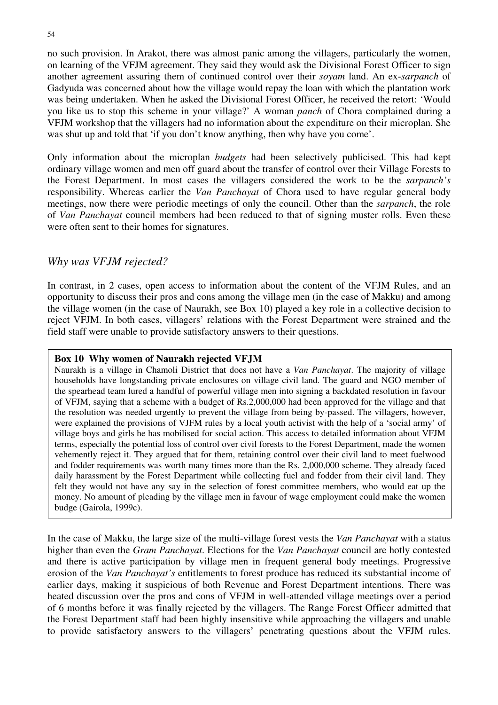no such provision. In Arakot, there was almost panic among the villagers, particularly the women, on learning of the VFJM agreement. They said they would ask the Divisional Forest Officer to sign another agreement assuring them of continued control over their *soyam* land. An ex-*sarpanch* of Gadyuda was concerned about how the village would repay the loan with which the plantation work was being undertaken. When he asked the Divisional Forest Officer, he received the retort: 'Would you like us to stop this scheme in your village?' A woman *panch* of Chora complained during a VFJM workshop that the villagers had no information about the expenditure on their microplan. She was shut up and told that 'if you don't know anything, then why have you come'.

Only information about the microplan *budgets* had been selectively publicised. This had kept ordinary village women and men off guard about the transfer of control over their Village Forests to the Forest Department. In most cases the villagers considered the work to be the *sarpanch's* responsibility. Whereas earlier the *Van Panchayat* of Chora used to have regular general body meetings, now there were periodic meetings of only the council. Other than the *sarpanch*, the role of *Van Panchayat* council members had been reduced to that of signing muster rolls. Even these were often sent to their homes for signatures.

## *Why was VFJM rejected?*

In contrast, in 2 cases, open access to information about the content of the VFJM Rules, and an opportunity to discuss their pros and cons among the village men (in the case of Makku) and among the village women (in the case of Naurakh, see Box 10) played a key role in a collective decision to reject VFJM. In both cases, villagers' relations with the Forest Department were strained and the field staff were unable to provide satisfactory answers to their questions.

## **Box 10 Why women of Naurakh rejected VFJM**

Naurakh is a village in Chamoli District that does not have a *Van Panchayat*. The majority of village households have longstanding private enclosures on village civil land. The guard and NGO member of the spearhead team lured a handful of powerful village men into signing a backdated resolution in favour of VFJM, saying that a scheme with a budget of Rs.2,000,000 had been approved for the village and that the resolution was needed urgently to prevent the village from being by-passed. The villagers, however, were explained the provisions of VJFM rules by a local youth activist with the help of a 'social army' of village boys and girls he has mobilised for social action. This access to detailed information about VFJM terms, especially the potential loss of control over civil forests to the Forest Department, made the women vehemently reject it. They argued that for them, retaining control over their civil land to meet fuelwood and fodder requirements was worth many times more than the Rs. 2,000,000 scheme. They already faced daily harassment by the Forest Department while collecting fuel and fodder from their civil land. They felt they would not have any say in the selection of forest committee members, who would eat up the money. No amount of pleading by the village men in favour of wage employment could make the women budge (Gairola, 1999c).

In the case of Makku, the large size of the multi-village forest vests the *Van Panchayat* with a status higher than even the *Gram Panchayat*. Elections for the *Van Panchayat* council are hotly contested and there is active participation by village men in frequent general body meetings. Progressive erosion of the *Van Panchayat's* entitlements to forest produce has reduced its substantial income of earlier days, making it suspicious of both Revenue and Forest Department intentions. There was heated discussion over the pros and cons of VFJM in well-attended village meetings over a period of 6 months before it was finally rejected by the villagers. The Range Forest Officer admitted that the Forest Department staff had been highly insensitive while approaching the villagers and unable to provide satisfactory answers to the villagers' penetrating questions about the VFJM rules.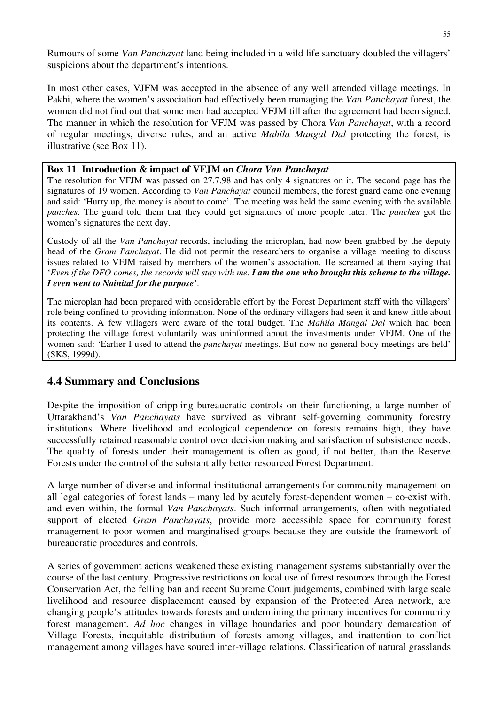Rumours of some *Van Panchayat* land being included in a wild life sanctuary doubled the villagers' suspicions about the department's intentions.

In most other cases, VJFM was accepted in the absence of any well attended village meetings. In Pakhi, where the women's association had effectively been managing the *Van Panchayat* forest, the women did not find out that some men had accepted VFJM till after the agreement had been signed. The manner in which the resolution for VFJM was passed by Chora *Van Panchayat*, with a record of regular meetings, diverse rules, and an active *Mahila Mangal Dal* protecting the forest, is illustrative (see Box 11).

#### **Box 11 Introduction & impact of VFJM on** *Chora Van Panchayat*

The resolution for VFJM was passed on 27.7.98 and has only 4 signatures on it. The second page has the signatures of 19 women. According to *Van Panchayat* council members, the forest guard came one evening and said: 'Hurry up, the money is about to come'. The meeting was held the same evening with the available *panches*. The guard told them that they could get signatures of more people later. The *panches* got the women's signatures the next day.

Custody of all the *Van Panchayat* records, including the microplan, had now been grabbed by the deputy head of the *Gram Panchayat*. He did not permit the researchers to organise a village meeting to discuss issues related to VFJM raised by members of the women's association. He screamed at them saying that '*Even if the DFO comes, the records will stay with me. I am the one who brought this scheme to the village. I even went to Nainital for the purpose'*.

The microplan had been prepared with considerable effort by the Forest Department staff with the villagers' role being confined to providing information. None of the ordinary villagers had seen it and knew little about its contents. A few villagers were aware of the total budget. The *Mahila Mangal Dal* which had been protecting the village forest voluntarily was uninformed about the investments under VFJM. One of the women said: 'Earlier I used to attend the *panchayat* meetings. But now no general body meetings are held' (SKS, 1999d).

## **4.4 Summary and Conclusions**

Despite the imposition of crippling bureaucratic controls on their functioning, a large number of Uttarakhand's *Van Panchayats* have survived as vibrant self-governing community forestry institutions. Where livelihood and ecological dependence on forests remains high, they have successfully retained reasonable control over decision making and satisfaction of subsistence needs. The quality of forests under their management is often as good, if not better, than the Reserve Forests under the control of the substantially better resourced Forest Department.

A large number of diverse and informal institutional arrangements for community management on all legal categories of forest lands – many led by acutely forest-dependent women – co-exist with, and even within, the formal *Van Panchayats*. Such informal arrangements, often with negotiated support of elected *Gram Panchayats*, provide more accessible space for community forest management to poor women and marginalised groups because they are outside the framework of bureaucratic procedures and controls.

A series of government actions weakened these existing management systems substantially over the course of the last century. Progressive restrictions on local use of forest resources through the Forest Conservation Act, the felling ban and recent Supreme Court judgements, combined with large scale livelihood and resource displacement caused by expansion of the Protected Area network, are changing people's attitudes towards forests and undermining the primary incentives for community forest management. *Ad hoc* changes in village boundaries and poor boundary demarcation of Village Forests, inequitable distribution of forests among villages, and inattention to conflict management among villages have soured inter-village relations. Classification of natural grasslands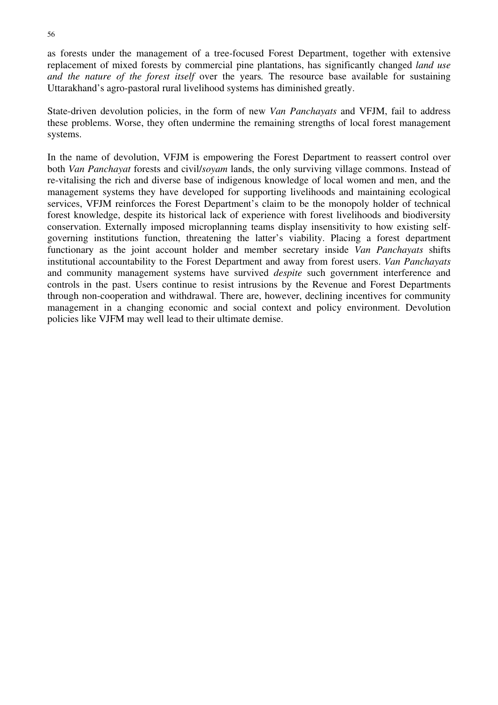as forests under the management of a tree-focused Forest Department, together with extensive replacement of mixed forests by commercial pine plantations, has significantly changed *land use and the nature of the forest itself* over the years*.* The resource base available for sustaining Uttarakhand's agro-pastoral rural livelihood systems has diminished greatly.

State-driven devolution policies, in the form of new *Van Panchayats* and VFJM, fail to address these problems. Worse, they often undermine the remaining strengths of local forest management systems.

In the name of devolution, VFJM is empowering the Forest Department to reassert control over both *Van Panchayat* forests and civil/*soyam* lands, the only surviving village commons. Instead of re-vitalising the rich and diverse base of indigenous knowledge of local women and men, and the management systems they have developed for supporting livelihoods and maintaining ecological services, VFJM reinforces the Forest Department's claim to be the monopoly holder of technical forest knowledge, despite its historical lack of experience with forest livelihoods and biodiversity conservation. Externally imposed microplanning teams display insensitivity to how existing selfgoverning institutions function, threatening the latter's viability. Placing a forest department functionary as the joint account holder and member secretary inside *Van Panchayats* shifts institutional accountability to the Forest Department and away from forest users. *Van Panchayats* and community management systems have survived *despite* such government interference and controls in the past. Users continue to resist intrusions by the Revenue and Forest Departments through non-cooperation and withdrawal. There are, however, declining incentives for community management in a changing economic and social context and policy environment. Devolution policies like VJFM may well lead to their ultimate demise.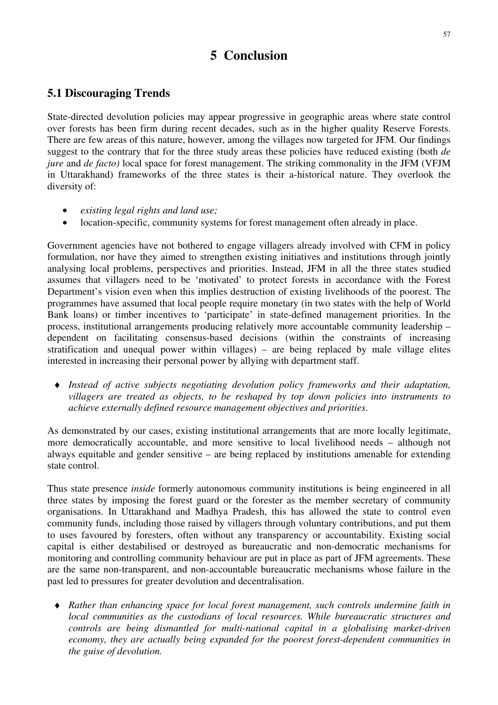# **5 Conclusion**

# **5.1 Discouraging Trends**

State-directed devolution policies may appear progressive in geographic areas where state control over forests has been firm during recent decades, such as in the higher quality Reserve Forests. There are few areas of this nature, however, among the villages now targeted for JFM. Our findings suggest to the contrary that for the three study areas these policies have reduced existing (both *de jure* and *de facto)* local space for forest management. The striking commonality in the JFM (VFJM in Uttarakhand) frameworks of the three states is their a-historical nature. They overlook the diversity of:

- *existing legal rights and land use;*
- location-specific, community systems for forest management often already in place.

Government agencies have not bothered to engage villagers already involved with CFM in policy formulation, nor have they aimed to strengthen existing initiatives and institutions through jointly analysing local problems, perspectives and priorities. Instead, JFM in all the three states studied assumes that villagers need to be 'motivated' to protect forests in accordance with the Forest Department's vision even when this implies destruction of existing livelihoods of the poorest. The programmes have assumed that local people require monetary (in two states with the help of World Bank loans) or timber incentives to 'participate' in state-defined management priorities. In the process, institutional arrangements producing relatively more accountable community leadership – dependent on facilitating consensus-based decisions (within the constraints of increasing stratification and unequal power within villages) – are being replaced by male village elites interested in increasing their personal power by allying with department staff.

♦ *Instead of active subjects negotiating devolution policy frameworks and their adaptation, villagers are treated as objects, to be reshaped by top down policies into instruments to achieve externally defined resource management objectives and priorities*.

As demonstrated by our cases, existing institutional arrangements that are more locally legitimate, more democratically accountable, and more sensitive to local livelihood needs – although not always equitable and gender sensitive – are being replaced by institutions amenable for extending state control.

Thus state presence *inside* formerly autonomous community institutions is being engineered in all three states by imposing the forest guard or the forester as the member secretary of community organisations. In Uttarakhand and Madhya Pradesh, this has allowed the state to control even community funds, including those raised by villagers through voluntary contributions, and put them to uses favoured by foresters, often without any transparency or accountability. Existing social capital is either destabilised or destroyed as bureaucratic and non-democratic mechanisms for monitoring and controlling community behaviour are put in place as part of JFM agreements. These are the same non-transparent, and non-accountable bureaucratic mechanisms whose failure in the past led to pressures for greater devolution and decentralisation.

♦ *Rather than enhancing space for local forest management, such controls undermine faith in local communities as the custodians of local resources. While bureaucratic structures and controls are being dismantled for multi-national capital in a globalising market-driven economy, they are actually being expanded for the poorest forest-dependent communities in the guise of devolution.*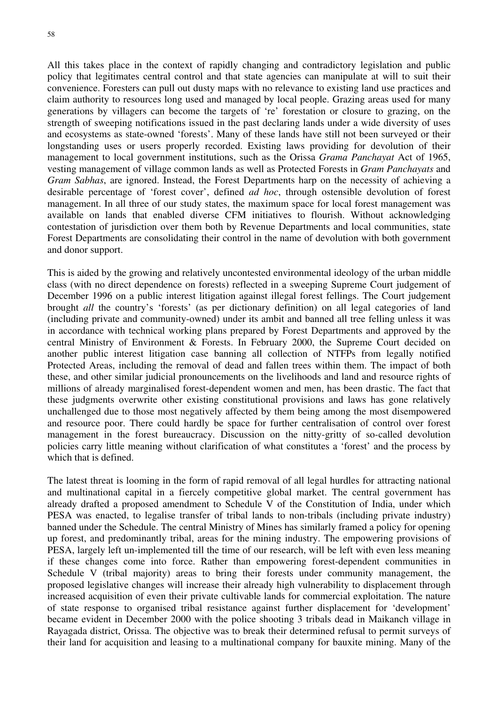All this takes place in the context of rapidly changing and contradictory legislation and public policy that legitimates central control and that state agencies can manipulate at will to suit their convenience. Foresters can pull out dusty maps with no relevance to existing land use practices and claim authority to resources long used and managed by local people. Grazing areas used for many generations by villagers can become the targets of 're' forestation or closure to grazing, on the strength of sweeping notifications issued in the past declaring lands under a wide diversity of uses and ecosystems as state-owned 'forests'. Many of these lands have still not been surveyed or their longstanding uses or users properly recorded. Existing laws providing for devolution of their management to local government institutions, such as the Orissa *Grama Panchayat* Act of 1965, vesting management of village common lands as well as Protected Forests in *Gram Panchayats* and *Gram Sabhas*, are ignored. Instead, the Forest Departments harp on the necessity of achieving a desirable percentage of 'forest cover', defined *ad hoc*, through ostensible devolution of forest management. In all three of our study states, the maximum space for local forest management was available on lands that enabled diverse CFM initiatives to flourish. Without acknowledging contestation of jurisdiction over them both by Revenue Departments and local communities, state Forest Departments are consolidating their control in the name of devolution with both government and donor support.

This is aided by the growing and relatively uncontested environmental ideology of the urban middle class (with no direct dependence on forests) reflected in a sweeping Supreme Court judgement of December 1996 on a public interest litigation against illegal forest fellings. The Court judgement brought *all* the country's 'forests' (as per dictionary definition) on all legal categories of land (including private and community-owned) under its ambit and banned all tree felling unless it was in accordance with technical working plans prepared by Forest Departments and approved by the central Ministry of Environment & Forests. In February 2000, the Supreme Court decided on another public interest litigation case banning all collection of NTFPs from legally notified Protected Areas, including the removal of dead and fallen trees within them. The impact of both these, and other similar judicial pronouncements on the livelihoods and land and resource rights of millions of already marginalised forest-dependent women and men, has been drastic. The fact that these judgments overwrite other existing constitutional provisions and laws has gone relatively unchallenged due to those most negatively affected by them being among the most disempowered and resource poor. There could hardly be space for further centralisation of control over forest management in the forest bureaucracy. Discussion on the nitty-gritty of so-called devolution policies carry little meaning without clarification of what constitutes a 'forest' and the process by which that is defined.

The latest threat is looming in the form of rapid removal of all legal hurdles for attracting national and multinational capital in a fiercely competitive global market. The central government has already drafted a proposed amendment to Schedule V of the Constitution of India, under which PESA was enacted, to legalise transfer of tribal lands to non-tribals (including private industry) banned under the Schedule. The central Ministry of Mines has similarly framed a policy for opening up forest, and predominantly tribal, areas for the mining industry. The empowering provisions of PESA, largely left un-implemented till the time of our research, will be left with even less meaning if these changes come into force. Rather than empowering forest-dependent communities in Schedule V (tribal majority) areas to bring their forests under community management, the proposed legislative changes will increase their already high vulnerability to displacement through increased acquisition of even their private cultivable lands for commercial exploitation. The nature of state response to organised tribal resistance against further displacement for 'development' became evident in December 2000 with the police shooting 3 tribals dead in Maikanch village in Rayagada district, Orissa. The objective was to break their determined refusal to permit surveys of their land for acquisition and leasing to a multinational company for bauxite mining. Many of the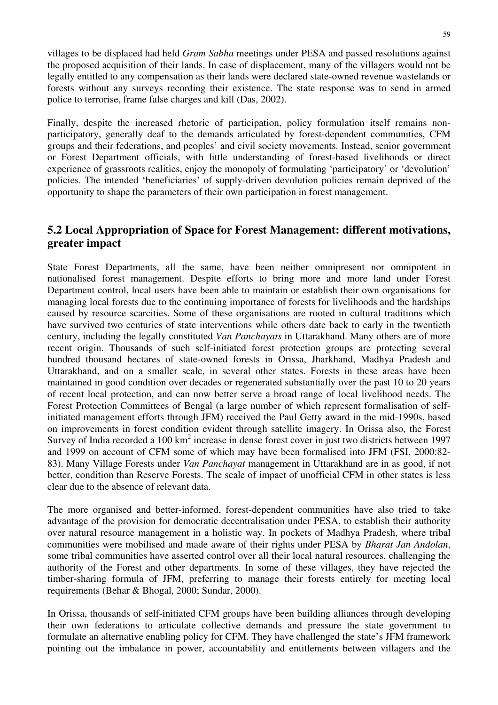villages to be displaced had held *Gram Sabha* meetings under PESA and passed resolutions against the proposed acquisition of their lands. In case of displacement, many of the villagers would not be legally entitled to any compensation as their lands were declared state-owned revenue wastelands or forests without any surveys recording their existence. The state response was to send in armed police to terrorise, frame false charges and kill (Das, 2002).

Finally, despite the increased rhetoric of participation, policy formulation itself remains nonparticipatory, generally deaf to the demands articulated by forest-dependent communities, CFM groups and their federations, and peoples' and civil society movements. Instead, senior government or Forest Department officials, with little understanding of forest-based livelihoods or direct experience of grassroots realities, enjoy the monopoly of formulating 'participatory' or 'devolution' policies. The intended 'beneficiaries' of supply-driven devolution policies remain deprived of the opportunity to shape the parameters of their own participation in forest management.

# **5.2 Local Appropriation of Space for Forest Management: different motivations, greater impact**

State Forest Departments, all the same, have been neither omnipresent nor omnipotent in nationalised forest management. Despite efforts to bring more and more land under Forest Department control, local users have been able to maintain or establish their own organisations for managing local forests due to the continuing importance of forests for livelihoods and the hardships caused by resource scarcities. Some of these organisations are rooted in cultural traditions which have survived two centuries of state interventions while others date back to early in the twentieth century, including the legally constituted *Van Panchayats* in Uttarakhand. Many others are of more recent origin. Thousands of such self-initiated forest protection groups are protecting several hundred thousand hectares of state-owned forests in Orissa, Jharkhand, Madhya Pradesh and Uttarakhand, and on a smaller scale, in several other states. Forests in these areas have been maintained in good condition over decades or regenerated substantially over the past 10 to 20 years of recent local protection, and can now better serve a broad range of local livelihood needs. The Forest Protection Committees of Bengal (a large number of which represent formalisation of selfinitiated management efforts through JFM) received the Paul Getty award in the mid-1990s, based on improvements in forest condition evident through satellite imagery. In Orissa also, the Forest Survey of India recorded a 100 km<sup>2</sup> increase in dense forest cover in just two districts between 1997 and 1999 on account of CFM some of which may have been formalised into JFM (FSI, 2000:82- 83). Many Village Forests under *Van Panchayat* management in Uttarakhand are in as good, if not better, condition than Reserve Forests. The scale of impact of unofficial CFM in other states is less clear due to the absence of relevant data.

The more organised and better-informed, forest-dependent communities have also tried to take advantage of the provision for democratic decentralisation under PESA, to establish their authority over natural resource management in a holistic way. In pockets of Madhya Pradesh, where tribal communities were mobilised and made aware of their rights under PESA by *Bharat Jan Andolan*, some tribal communities have asserted control over all their local natural resources, challenging the authority of the Forest and other departments. In some of these villages, they have rejected the timber-sharing formula of JFM, preferring to manage their forests entirely for meeting local requirements (Behar & Bhogal, 2000; Sundar, 2000).

In Orissa, thousands of self-initiated CFM groups have been building alliances through developing their own federations to articulate collective demands and pressure the state government to formulate an alternative enabling policy for CFM. They have challenged the state's JFM framework pointing out the imbalance in power, accountability and entitlements between villagers and the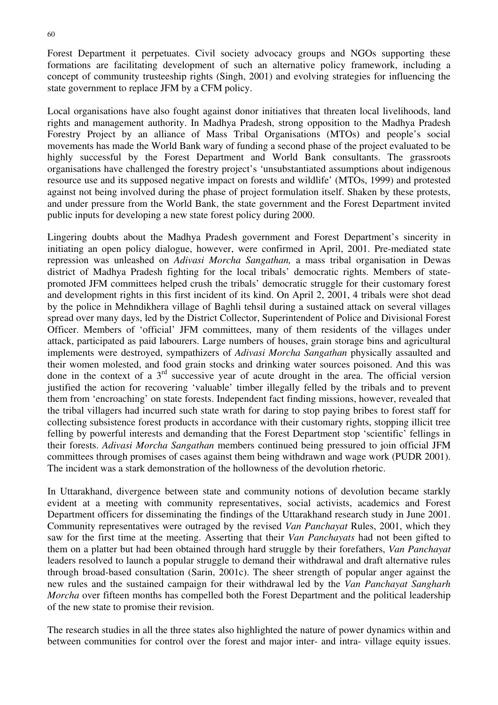Forest Department it perpetuates. Civil society advocacy groups and NGOs supporting these formations are facilitating development of such an alternative policy framework, including a concept of community trusteeship rights (Singh, 2001) and evolving strategies for influencing the state government to replace JFM by a CFM policy.

Local organisations have also fought against donor initiatives that threaten local livelihoods, land rights and management authority. In Madhya Pradesh, strong opposition to the Madhya Pradesh Forestry Project by an alliance of Mass Tribal Organisations (MTOs) and people's social movements has made the World Bank wary of funding a second phase of the project evaluated to be highly successful by the Forest Department and World Bank consultants. The grassroots organisations have challenged the forestry project's 'unsubstantiated assumptions about indigenous resource use and its supposed negative impact on forests and wildlife' (MTOs, 1999) and protested against not being involved during the phase of project formulation itself. Shaken by these protests, and under pressure from the World Bank, the state government and the Forest Department invited public inputs for developing a new state forest policy during 2000.

Lingering doubts about the Madhya Pradesh government and Forest Department's sincerity in initiating an open policy dialogue, however, were confirmed in April, 2001. Pre-mediated state repression was unleashed on *Adivasi Morcha Sangathan,* a mass tribal organisation in Dewas district of Madhya Pradesh fighting for the local tribals' democratic rights. Members of statepromoted JFM committees helped crush the tribals' democratic struggle for their customary forest and development rights in this first incident of its kind. On April 2, 2001, 4 tribals were shot dead by the police in Mehndikhera village of Baghli tehsil during a sustained attack on several villages spread over many days, led by the District Collector, Superintendent of Police and Divisional Forest Officer. Members of 'official' JFM committees, many of them residents of the villages under attack, participated as paid labourers. Large numbers of houses, grain storage bins and agricultural implements were destroyed, sympathizers of *Adivasi Morcha Sangathan* physically assaulted and their women molested, and food grain stocks and drinking water sources poisoned. And this was done in the context of a  $3<sup>rd</sup>$  successive year of acute drought in the area. The official version justified the action for recovering 'valuable' timber illegally felled by the tribals and to prevent them from 'encroaching' on state forests. Independent fact finding missions, however, revealed that the tribal villagers had incurred such state wrath for daring to stop paying bribes to forest staff for collecting subsistence forest products in accordance with their customary rights, stopping illicit tree felling by powerful interests and demanding that the Forest Department stop 'scientific' fellings in their forests. *Adivasi Morcha Sangathan* members continued being pressured to join official JFM committees through promises of cases against them being withdrawn and wage work (PUDR 2001). The incident was a stark demonstration of the hollowness of the devolution rhetoric.

In Uttarakhand, divergence between state and community notions of devolution became starkly evident at a meeting with community representatives, social activists, academics and Forest Department officers for disseminating the findings of the Uttarakhand research study in June 2001. Community representatives were outraged by the revised *Van Panchayat* Rules, 2001, which they saw for the first time at the meeting. Asserting that their *Van Panchayats* had not been gifted to them on a platter but had been obtained through hard struggle by their forefathers, *Van Panchayat* leaders resolved to launch a popular struggle to demand their withdrawal and draft alternative rules through broad-based consultation (Sarin, 2001c). The sheer strength of popular anger against the new rules and the sustained campaign for their withdrawal led by the *Van Panchayat Sangharh Morcha* over fifteen months has compelled both the Forest Department and the political leadership of the new state to promise their revision.

The research studies in all the three states also highlighted the nature of power dynamics within and between communities for control over the forest and major inter- and intra- village equity issues.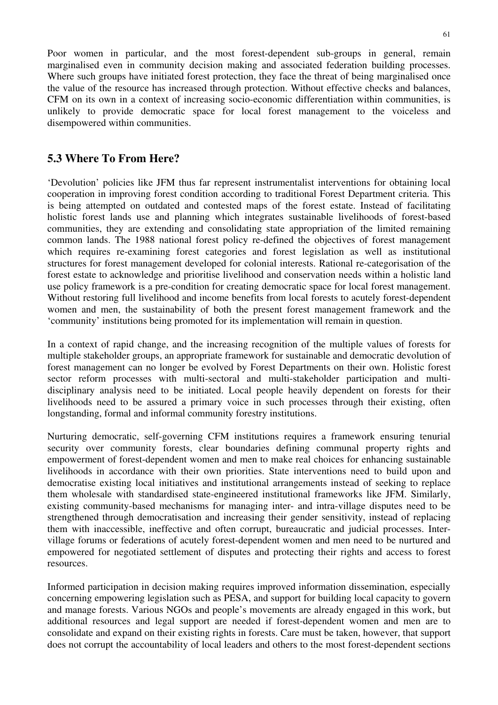Poor women in particular, and the most forest-dependent sub-groups in general, remain marginalised even in community decision making and associated federation building processes. Where such groups have initiated forest protection, they face the threat of being marginalised once the value of the resource has increased through protection. Without effective checks and balances, CFM on its own in a context of increasing socio-economic differentiation within communities, is unlikely to provide democratic space for local forest management to the voiceless and disempowered within communities.

## **5.3 Where To From Here?**

'Devolution' policies like JFM thus far represent instrumentalist interventions for obtaining local cooperation in improving forest condition according to traditional Forest Department criteria. This is being attempted on outdated and contested maps of the forest estate. Instead of facilitating holistic forest lands use and planning which integrates sustainable livelihoods of forest-based communities, they are extending and consolidating state appropriation of the limited remaining common lands. The 1988 national forest policy re-defined the objectives of forest management which requires re-examining forest categories and forest legislation as well as institutional structures for forest management developed for colonial interests. Rational re-categorisation of the forest estate to acknowledge and prioritise livelihood and conservation needs within a holistic land use policy framework is a pre-condition for creating democratic space for local forest management. Without restoring full livelihood and income benefits from local forests to acutely forest-dependent women and men, the sustainability of both the present forest management framework and the 'community' institutions being promoted for its implementation will remain in question.

In a context of rapid change, and the increasing recognition of the multiple values of forests for multiple stakeholder groups, an appropriate framework for sustainable and democratic devolution of forest management can no longer be evolved by Forest Departments on their own. Holistic forest sector reform processes with multi-sectoral and multi-stakeholder participation and multidisciplinary analysis need to be initiated. Local people heavily dependent on forests for their livelihoods need to be assured a primary voice in such processes through their existing, often longstanding, formal and informal community forestry institutions.

Nurturing democratic, self-governing CFM institutions requires a framework ensuring tenurial security over community forests, clear boundaries defining communal property rights and empowerment of forest-dependent women and men to make real choices for enhancing sustainable livelihoods in accordance with their own priorities. State interventions need to build upon and democratise existing local initiatives and institutional arrangements instead of seeking to replace them wholesale with standardised state-engineered institutional frameworks like JFM. Similarly, existing community-based mechanisms for managing inter- and intra-village disputes need to be strengthened through democratisation and increasing their gender sensitivity, instead of replacing them with inaccessible, ineffective and often corrupt, bureaucratic and judicial processes. Intervillage forums or federations of acutely forest-dependent women and men need to be nurtured and empowered for negotiated settlement of disputes and protecting their rights and access to forest resources.

Informed participation in decision making requires improved information dissemination, especially concerning empowering legislation such as PESA, and support for building local capacity to govern and manage forests. Various NGOs and people's movements are already engaged in this work, but additional resources and legal support are needed if forest-dependent women and men are to consolidate and expand on their existing rights in forests. Care must be taken, however, that support does not corrupt the accountability of local leaders and others to the most forest-dependent sections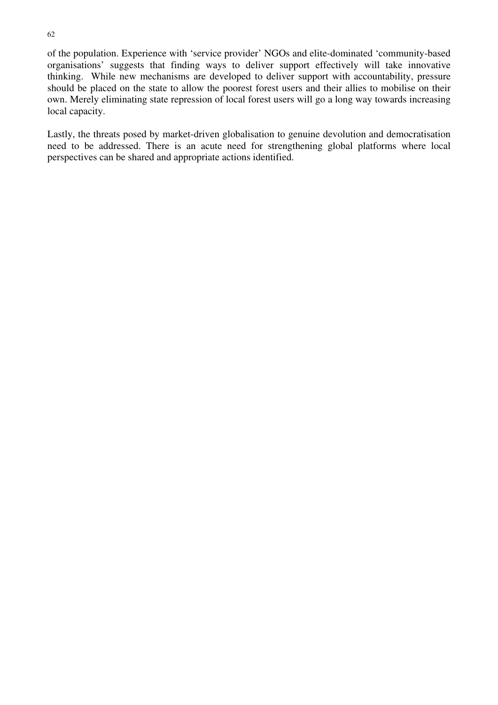of the population. Experience with 'service provider' NGOs and elite-dominated 'community-based organisations' suggests that finding ways to deliver support effectively will take innovative thinking. While new mechanisms are developed to deliver support with accountability, pressure should be placed on the state to allow the poorest forest users and their allies to mobilise on their own. Merely eliminating state repression of local forest users will go a long way towards increasing local capacity.

Lastly, the threats posed by market-driven globalisation to genuine devolution and democratisation need to be addressed. There is an acute need for strengthening global platforms where local perspectives can be shared and appropriate actions identified.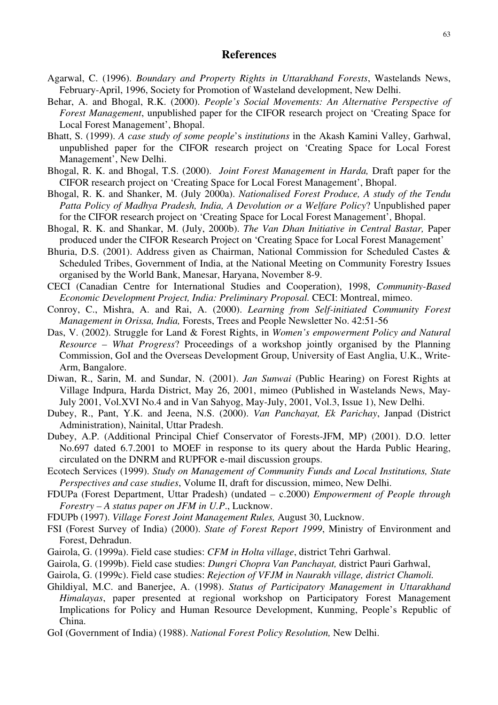#### **References**

- Agarwal, C. (1996). *Boundary and Property Rights in Uttarakhand Forests*, Wastelands News, February-April, 1996, Society for Promotion of Wasteland development, New Delhi.
- Behar, A. and Bhogal, R.K. (2000). *People's Social Movements: An Alternative Perspective of Forest Management*, unpublished paper for the CIFOR research project on 'Creating Space for Local Forest Management', Bhopal.
- Bhatt, S. (1999). *A case study of some people*'s *institutions* in the Akash Kamini Valley, Garhwal, unpublished paper for the CIFOR research project on 'Creating Space for Local Forest Management', New Delhi.
- Bhogal, R. K. and Bhogal, T.S. (2000). *Joint Forest Management in Harda,* Draft paper for the CIFOR research project on 'Creating Space for Local Forest Management', Bhopal.
- Bhogal, R. K. and Shanker, M. (July 2000a). *Nationalised Forest Produce, A study of the Tendu Patta Policy of Madhya Pradesh, India, A Devolution or a Welfare Policy*? Unpublished paper for the CIFOR research project on 'Creating Space for Local Forest Management', Bhopal.
- Bhogal, R. K. and Shankar, M. (July, 2000b). *The Van Dhan Initiative in Central Bastar,* Paper produced under the CIFOR Research Project on 'Creating Space for Local Forest Management'
- Bhuria, D.S. (2001). Address given as Chairman, National Commission for Scheduled Castes & Scheduled Tribes, Government of India, at the National Meeting on Community Forestry Issues organised by the World Bank, Manesar, Haryana, November 8-9.
- CECI (Canadian Centre for International Studies and Cooperation), 1998, *Community-Based Economic Development Project, India: Preliminary Proposal.* CECI: Montreal, mimeo.
- Conroy, C., Mishra, A. and Rai, A. (2000). *Learning from Self-initiated Community Forest Management in Orissa, India,* Forests, Trees and People Newsletter No. 42:51-56
- Das, V. (2002). Struggle for Land & Forest Rights, in *Women's empowerment Policy and Natural Resource – What Progress*? Proceedings of a workshop jointly organised by the Planning Commission, GoI and the Overseas Development Group, University of East Anglia, U.K., Write-Arm, Bangalore.
- Diwan, R., Sarin, M. and Sundar, N. (2001). *Jan Sunwai* (Public Hearing) on Forest Rights at Village Indpura, Harda District, May 26, 2001, mimeo (Published in Wastelands News, May-July 2001, Vol.XVI No.4 and in Van Sahyog, May-July, 2001, Vol.3, Issue 1), New Delhi.
- Dubey, R., Pant, Y.K. and Jeena, N.S. (2000). *Van Panchayat, Ek Parichay*, Janpad (District Administration), Nainital, Uttar Pradesh.
- Dubey, A.P. (Additional Principal Chief Conservator of Forests-JFM, MP) (2001). D.O. letter No.697 dated 6.7.2001 to MOEF in response to its query about the Harda Public Hearing, circulated on the DNRM and RUPFOR e-mail discussion groups.
- Ecotech Services (1999). *Study on Management of Community Funds and Local Institutions, State Perspectives and case studies*, Volume II, draft for discussion, mimeo, New Delhi.
- FDUPa (Forest Department, Uttar Pradesh) (undated c.2000) *Empowerment of People through Forestry – A status paper on JFM in U.P*., Lucknow.
- FDUPb (1997). *Village Forest Joint Management Rules,* August 30, Lucknow.
- FSI (Forest Survey of India) (2000). *State of Forest Report 1999*, Ministry of Environment and Forest, Dehradun.
- Gairola, G. (1999a). Field case studies: *CFM in Holta village*, district Tehri Garhwal.
- Gairola, G. (1999b). Field case studies: *Dungri Chopra Van Panchayat,* district Pauri Garhwal,
- Gairola, G. (1999c). Field case studies: *Rejection of VFJM in Naurakh village, district Chamoli.*
- Ghildiyal, M.C. and Banerjee, A. (1998). *Status of Participatory Management in Uttarakhand Himalayas*, paper presented at regional workshop on Participatory Forest Management Implications for Policy and Human Resource Development, Kunming, People's Republic of China.
- GoI (Government of India) (1988). *National Forest Policy Resolution,* New Delhi.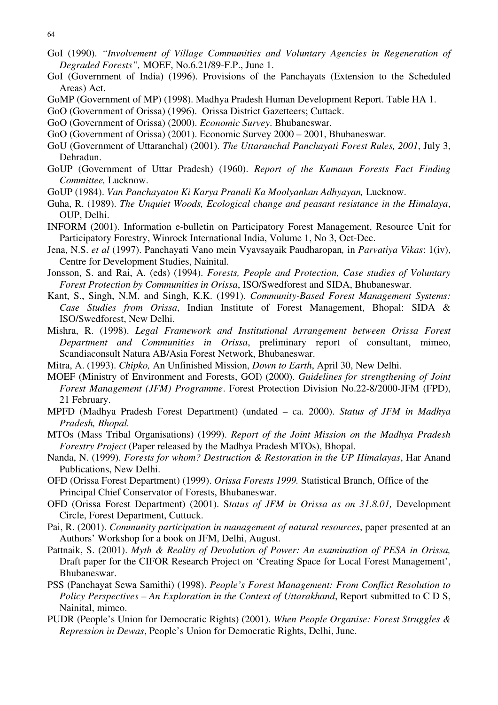- GoI (1990). *"Involvement of Village Communities and Voluntary Agencies in Regeneration of Degraded Forests",* MOEF, No.6.21/89-F.P., June 1.
- GoI (Government of India) (1996). Provisions of the Panchayats (Extension to the Scheduled Areas) Act.
- GoMP (Government of MP) (1998). Madhya Pradesh Human Development Report. Table HA 1.
- GoO (Government of Orissa) (1996). Orissa District Gazetteers; Cuttack.
- GoO (Government of Orissa) (2000). *Economic Survey*. Bhubaneswar.
- GoO (Government of Orissa) (2001). Economic Survey 2000 2001, Bhubaneswar.
- GoU (Government of Uttaranchal) (2001). *The Uttaranchal Panchayati Forest Rules, 2001*, July 3, Dehradun.
- GoUP (Government of Uttar Pradesh) (1960). *Report of the Kumaun Forests Fact Finding Committee,* Lucknow.
- GoUP (1984). *Van Panchayaton Ki Karya Pranali Ka Moolyankan Adhyayan,* Lucknow.
- Guha, R. (1989). *The Unquiet Woods, Ecological change and peasant resistance in the Himalaya*, OUP, Delhi.
- INFORM (2001). Information e-bulletin on Participatory Forest Management, Resource Unit for Participatory Forestry, Winrock International India, Volume 1, No 3, Oct-Dec.
- Jena, N.S. *et al* (1997). Panchayati Vano mein Vyavsayaik Paudharopan*,* in *Parvatiya Vikas*: 1(iv), Centre for Development Studies, Nainital.
- Jonsson, S. and Rai, A. (eds) (1994). *Forests, People and Protection, Case studies of Voluntary Forest Protection by Communities in Orissa*, ISO/Swedforest and SIDA, Bhubaneswar.
- Kant, S., Singh, N.M. and Singh, K.K. (1991). *Community-Based Forest Management Systems: Case Studies from Orissa*, Indian Institute of Forest Management, Bhopal: SIDA & ISO/Swedforest, New Delhi.
- Mishra, R. (1998). *Legal Framework and Institutional Arrangement between Orissa Forest Department and Communities in Orissa*, preliminary report of consultant, mimeo, Scandiaconsult Natura AB/Asia Forest Network, Bhubaneswar.
- Mitra, A. (1993). *Chipko,* An Unfinished Mission, *Down to Earth*, April 30, New Delhi.
- MOEF (Ministry of Environment and Forests, GOI) (2000). *Guidelines for strengthening of Joint Forest Management (JFM) Programme*. Forest Protection Division No.22-8/2000-JFM (FPD), 21 February.
- MPFD (Madhya Pradesh Forest Department) (undated ca. 2000). *Status of JFM in Madhya Pradesh, Bhopal.*
- MTOs (Mass Tribal Organisations) (1999). *Report of the Joint Mission on the Madhya Pradesh Forestry Project* (Paper released by the Madhya Pradesh MTOs), Bhopal.
- Nanda, N. (1999). *Forests for whom? Destruction & Restoration in the UP Himalayas*, Har Anand Publications, New Delhi.
- OFD (Orissa Forest Department) (1999). *Orissa Forests 1999.* Statistical Branch, Office of the Principal Chief Conservator of Forests, Bhubaneswar.
- OFD (Orissa Forest Department) (2001). S*tatus of JFM in Orissa as on 31.8.01,* Development Circle, Forest Department, Cuttuck.
- Pai, R. (2001). *Community participation in management of natural resources*, paper presented at an Authors' Workshop for a book on JFM, Delhi, August.
- Pattnaik, S. (2001). *Myth & Reality of Devolution of Power: An examination of PESA in Orissa,* Draft paper for the CIFOR Research Project on 'Creating Space for Local Forest Management', Bhubaneswar.
- PSS (Panchayat Sewa Samithi) (1998). *People's Forest Management: From Conflict Resolution to Policy Perspectives – An Exploration in the Context of Uttarakhand*, Report submitted to C D S, Nainital, mimeo.
- PUDR (People's Union for Democratic Rights) (2001). *When People Organise: Forest Struggles & Repression in Dewas*, People's Union for Democratic Rights, Delhi, June.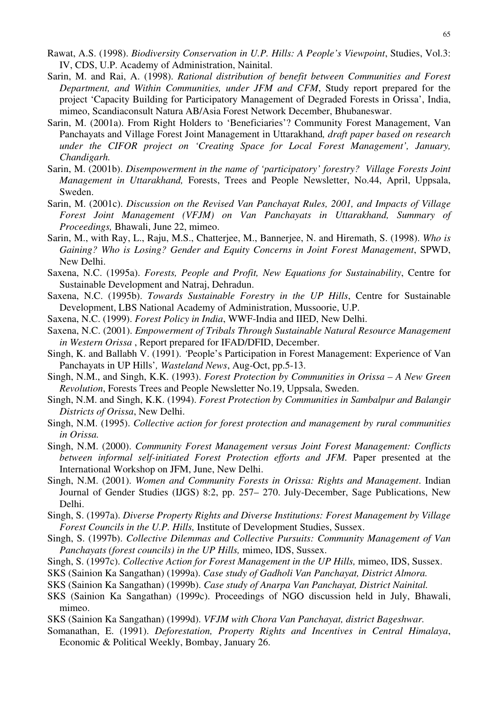- Rawat, A.S. (1998). *Biodiversity Conservation in U.P. Hills: A People's Viewpoint*, Studies, Vol.3: IV, CDS, U.P. Academy of Administration, Nainital.
- Sarin, M. and Rai, A. (1998). *Rational distribution of benefit between Communities and Forest Department, and Within Communities, under JFM and CFM*, Study report prepared for the project 'Capacity Building for Participatory Management of Degraded Forests in Orissa', India, mimeo, Scandiaconsult Natura AB/Asia Forest Network December, Bhubaneswar.
- Sarin, M. (2001a). From Right Holders to 'Beneficiaries'? Community Forest Management, Van Panchayats and Village Forest Joint Management in Uttarakhand*, draft paper based on research under the CIFOR project on 'Creating Space for Local Forest Management', January, Chandigarh.*
- Sarin, M. (2001b). *Disempowerment in the name of 'participatory' forestry? Village Forests Joint Management in Uttarakhand,* Forests, Trees and People Newsletter, No.44, April, Uppsala, Sweden.
- Sarin, M. (2001c). *Discussion on the Revised Van Panchayat Rules, 2001, and Impacts of Village Forest Joint Management (VFJM) on Van Panchayats in Uttarakhand, Summary of Proceedings,* Bhawali, June 22, mimeo.
- Sarin, M., with Ray, L., Raju, M.S., Chatterjee, M., Bannerjee, N. and Hiremath, S. (1998). *Who is Gaining? Who is Losing? Gender and Equity Concerns in Joint Forest Management*, SPWD, New Delhi.
- Saxena, N.C. (1995a). *Forests, People and Profit, New Equations for Sustainability*, Centre for Sustainable Development and Natraj, Dehradun.
- Saxena, N.C. (1995b). *Towards Sustainable Forestry in the UP Hills*, Centre for Sustainable Development, LBS National Academy of Administration, Mussoorie, U.P.
- Saxena, N.C. (1999). *Forest Policy in India*, WWF-India and IIED, New Delhi.
- Saxena, N.C. (2001). *Empowerment of Tribals Through Sustainable Natural Resource Management in Western Orissa* , Report prepared for IFAD/DFID, December.
- Singh, K. and Ballabh V. (1991). *'*People's Participation in Forest Management: Experience of Van Panchayats in UP Hills'*, Wasteland News*, Aug-Oct, pp.5-13.
- Singh, N.M., and Singh, K.K. (1993). *Forest Protection by Communities in Orissa A New Green Revolution*, Forests Trees and People Newsletter No.19, Uppsala, Sweden.
- Singh, N.M. and Singh, K.K. (1994). *Forest Protection by Communities in Sambalpur and Balangir Districts of Orissa*, New Delhi.
- Singh, N.M. (1995). *Collective action for forest protection and management by rural communities in Orissa.*
- Singh, N.M. (2000). *Community Forest Management versus Joint Forest Management: Conflicts between informal self-initiated Forest Protection efforts and JFM.* Paper presented at the International Workshop on JFM, June, New Delhi.
- Singh, N.M. (2001). *Women and Community Forests in Orissa: Rights and Management*. Indian Journal of Gender Studies (IJGS) 8:2, pp. 257– 270. July-December, Sage Publications, New Delhi.
- Singh, S. (1997a). *Diverse Property Rights and Diverse Institutions: Forest Management by Village Forest Councils in the U.P. Hills,* Institute of Development Studies, Sussex.
- Singh, S. (1997b). *Collective Dilemmas and Collective Pursuits: Community Management of Van Panchayats (forest councils) in the UP Hills,* mimeo, IDS, Sussex.
- Singh, S. (1997c). *Collective Action for Forest Management in the UP Hills,* mimeo, IDS, Sussex.
- SKS (Sainion Ka Sangathan) (1999a). *Case study of Gadholi Van Panchayat, District Almora.*
- SKS (Sainion Ka Sangathan) (1999b). *Case study of Anarpa Van Panchayat, District Nainital.*
- SKS (Sainion Ka Sangathan) (1999c). Proceedings of NGO discussion held in July, Bhawali, mimeo.
- SKS (Sainion Ka Sangathan) (1999d). *VFJM with Chora Van Panchayat, district Bageshwar.*
- Somanathan, E. (1991). *Deforestation, Property Rights and Incentives in Central Himalaya*, Economic & Political Weekly, Bombay, January 26.